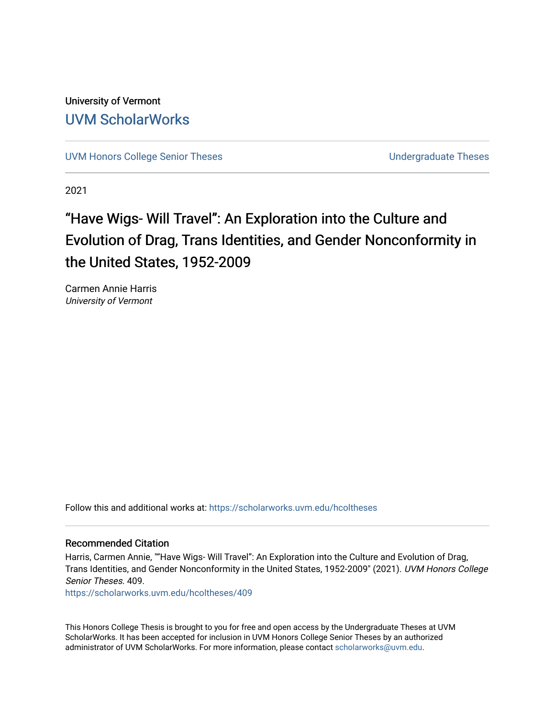University of Vermont [UVM ScholarWorks](https://scholarworks.uvm.edu/)

[UVM Honors College Senior Theses](https://scholarworks.uvm.edu/hcoltheses) **Exercise Sension College Senior Theses** Undergraduate Theses

2021

# "Have Wigs- Will Travel": An Exploration into the Culture and Evolution of Drag, Trans Identities, and Gender Nonconformity in the United States, 1952-2009

Carmen Annie Harris University of Vermont

Follow this and additional works at: [https://scholarworks.uvm.edu/hcoltheses](https://scholarworks.uvm.edu/hcoltheses?utm_source=scholarworks.uvm.edu%2Fhcoltheses%2F409&utm_medium=PDF&utm_campaign=PDFCoverPages) 

#### Recommended Citation

Harris, Carmen Annie, ""Have Wigs- Will Travel": An Exploration into the Culture and Evolution of Drag, Trans Identities, and Gender Nonconformity in the United States, 1952-2009" (2021). UVM Honors College Senior Theses. 409.

[https://scholarworks.uvm.edu/hcoltheses/409](https://scholarworks.uvm.edu/hcoltheses/409?utm_source=scholarworks.uvm.edu%2Fhcoltheses%2F409&utm_medium=PDF&utm_campaign=PDFCoverPages) 

This Honors College Thesis is brought to you for free and open access by the Undergraduate Theses at UVM ScholarWorks. It has been accepted for inclusion in UVM Honors College Senior Theses by an authorized administrator of UVM ScholarWorks. For more information, please contact [scholarworks@uvm.edu](mailto:scholarworks@uvm.edu).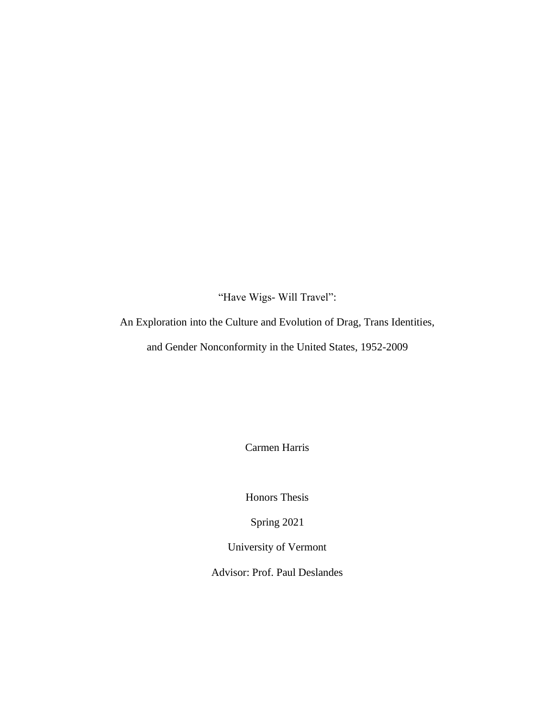"Have Wigs- Will Travel":

An Exploration into the Culture and Evolution of Drag, Trans Identities,

and Gender Nonconformity in the United States, 1952-2009

Carmen Harris

Honors Thesis

Spring 2021

University of Vermont

Advisor: Prof. Paul Deslandes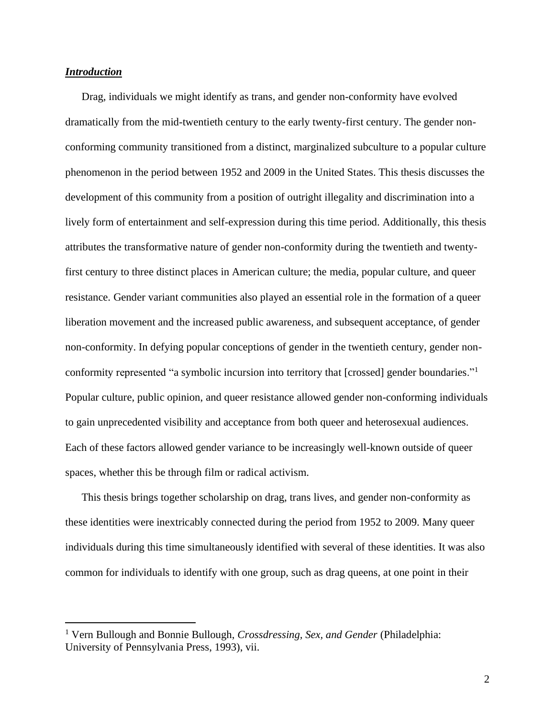# *Introduction*

Drag, individuals we might identify as trans, and gender non-conformity have evolved dramatically from the mid-twentieth century to the early twenty-first century. The gender nonconforming community transitioned from a distinct, marginalized subculture to a popular culture phenomenon in the period between 1952 and 2009 in the United States. This thesis discusses the development of this community from a position of outright illegality and discrimination into a lively form of entertainment and self-expression during this time period. Additionally, this thesis attributes the transformative nature of gender non-conformity during the twentieth and twentyfirst century to three distinct places in American culture; the media, popular culture, and queer resistance. Gender variant communities also played an essential role in the formation of a queer liberation movement and the increased public awareness, and subsequent acceptance, of gender non-conformity. In defying popular conceptions of gender in the twentieth century, gender nonconformity represented "a symbolic incursion into territory that [crossed] gender boundaries."<sup>1</sup> Popular culture, public opinion, and queer resistance allowed gender non-conforming individuals to gain unprecedented visibility and acceptance from both queer and heterosexual audiences. Each of these factors allowed gender variance to be increasingly well-known outside of queer spaces, whether this be through film or radical activism.

This thesis brings together scholarship on drag, trans lives, and gender non-conformity as these identities were inextricably connected during the period from 1952 to 2009. Many queer individuals during this time simultaneously identified with several of these identities. It was also common for individuals to identify with one group, such as drag queens, at one point in their

<sup>1</sup> Vern Bullough and Bonnie Bullough, *Crossdressing, Sex, and Gender* (Philadelphia: University of Pennsylvania Press, 1993), vii.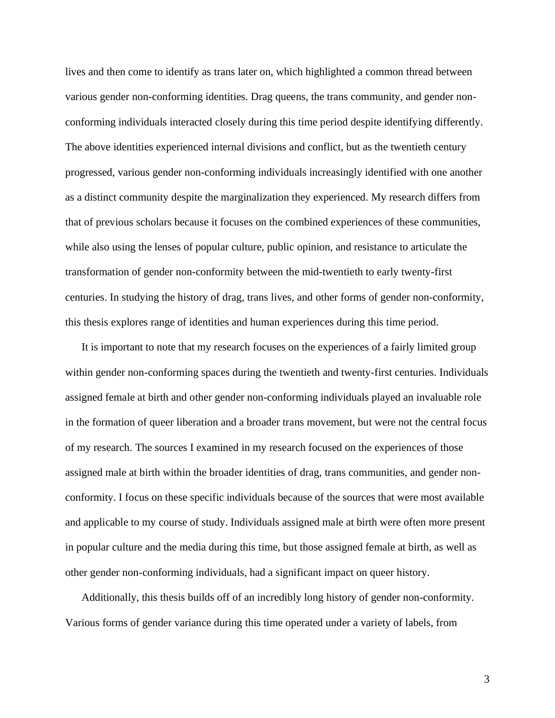lives and then come to identify as trans later on, which highlighted a common thread between various gender non-conforming identities. Drag queens, the trans community, and gender nonconforming individuals interacted closely during this time period despite identifying differently. The above identities experienced internal divisions and conflict, but as the twentieth century progressed, various gender non-conforming individuals increasingly identified with one another as a distinct community despite the marginalization they experienced. My research differs from that of previous scholars because it focuses on the combined experiences of these communities, while also using the lenses of popular culture, public opinion, and resistance to articulate the transformation of gender non-conformity between the mid-twentieth to early twenty-first centuries. In studying the history of drag, trans lives, and other forms of gender non-conformity, this thesis explores range of identities and human experiences during this time period.

It is important to note that my research focuses on the experiences of a fairly limited group within gender non-conforming spaces during the twentieth and twenty-first centuries. Individuals assigned female at birth and other gender non-conforming individuals played an invaluable role in the formation of queer liberation and a broader trans movement, but were not the central focus of my research. The sources I examined in my research focused on the experiences of those assigned male at birth within the broader identities of drag, trans communities, and gender nonconformity. I focus on these specific individuals because of the sources that were most available and applicable to my course of study. Individuals assigned male at birth were often more present in popular culture and the media during this time, but those assigned female at birth, as well as other gender non-conforming individuals, had a significant impact on queer history.

Additionally, this thesis builds off of an incredibly long history of gender non-conformity. Various forms of gender variance during this time operated under a variety of labels, from

3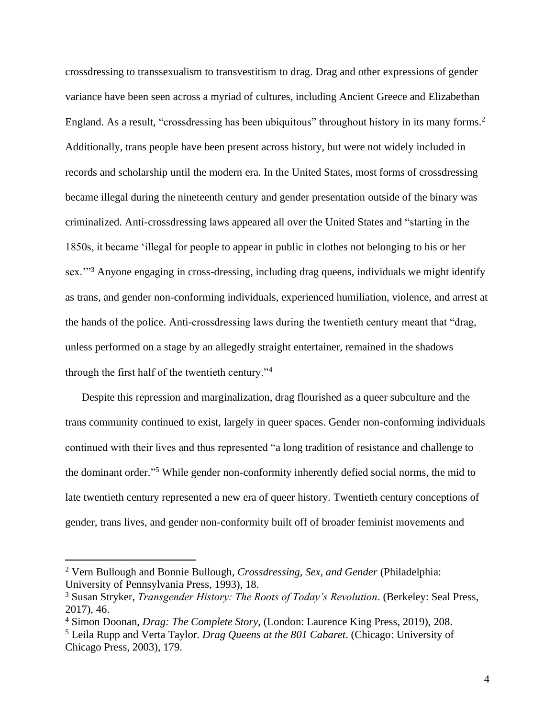crossdressing to transsexualism to transvestitism to drag. Drag and other expressions of gender variance have been seen across a myriad of cultures, including Ancient Greece and Elizabethan England. As a result, "crossdressing has been ubiquitous" throughout history in its many forms.<sup>2</sup> Additionally, trans people have been present across history, but were not widely included in records and scholarship until the modern era. In the United States, most forms of crossdressing became illegal during the nineteenth century and gender presentation outside of the binary was criminalized. Anti-crossdressing laws appeared all over the United States and "starting in the 1850s, it became 'illegal for people to appear in public in clothes not belonging to his or her sex."<sup>3</sup> Anyone engaging in cross-dressing, including drag queens, individuals we might identify as trans, and gender non-conforming individuals, experienced humiliation, violence, and arrest at the hands of the police. Anti-crossdressing laws during the twentieth century meant that "drag, unless performed on a stage by an allegedly straight entertainer, remained in the shadows through the first half of the twentieth century."<sup>4</sup>

Despite this repression and marginalization, drag flourished as a queer subculture and the trans community continued to exist, largely in queer spaces. Gender non-conforming individuals continued with their lives and thus represented "a long tradition of resistance and challenge to the dominant order." <sup>5</sup> While gender non-conformity inherently defied social norms, the mid to late twentieth century represented a new era of queer history. Twentieth century conceptions of gender, trans lives, and gender non-conformity built off of broader feminist movements and

<sup>2</sup> Vern Bullough and Bonnie Bullough, *Crossdressing, Sex, and Gender* (Philadelphia: University of Pennsylvania Press, 1993), 18.

<sup>3</sup> Susan Stryker, *Transgender History: The Roots of Today's Revolution*. (Berkeley: Seal Press, 2017), 46.

<sup>4</sup> Simon Doonan, *Drag: The Complete Story,* (London: Laurence King Press, 2019), 208.

<sup>5</sup> Leila Rupp and Verta Taylor. *Drag Queens at the 801 Cabaret*. (Chicago: University of Chicago Press, 2003), 179.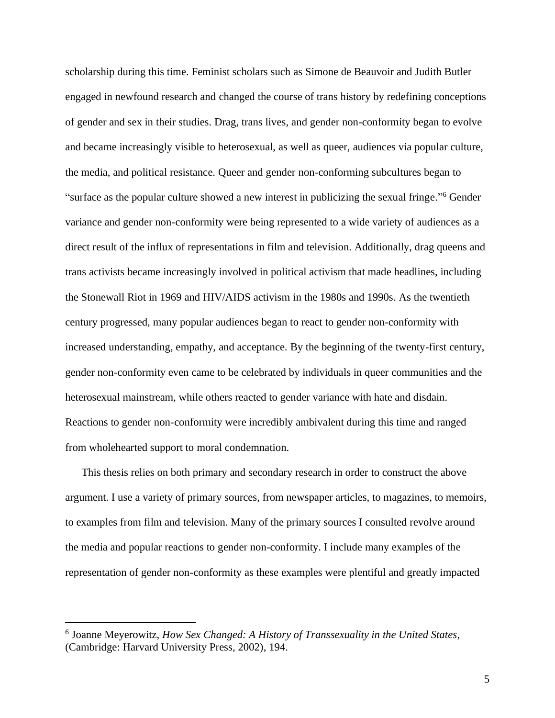scholarship during this time. Feminist scholars such as Simone de Beauvoir and Judith Butler engaged in newfound research and changed the course of trans history by redefining conceptions of gender and sex in their studies. Drag, trans lives, and gender non-conformity began to evolve and became increasingly visible to heterosexual, as well as queer, audiences via popular culture, the media, and political resistance. Queer and gender non-conforming subcultures began to "surface as the popular culture showed a new interest in publicizing the sexual fringe." <sup>6</sup> Gender variance and gender non-conformity were being represented to a wide variety of audiences as a direct result of the influx of representations in film and television. Additionally, drag queens and trans activists became increasingly involved in political activism that made headlines, including the Stonewall Riot in 1969 and HIV/AIDS activism in the 1980s and 1990s. As the twentieth century progressed, many popular audiences began to react to gender non-conformity with increased understanding, empathy, and acceptance. By the beginning of the twenty-first century, gender non-conformity even came to be celebrated by individuals in queer communities and the heterosexual mainstream, while others reacted to gender variance with hate and disdain. Reactions to gender non-conformity were incredibly ambivalent during this time and ranged from wholehearted support to moral condemnation.

This thesis relies on both primary and secondary research in order to construct the above argument. I use a variety of primary sources, from newspaper articles, to magazines, to memoirs, to examples from film and television. Many of the primary sources I consulted revolve around the media and popular reactions to gender non-conformity. I include many examples of the representation of gender non-conformity as these examples were plentiful and greatly impacted

<sup>6</sup> Joanne Meyerowitz, *How Sex Changed: A History of Transsexuality in the United States*, (Cambridge: Harvard University Press, 2002), 194.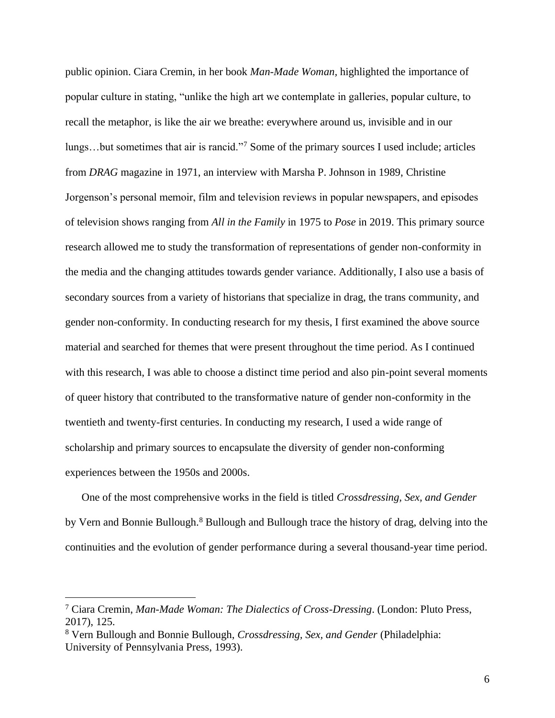public opinion. Ciara Cremin, in her book *Man-Made Woman,* highlighted the importance of popular culture in stating, "unlike the high art we contemplate in galleries, popular culture, to recall the metaphor, is like the air we breathe: everywhere around us, invisible and in our lungs…but sometimes that air is rancid."<sup>7</sup> Some of the primary sources I used include; articles from *DRAG* magazine in 1971, an interview with Marsha P. Johnson in 1989, Christine Jorgenson's personal memoir, film and television reviews in popular newspapers, and episodes of television shows ranging from *All in the Family* in 1975 to *Pose* in 2019. This primary source research allowed me to study the transformation of representations of gender non-conformity in the media and the changing attitudes towards gender variance. Additionally, I also use a basis of secondary sources from a variety of historians that specialize in drag, the trans community, and gender non-conformity. In conducting research for my thesis, I first examined the above source material and searched for themes that were present throughout the time period. As I continued with this research, I was able to choose a distinct time period and also pin-point several moments of queer history that contributed to the transformative nature of gender non-conformity in the twentieth and twenty-first centuries. In conducting my research, I used a wide range of scholarship and primary sources to encapsulate the diversity of gender non-conforming experiences between the 1950s and 2000s.

One of the most comprehensive works in the field is titled *Crossdressing, Sex, and Gender*  by Vern and Bonnie Bullough.<sup>8</sup> Bullough and Bullough trace the history of drag, delving into the continuities and the evolution of gender performance during a several thousand-year time period.

<sup>7</sup> Ciara Cremin, *Man-Made Woman: The Dialectics of Cross-Dressing*. (London: Pluto Press, 2017), 125.

<sup>8</sup> Vern Bullough and Bonnie Bullough, *Crossdressing, Sex, and Gender* (Philadelphia: University of Pennsylvania Press, 1993).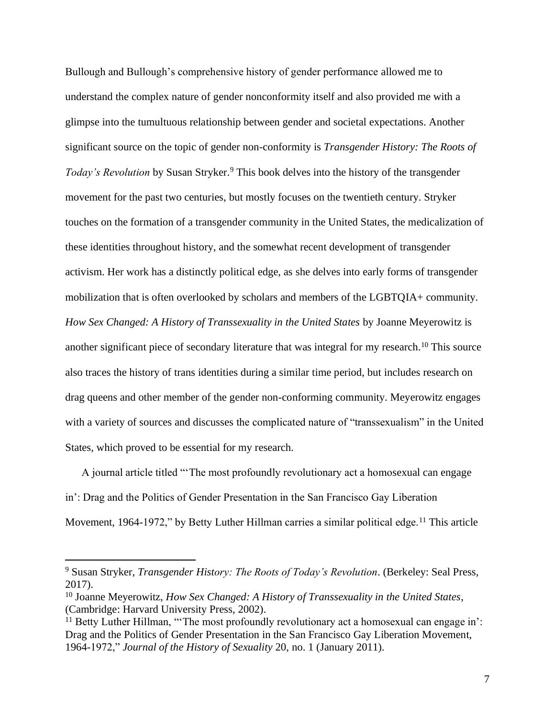Bullough and Bullough's comprehensive history of gender performance allowed me to understand the complex nature of gender nonconformity itself and also provided me with a glimpse into the tumultuous relationship between gender and societal expectations. Another significant source on the topic of gender non-conformity is *Transgender History: The Roots of Today's Revolution* by Susan Stryker.<sup>9</sup> This book delves into the history of the transgender movement for the past two centuries, but mostly focuses on the twentieth century. Stryker touches on the formation of a transgender community in the United States, the medicalization of these identities throughout history, and the somewhat recent development of transgender activism. Her work has a distinctly political edge, as she delves into early forms of transgender mobilization that is often overlooked by scholars and members of the LGBTQIA+ community. *How Sex Changed: A History of Transsexuality in the United States* by Joanne Meyerowitz is another significant piece of secondary literature that was integral for my research.<sup>10</sup> This source also traces the history of trans identities during a similar time period, but includes research on drag queens and other member of the gender non-conforming community. Meyerowitz engages with a variety of sources and discusses the complicated nature of "transsexualism" in the United States, which proved to be essential for my research.

A journal article titled "'The most profoundly revolutionary act a homosexual can engage in': Drag and the Politics of Gender Presentation in the San Francisco Gay Liberation Movement, 1964-1972," by Betty Luther Hillman carries a similar political edge.<sup>11</sup> This article

<sup>9</sup> Susan Stryker, *Transgender History: The Roots of Today's Revolution*. (Berkeley: Seal Press, 2017).

<sup>10</sup> Joanne Meyerowitz, *How Sex Changed: A History of Transsexuality in the United States*, (Cambridge: Harvard University Press, 2002).

<sup>&</sup>lt;sup>11</sup> Betty Luther Hillman, "The most profoundly revolutionary act a homosexual can engage in': Drag and the Politics of Gender Presentation in the San Francisco Gay Liberation Movement, 1964-1972," *Journal of the History of Sexuality* 20, no. 1 (January 2011).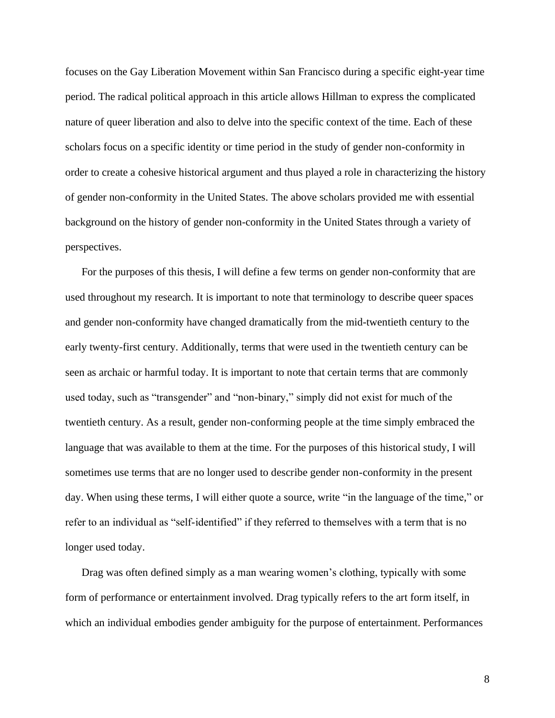focuses on the Gay Liberation Movement within San Francisco during a specific eight-year time period. The radical political approach in this article allows Hillman to express the complicated nature of queer liberation and also to delve into the specific context of the time. Each of these scholars focus on a specific identity or time period in the study of gender non-conformity in order to create a cohesive historical argument and thus played a role in characterizing the history of gender non-conformity in the United States. The above scholars provided me with essential background on the history of gender non-conformity in the United States through a variety of perspectives.

For the purposes of this thesis, I will define a few terms on gender non-conformity that are used throughout my research. It is important to note that terminology to describe queer spaces and gender non-conformity have changed dramatically from the mid-twentieth century to the early twenty-first century. Additionally, terms that were used in the twentieth century can be seen as archaic or harmful today. It is important to note that certain terms that are commonly used today, such as "transgender" and "non-binary," simply did not exist for much of the twentieth century. As a result, gender non-conforming people at the time simply embraced the language that was available to them at the time. For the purposes of this historical study, I will sometimes use terms that are no longer used to describe gender non-conformity in the present day. When using these terms, I will either quote a source, write "in the language of the time," or refer to an individual as "self-identified" if they referred to themselves with a term that is no longer used today.

Drag was often defined simply as a man wearing women's clothing, typically with some form of performance or entertainment involved. Drag typically refers to the art form itself, in which an individual embodies gender ambiguity for the purpose of entertainment. Performances

8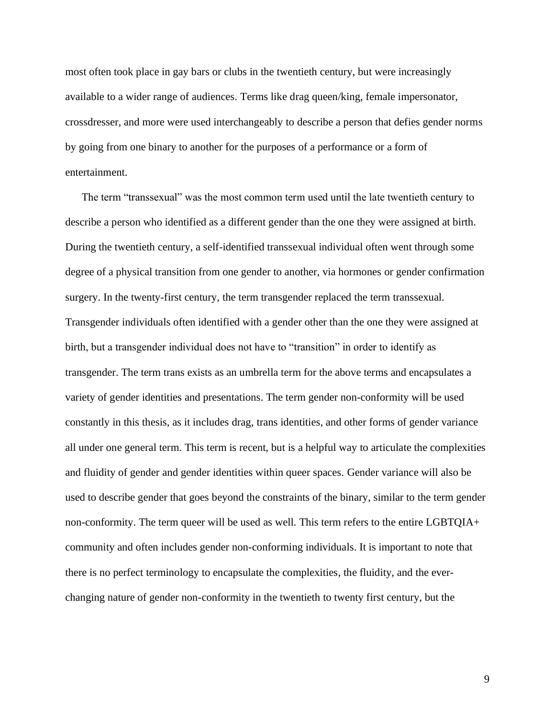most often took place in gay bars or clubs in the twentieth century, but were increasingly available to a wider range of audiences. Terms like drag queen/king, female impersonator, crossdresser, and more were used interchangeably to describe a person that defies gender norms by going from one binary to another for the purposes of a performance or a form of entertainment.

The term "transsexual" was the most common term used until the late twentieth century to describe a person who identified as a different gender than the one they were assigned at birth. During the twentieth century, a self-identified transsexual individual often went through some degree of a physical transition from one gender to another, via hormones or gender confirmation surgery. In the twenty-first century, the term transgender replaced the term transsexual. Transgender individuals often identified with a gender other than the one they were assigned at birth, but a transgender individual does not have to "transition" in order to identify as transgender. The term trans exists as an umbrella term for the above terms and encapsulates a variety of gender identities and presentations. The term gender non-conformity will be used constantly in this thesis, as it includes drag, trans identities, and other forms of gender variance all under one general term. This term is recent, but is a helpful way to articulate the complexities and fluidity of gender and gender identities within queer spaces. Gender variance will also be used to describe gender that goes beyond the constraints of the binary, similar to the term gender non-conformity. The term queer will be used as well. This term refers to the entire LGBTQIA+ community and often includes gender non-conforming individuals. It is important to note that there is no perfect terminology to encapsulate the complexities, the fluidity, and the everchanging nature of gender non-conformity in the twentieth to twenty first century, but the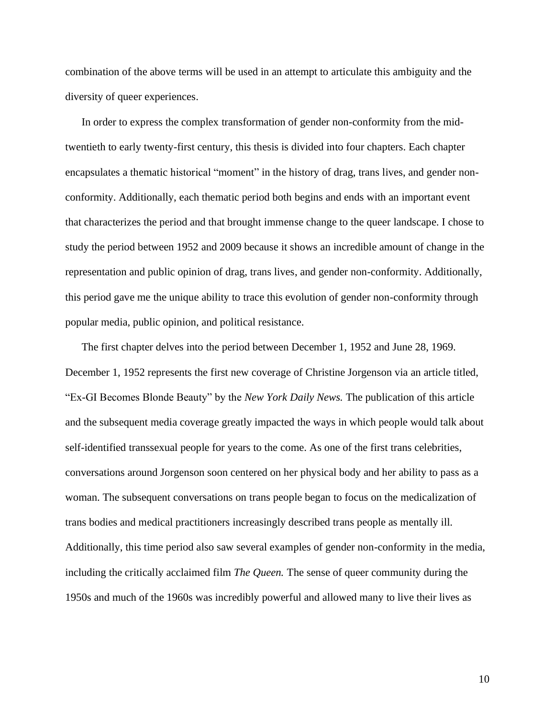combination of the above terms will be used in an attempt to articulate this ambiguity and the diversity of queer experiences.

In order to express the complex transformation of gender non-conformity from the midtwentieth to early twenty-first century, this thesis is divided into four chapters. Each chapter encapsulates a thematic historical "moment" in the history of drag, trans lives, and gender nonconformity. Additionally, each thematic period both begins and ends with an important event that characterizes the period and that brought immense change to the queer landscape. I chose to study the period between 1952 and 2009 because it shows an incredible amount of change in the representation and public opinion of drag, trans lives, and gender non-conformity. Additionally, this period gave me the unique ability to trace this evolution of gender non-conformity through popular media, public opinion, and political resistance.

The first chapter delves into the period between December 1, 1952 and June 28, 1969. December 1, 1952 represents the first new coverage of Christine Jorgenson via an article titled, "Ex-GI Becomes Blonde Beauty" by the *New York Daily News.* The publication of this article and the subsequent media coverage greatly impacted the ways in which people would talk about self-identified transsexual people for years to the come. As one of the first trans celebrities, conversations around Jorgenson soon centered on her physical body and her ability to pass as a woman. The subsequent conversations on trans people began to focus on the medicalization of trans bodies and medical practitioners increasingly described trans people as mentally ill. Additionally, this time period also saw several examples of gender non-conformity in the media, including the critically acclaimed film *The Queen.* The sense of queer community during the 1950s and much of the 1960s was incredibly powerful and allowed many to live their lives as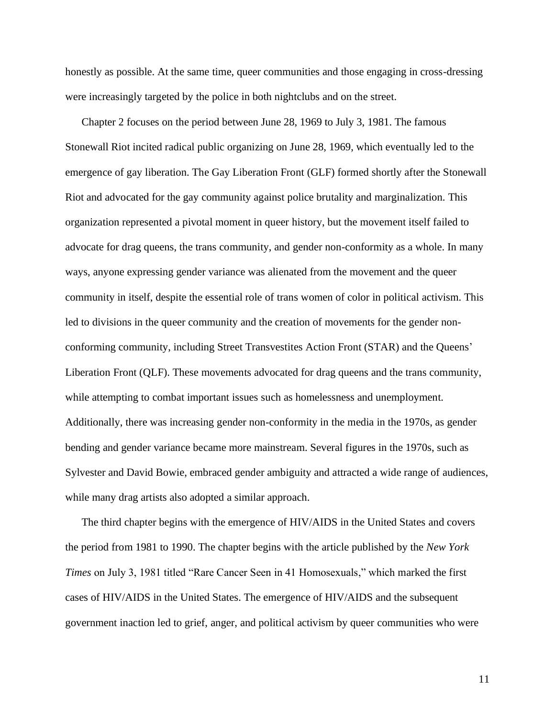honestly as possible. At the same time, queer communities and those engaging in cross-dressing were increasingly targeted by the police in both nightclubs and on the street.

Chapter 2 focuses on the period between June 28, 1969 to July 3, 1981. The famous Stonewall Riot incited radical public organizing on June 28, 1969, which eventually led to the emergence of gay liberation. The Gay Liberation Front (GLF) formed shortly after the Stonewall Riot and advocated for the gay community against police brutality and marginalization. This organization represented a pivotal moment in queer history, but the movement itself failed to advocate for drag queens, the trans community, and gender non-conformity as a whole. In many ways, anyone expressing gender variance was alienated from the movement and the queer community in itself, despite the essential role of trans women of color in political activism. This led to divisions in the queer community and the creation of movements for the gender nonconforming community, including Street Transvestites Action Front (STAR) and the Queens' Liberation Front (QLF). These movements advocated for drag queens and the trans community, while attempting to combat important issues such as homelessness and unemployment. Additionally, there was increasing gender non-conformity in the media in the 1970s, as gender bending and gender variance became more mainstream. Several figures in the 1970s, such as Sylvester and David Bowie, embraced gender ambiguity and attracted a wide range of audiences, while many drag artists also adopted a similar approach.

The third chapter begins with the emergence of HIV/AIDS in the United States and covers the period from 1981 to 1990. The chapter begins with the article published by the *New York Times* on July 3, 1981 titled "Rare Cancer Seen in 41 Homosexuals," which marked the first cases of HIV/AIDS in the United States. The emergence of HIV/AIDS and the subsequent government inaction led to grief, anger, and political activism by queer communities who were

11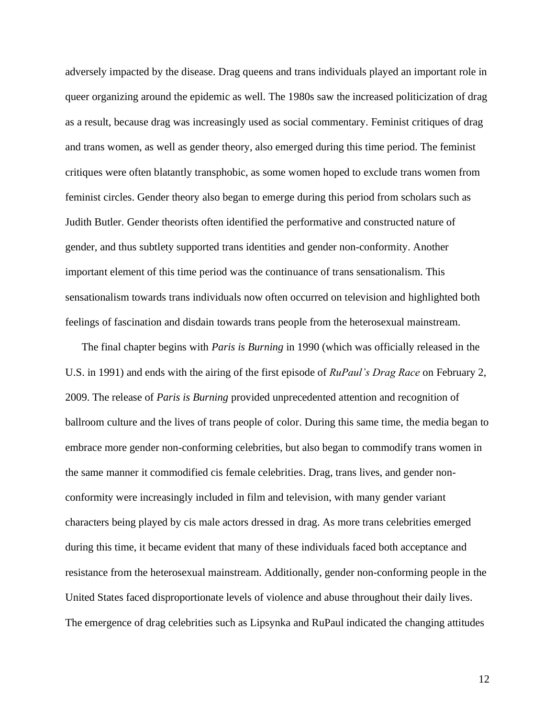adversely impacted by the disease. Drag queens and trans individuals played an important role in queer organizing around the epidemic as well. The 1980s saw the increased politicization of drag as a result, because drag was increasingly used as social commentary. Feminist critiques of drag and trans women, as well as gender theory, also emerged during this time period. The feminist critiques were often blatantly transphobic, as some women hoped to exclude trans women from feminist circles. Gender theory also began to emerge during this period from scholars such as Judith Butler. Gender theorists often identified the performative and constructed nature of gender, and thus subtlety supported trans identities and gender non-conformity. Another important element of this time period was the continuance of trans sensationalism. This sensationalism towards trans individuals now often occurred on television and highlighted both feelings of fascination and disdain towards trans people from the heterosexual mainstream.

The final chapter begins with *Paris is Burning* in 1990 (which was officially released in the U.S. in 1991) and ends with the airing of the first episode of *RuPaul's Drag Race* on February 2, 2009. The release of *Paris is Burning* provided unprecedented attention and recognition of ballroom culture and the lives of trans people of color. During this same time, the media began to embrace more gender non-conforming celebrities, but also began to commodify trans women in the same manner it commodified cis female celebrities. Drag, trans lives, and gender nonconformity were increasingly included in film and television, with many gender variant characters being played by cis male actors dressed in drag. As more trans celebrities emerged during this time, it became evident that many of these individuals faced both acceptance and resistance from the heterosexual mainstream. Additionally, gender non-conforming people in the United States faced disproportionate levels of violence and abuse throughout their daily lives. The emergence of drag celebrities such as Lipsynka and RuPaul indicated the changing attitudes

12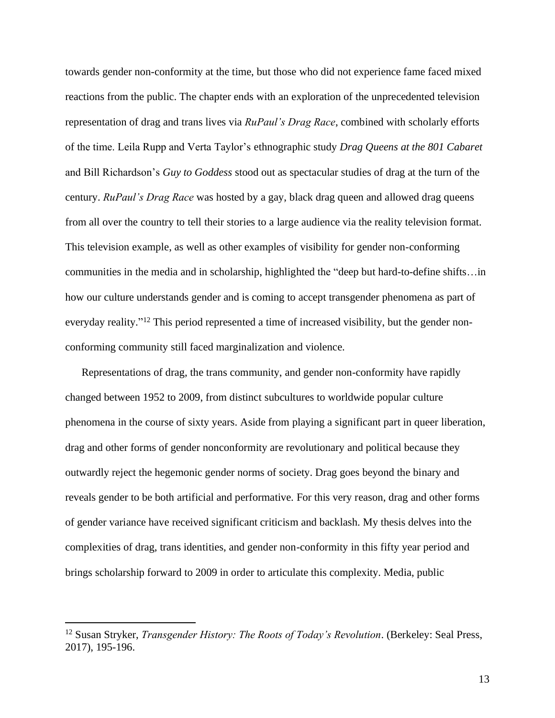towards gender non-conformity at the time, but those who did not experience fame faced mixed reactions from the public. The chapter ends with an exploration of the unprecedented television representation of drag and trans lives via *RuPaul's Drag Race*, combined with scholarly efforts of the time. Leila Rupp and Verta Taylor's ethnographic study *Drag Queens at the 801 Cabaret* and Bill Richardson's *Guy to Goddess* stood out as spectacular studies of drag at the turn of the century. *RuPaul's Drag Race* was hosted by a gay, black drag queen and allowed drag queens from all over the country to tell their stories to a large audience via the reality television format. This television example, as well as other examples of visibility for gender non-conforming communities in the media and in scholarship, highlighted the "deep but hard-to-define shifts…in how our culture understands gender and is coming to accept transgender phenomena as part of everyday reality."<sup>12</sup> This period represented a time of increased visibility, but the gender nonconforming community still faced marginalization and violence.

Representations of drag, the trans community, and gender non-conformity have rapidly changed between 1952 to 2009, from distinct subcultures to worldwide popular culture phenomena in the course of sixty years. Aside from playing a significant part in queer liberation, drag and other forms of gender nonconformity are revolutionary and political because they outwardly reject the hegemonic gender norms of society. Drag goes beyond the binary and reveals gender to be both artificial and performative. For this very reason, drag and other forms of gender variance have received significant criticism and backlash. My thesis delves into the complexities of drag, trans identities, and gender non-conformity in this fifty year period and brings scholarship forward to 2009 in order to articulate this complexity. Media, public

<sup>12</sup> Susan Stryker, *Transgender History: The Roots of Today's Revolution*. (Berkeley: Seal Press, 2017), 195-196.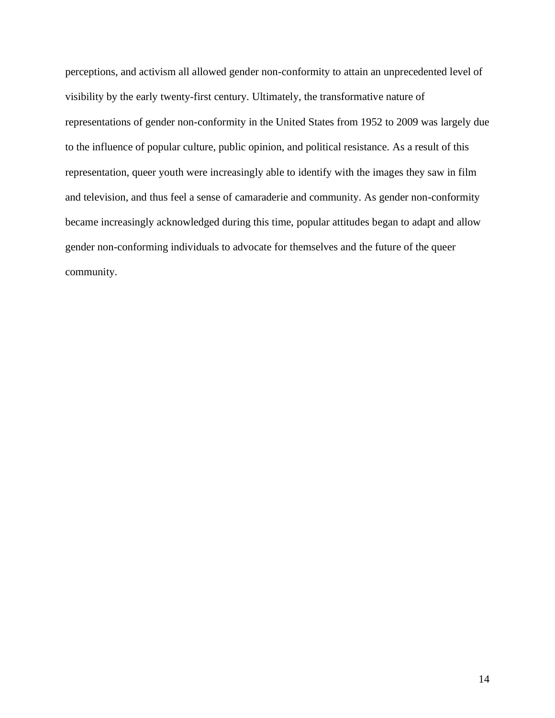perceptions, and activism all allowed gender non-conformity to attain an unprecedented level of visibility by the early twenty-first century. Ultimately, the transformative nature of representations of gender non-conformity in the United States from 1952 to 2009 was largely due to the influence of popular culture, public opinion, and political resistance. As a result of this representation, queer youth were increasingly able to identify with the images they saw in film and television, and thus feel a sense of camaraderie and community. As gender non-conformity became increasingly acknowledged during this time, popular attitudes began to adapt and allow gender non-conforming individuals to advocate for themselves and the future of the queer community.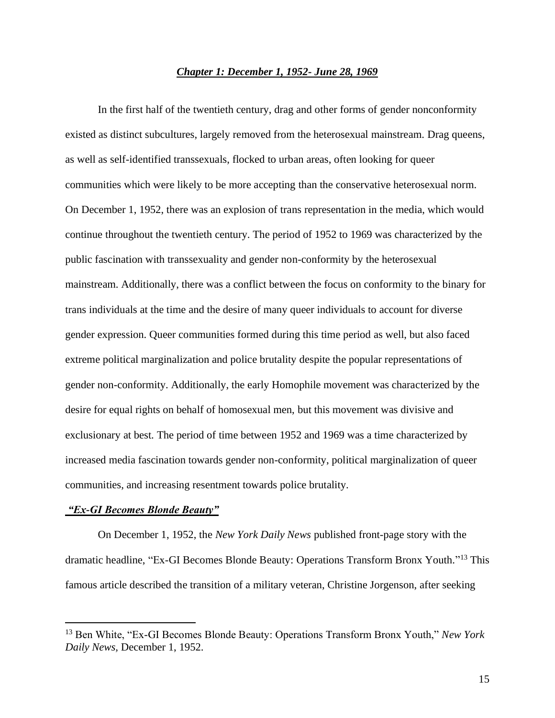# *Chapter 1: December 1, 1952- June 28, 1969*

In the first half of the twentieth century, drag and other forms of gender nonconformity existed as distinct subcultures, largely removed from the heterosexual mainstream. Drag queens, as well as self-identified transsexuals, flocked to urban areas, often looking for queer communities which were likely to be more accepting than the conservative heterosexual norm. On December 1, 1952, there was an explosion of trans representation in the media, which would continue throughout the twentieth century. The period of 1952 to 1969 was characterized by the public fascination with transsexuality and gender non-conformity by the heterosexual mainstream. Additionally, there was a conflict between the focus on conformity to the binary for trans individuals at the time and the desire of many queer individuals to account for diverse gender expression. Queer communities formed during this time period as well, but also faced extreme political marginalization and police brutality despite the popular representations of gender non-conformity. Additionally, the early Homophile movement was characterized by the desire for equal rights on behalf of homosexual men, but this movement was divisive and exclusionary at best. The period of time between 1952 and 1969 was a time characterized by increased media fascination towards gender non-conformity, political marginalization of queer communities, and increasing resentment towards police brutality.

# *"Ex-GI Becomes Blonde Beauty"*

On December 1, 1952, the *New York Daily News* published front-page story with the dramatic headline, "Ex-GI Becomes Blonde Beauty: Operations Transform Bronx Youth." <sup>13</sup> This famous article described the transition of a military veteran, Christine Jorgenson, after seeking

<sup>13</sup> Ben White, "Ex-GI Becomes Blonde Beauty: Operations Transform Bronx Youth," *New York Daily News,* December 1, 1952.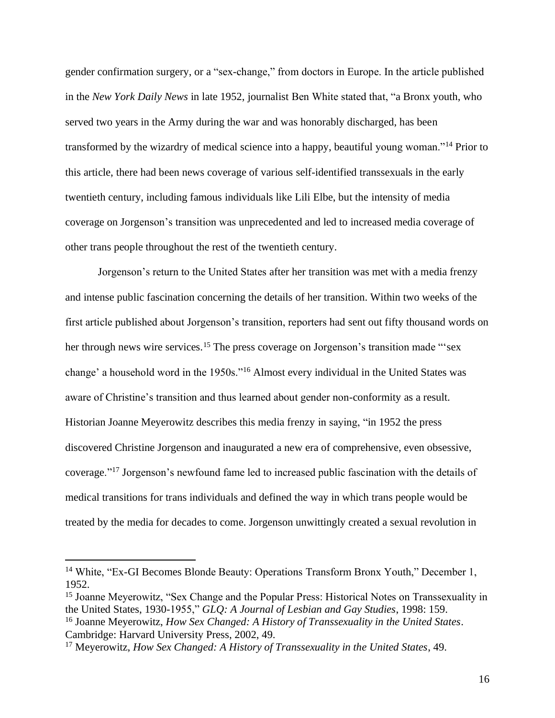gender confirmation surgery, or a "sex-change," from doctors in Europe. In the article published in the *New York Daily News* in late 1952, journalist Ben White stated that, "a Bronx youth, who served two years in the Army during the war and was honorably discharged, has been transformed by the wizardry of medical science into a happy, beautiful young woman."<sup>14</sup> Prior to this article, there had been news coverage of various self-identified transsexuals in the early twentieth century, including famous individuals like Lili Elbe, but the intensity of media coverage on Jorgenson's transition was unprecedented and led to increased media coverage of other trans people throughout the rest of the twentieth century.

Jorgenson's return to the United States after her transition was met with a media frenzy and intense public fascination concerning the details of her transition. Within two weeks of the first article published about Jorgenson's transition, reporters had sent out fifty thousand words on her through news wire services.<sup>15</sup> The press coverage on Jorgenson's transition made "'sex change' a household word in the 1950s."<sup>16</sup> Almost every individual in the United States was aware of Christine's transition and thus learned about gender non-conformity as a result. Historian Joanne Meyerowitz describes this media frenzy in saying, "in 1952 the press discovered Christine Jorgenson and inaugurated a new era of comprehensive, even obsessive, coverage."<sup>17</sup> Jorgenson's newfound fame led to increased public fascination with the details of medical transitions for trans individuals and defined the way in which trans people would be treated by the media for decades to come. Jorgenson unwittingly created a sexual revolution in

<sup>&</sup>lt;sup>14</sup> White, "Ex-GI Becomes Blonde Beauty: Operations Transform Bronx Youth," December 1, 1952.

<sup>&</sup>lt;sup>15</sup> Joanne Meyerowitz, "Sex Change and the Popular Press: Historical Notes on Transsexuality in the United States, 1930-1955," *GLQ: A Journal of Lesbian and Gay Studies*, 1998: 159.

<sup>16</sup> Joanne Meyerowitz, *How Sex Changed: A History of Transsexuality in the United States*. Cambridge: Harvard University Press, 2002, 49.

<sup>17</sup> Meyerowitz, *How Sex Changed: A History of Transsexuality in the United States*, 49.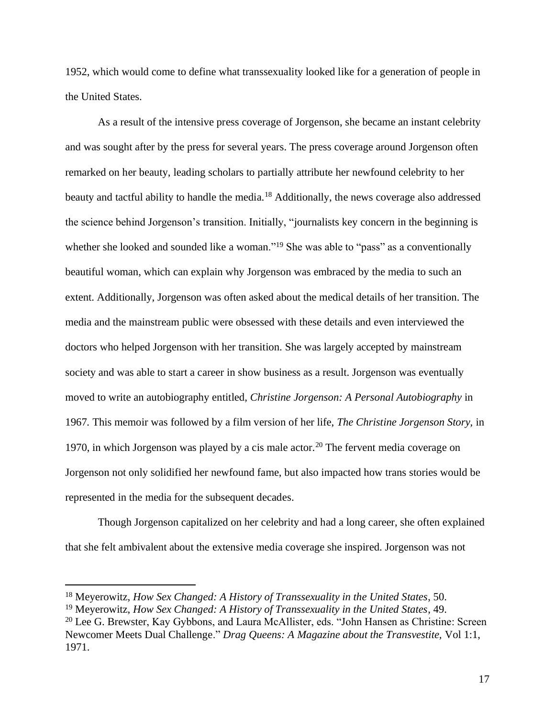1952, which would come to define what transsexuality looked like for a generation of people in the United States.

As a result of the intensive press coverage of Jorgenson, she became an instant celebrity and was sought after by the press for several years. The press coverage around Jorgenson often remarked on her beauty, leading scholars to partially attribute her newfound celebrity to her beauty and tactful ability to handle the media.<sup>18</sup> Additionally, the news coverage also addressed the science behind Jorgenson's transition. Initially, "journalists key concern in the beginning is whether she looked and sounded like a woman."<sup>19</sup> She was able to "pass" as a conventionally beautiful woman, which can explain why Jorgenson was embraced by the media to such an extent. Additionally, Jorgenson was often asked about the medical details of her transition. The media and the mainstream public were obsessed with these details and even interviewed the doctors who helped Jorgenson with her transition. She was largely accepted by mainstream society and was able to start a career in show business as a result. Jorgenson was eventually moved to write an autobiography entitled, *Christine Jorgenson: A Personal Autobiography* in 1967*.* This memoir was followed by a film version of her life, *The Christine Jorgenson Story,* in 1970, in which Jorgenson was played by a cis male actor.<sup>20</sup> The fervent media coverage on Jorgenson not only solidified her newfound fame, but also impacted how trans stories would be represented in the media for the subsequent decades.

Though Jorgenson capitalized on her celebrity and had a long career, she often explained that she felt ambivalent about the extensive media coverage she inspired. Jorgenson was not

<sup>18</sup> Meyerowitz, *How Sex Changed: A History of Transsexuality in the United States*, 50.

<sup>19</sup> Meyerowitz, *How Sex Changed: A History of Transsexuality in the United States*, 49.

<sup>&</sup>lt;sup>20</sup> Lee G. Brewster, Kay Gybbons, and Laura McAllister, eds. "John Hansen as Christine: Screen Newcomer Meets Dual Challenge." *Drag Queens: A Magazine about the Transvestite,* Vol 1:1, 1971.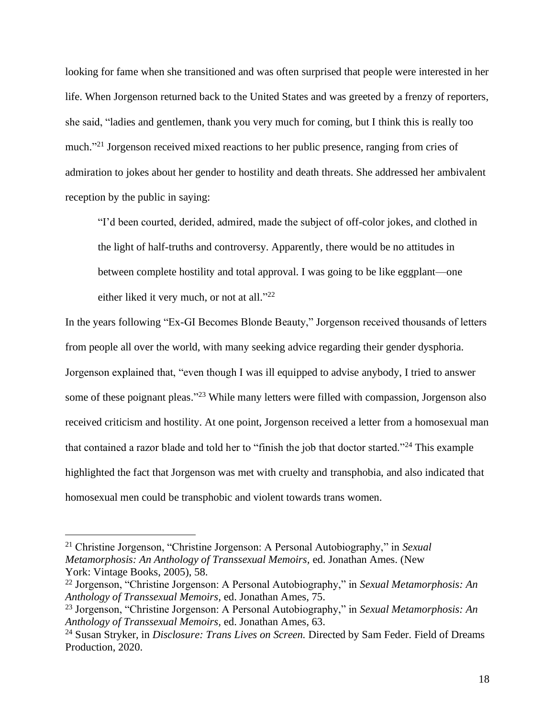looking for fame when she transitioned and was often surprised that people were interested in her life. When Jorgenson returned back to the United States and was greeted by a frenzy of reporters, she said, "ladies and gentlemen, thank you very much for coming, but I think this is really too much."<sup>21</sup> Jorgenson received mixed reactions to her public presence, ranging from cries of admiration to jokes about her gender to hostility and death threats. She addressed her ambivalent reception by the public in saying:

"I'd been courted, derided, admired, made the subject of off-color jokes, and clothed in the light of half-truths and controversy. Apparently, there would be no attitudes in between complete hostility and total approval. I was going to be like eggplant—one either liked it very much, or not at all."<sup>22</sup>

In the years following "Ex-GI Becomes Blonde Beauty," Jorgenson received thousands of letters from people all over the world, with many seeking advice regarding their gender dysphoria. Jorgenson explained that, "even though I was ill equipped to advise anybody, I tried to answer some of these poignant pleas."<sup>23</sup> While many letters were filled with compassion, Jorgenson also received criticism and hostility. At one point, Jorgenson received a letter from a homosexual man that contained a razor blade and told her to "finish the job that doctor started."<sup>24</sup> This example highlighted the fact that Jorgenson was met with cruelty and transphobia, and also indicated that homosexual men could be transphobic and violent towards trans women.

<sup>21</sup> Christine Jorgenson, "Christine Jorgenson: A Personal Autobiography," in *Sexual Metamorphosis: An Anthology of Transsexual Memoirs,* ed. Jonathan Ames. (New York: Vintage Books, 2005), 58.

<sup>22</sup> Jorgenson, "Christine Jorgenson: A Personal Autobiography," in *Sexual Metamorphosis: An Anthology of Transsexual Memoirs,* ed. Jonathan Ames, 75.

<sup>23</sup> Jorgenson, "Christine Jorgenson: A Personal Autobiography," in *Sexual Metamorphosis: An Anthology of Transsexual Memoirs,* ed. Jonathan Ames, 63.

<sup>24</sup> Susan Stryker, in *Disclosure: Trans Lives on Screen.* Directed by Sam Feder. Field of Dreams Production, 2020.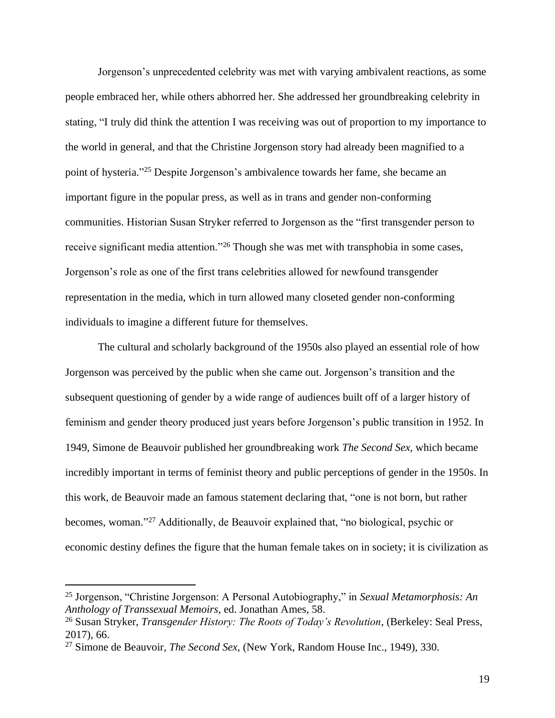Jorgenson's unprecedented celebrity was met with varying ambivalent reactions, as some people embraced her, while others abhorred her. She addressed her groundbreaking celebrity in stating, "I truly did think the attention I was receiving was out of proportion to my importance to the world in general, and that the Christine Jorgenson story had already been magnified to a point of hysteria."<sup>25</sup> Despite Jorgenson's ambivalence towards her fame, she became an important figure in the popular press, as well as in trans and gender non-conforming communities. Historian Susan Stryker referred to Jorgenson as the "first transgender person to receive significant media attention."<sup>26</sup> Though she was met with transphobia in some cases, Jorgenson's role as one of the first trans celebrities allowed for newfound transgender representation in the media, which in turn allowed many closeted gender non-conforming individuals to imagine a different future for themselves.

The cultural and scholarly background of the 1950s also played an essential role of how Jorgenson was perceived by the public when she came out. Jorgenson's transition and the subsequent questioning of gender by a wide range of audiences built off of a larger history of feminism and gender theory produced just years before Jorgenson's public transition in 1952. In 1949, Simone de Beauvoir published her groundbreaking work *The Second Sex,* which became incredibly important in terms of feminist theory and public perceptions of gender in the 1950s. In this work, de Beauvoir made an famous statement declaring that, "one is not born, but rather becomes, woman." <sup>27</sup> Additionally, de Beauvoir explained that, "no biological, psychic or economic destiny defines the figure that the human female takes on in society; it is civilization as

<sup>25</sup> Jorgenson, "Christine Jorgenson: A Personal Autobiography," in *Sexual Metamorphosis: An Anthology of Transsexual Memoirs,* ed. Jonathan Ames, 58.

<sup>26</sup> Susan Stryker, *Transgender History: The Roots of Today's Revolution*, (Berkeley: Seal Press, 2017), 66.

<sup>27</sup> Simone de Beauvoir, *The Second Sex,* (New York, Random House Inc., 1949), 330.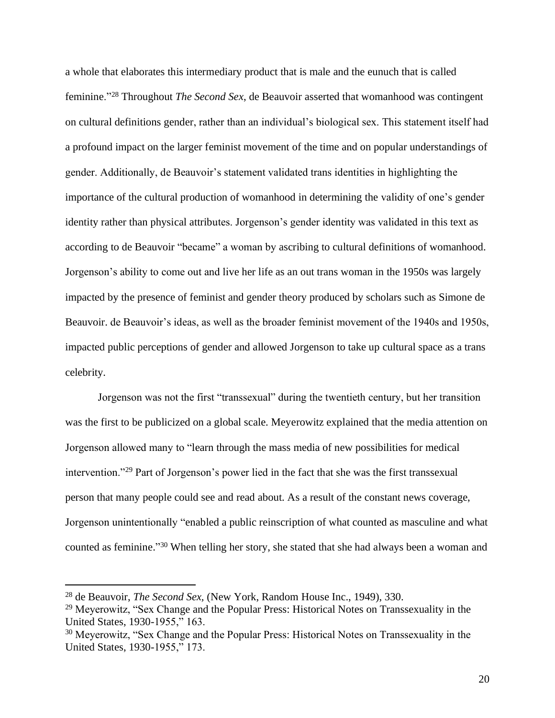a whole that elaborates this intermediary product that is male and the eunuch that is called feminine."<sup>28</sup> Throughout *The Second Sex*, de Beauvoir asserted that womanhood was contingent on cultural definitions gender, rather than an individual's biological sex. This statement itself had a profound impact on the larger feminist movement of the time and on popular understandings of gender. Additionally, de Beauvoir's statement validated trans identities in highlighting the importance of the cultural production of womanhood in determining the validity of one's gender identity rather than physical attributes. Jorgenson's gender identity was validated in this text as according to de Beauvoir "became" a woman by ascribing to cultural definitions of womanhood. Jorgenson's ability to come out and live her life as an out trans woman in the 1950s was largely impacted by the presence of feminist and gender theory produced by scholars such as Simone de Beauvoir. de Beauvoir's ideas, as well as the broader feminist movement of the 1940s and 1950s, impacted public perceptions of gender and allowed Jorgenson to take up cultural space as a trans celebrity.

Jorgenson was not the first "transsexual" during the twentieth century, but her transition was the first to be publicized on a global scale. Meyerowitz explained that the media attention on Jorgenson allowed many to "learn through the mass media of new possibilities for medical intervention."<sup>29</sup> Part of Jorgenson's power lied in the fact that she was the first transsexual person that many people could see and read about. As a result of the constant news coverage, Jorgenson unintentionally "enabled a public reinscription of what counted as masculine and what counted as feminine." <sup>30</sup> When telling her story, she stated that she had always been a woman and

<sup>28</sup> de Beauvoir, *The Second Sex,* (New York, Random House Inc., 1949), 330.

<sup>29</sup> Meyerowitz, "Sex Change and the Popular Press: Historical Notes on Transsexuality in the United States, 1930-1955," 163.

<sup>30</sup> Meyerowitz, "Sex Change and the Popular Press: Historical Notes on Transsexuality in the United States, 1930-1955," 173.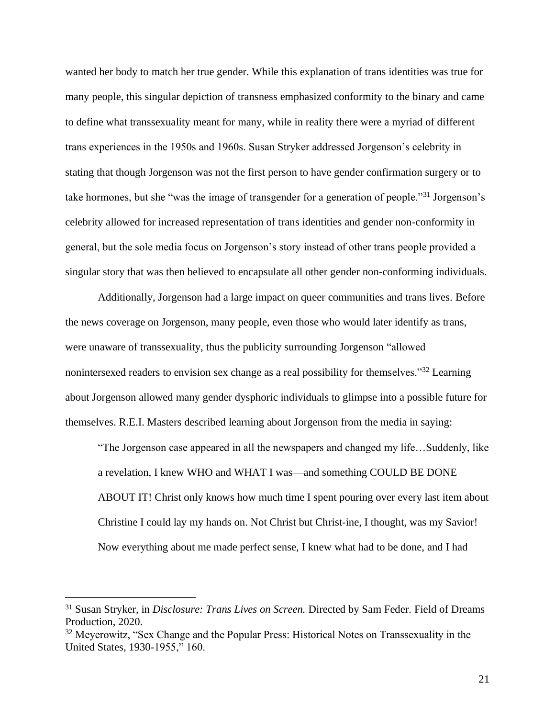wanted her body to match her true gender. While this explanation of trans identities was true for many people, this singular depiction of transness emphasized conformity to the binary and came to define what transsexuality meant for many, while in reality there were a myriad of different trans experiences in the 1950s and 1960s. Susan Stryker addressed Jorgenson's celebrity in stating that though Jorgenson was not the first person to have gender confirmation surgery or to take hormones, but she "was the image of transgender for a generation of people."<sup>31</sup> Jorgenson's celebrity allowed for increased representation of trans identities and gender non-conformity in general, but the sole media focus on Jorgenson's story instead of other trans people provided a singular story that was then believed to encapsulate all other gender non-conforming individuals.

Additionally, Jorgenson had a large impact on queer communities and trans lives. Before the news coverage on Jorgenson, many people, even those who would later identify as trans, were unaware of transsexuality, thus the publicity surrounding Jorgenson "allowed nonintersexed readers to envision sex change as a real possibility for themselves."<sup>32</sup> Learning about Jorgenson allowed many gender dysphoric individuals to glimpse into a possible future for themselves. R.E.I. Masters described learning about Jorgenson from the media in saying:

"The Jorgenson case appeared in all the newspapers and changed my life…Suddenly, like a revelation, I knew WHO and WHAT I was—and something COULD BE DONE ABOUT IT! Christ only knows how much time I spent pouring over every last item about Christine I could lay my hands on. Not Christ but Christ-ine, I thought, was my Savior! Now everything about me made perfect sense, I knew what had to be done, and I had

<sup>31</sup> Susan Stryker, in *Disclosure: Trans Lives on Screen.* Directed by Sam Feder. Field of Dreams Production, 2020.

<sup>&</sup>lt;sup>32</sup> Meyerowitz, "Sex Change and the Popular Press: Historical Notes on Transsexuality in the United States, 1930-1955," 160.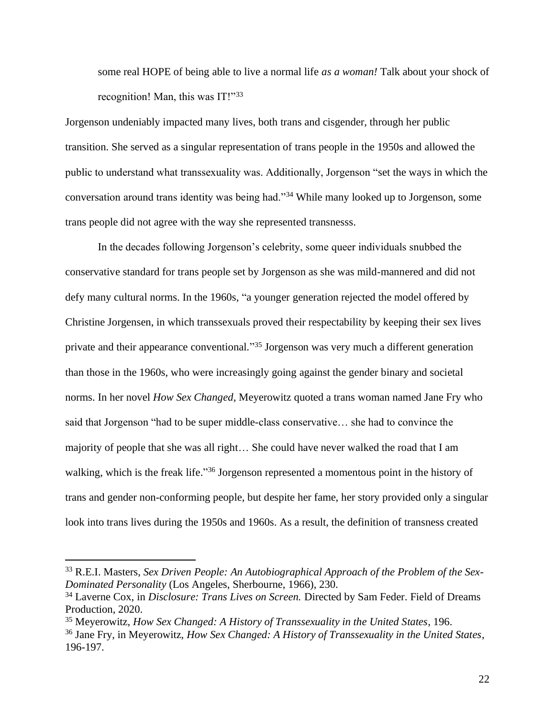some real HOPE of being able to live a normal life *as a woman!* Talk about your shock of recognition! Man, this was IT!"33

Jorgenson undeniably impacted many lives, both trans and cisgender, through her public transition. She served as a singular representation of trans people in the 1950s and allowed the public to understand what transsexuality was. Additionally, Jorgenson "set the ways in which the conversation around trans identity was being had."<sup>34</sup> While many looked up to Jorgenson, some trans people did not agree with the way she represented transnesss.

In the decades following Jorgenson's celebrity, some queer individuals snubbed the conservative standard for trans people set by Jorgenson as she was mild-mannered and did not defy many cultural norms. In the 1960s, "a younger generation rejected the model offered by Christine Jorgensen, in which transsexuals proved their respectability by keeping their sex lives private and their appearance conventional."<sup>35</sup> Jorgenson was very much a different generation than those in the 1960s, who were increasingly going against the gender binary and societal norms. In her novel *How Sex Changed,* Meyerowitz quoted a trans woman named Jane Fry who said that Jorgenson "had to be super middle-class conservative… she had to convince the majority of people that she was all right… She could have never walked the road that I am walking, which is the freak life."<sup>36</sup> Jorgenson represented a momentous point in the history of trans and gender non-conforming people, but despite her fame, her story provided only a singular look into trans lives during the 1950s and 1960s. As a result, the definition of transness created

<sup>33</sup> R.E.I. Masters, *Sex Driven People: An Autobiographical Approach of the Problem of the Sex-Dominated Personality* (Los Angeles, Sherbourne, 1966), 230.

<sup>34</sup> Laverne Cox, in *Disclosure: Trans Lives on Screen.* Directed by Sam Feder. Field of Dreams Production, 2020.

<sup>35</sup> Meyerowitz, *How Sex Changed: A History of Transsexuality in the United States*, 196.

<sup>36</sup> Jane Fry, in Meyerowitz, *How Sex Changed: A History of Transsexuality in the United States*, 196-197.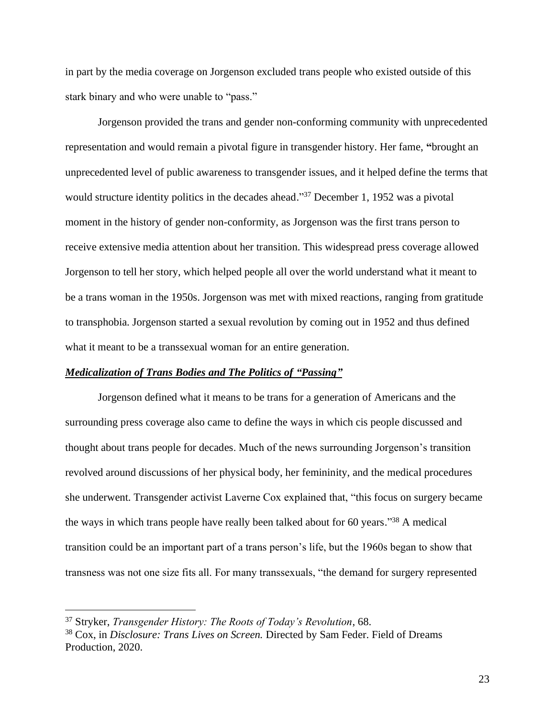in part by the media coverage on Jorgenson excluded trans people who existed outside of this stark binary and who were unable to "pass."

Jorgenson provided the trans and gender non-conforming community with unprecedented representation and would remain a pivotal figure in transgender history. Her fame, **"**brought an unprecedented level of public awareness to transgender issues, and it helped define the terms that would structure identity politics in the decades ahead."<sup>37</sup> December 1, 1952 was a pivotal moment in the history of gender non-conformity, as Jorgenson was the first trans person to receive extensive media attention about her transition. This widespread press coverage allowed Jorgenson to tell her story, which helped people all over the world understand what it meant to be a trans woman in the 1950s. Jorgenson was met with mixed reactions, ranging from gratitude to transphobia. Jorgenson started a sexual revolution by coming out in 1952 and thus defined what it meant to be a transsexual woman for an entire generation.

# *Medicalization of Trans Bodies and The Politics of "Passing"*

Jorgenson defined what it means to be trans for a generation of Americans and the surrounding press coverage also came to define the ways in which cis people discussed and thought about trans people for decades. Much of the news surrounding Jorgenson's transition revolved around discussions of her physical body, her femininity, and the medical procedures she underwent. Transgender activist Laverne Cox explained that, "this focus on surgery became the ways in which trans people have really been talked about for 60 years."<sup>38</sup> A medical transition could be an important part of a trans person's life, but the 1960s began to show that transness was not one size fits all. For many transsexuals, "the demand for surgery represented

<sup>37</sup> Stryker, *Transgender History: The Roots of Today's Revolution*, 68.

<sup>38</sup> Cox, in *Disclosure: Trans Lives on Screen.* Directed by Sam Feder. Field of Dreams Production, 2020.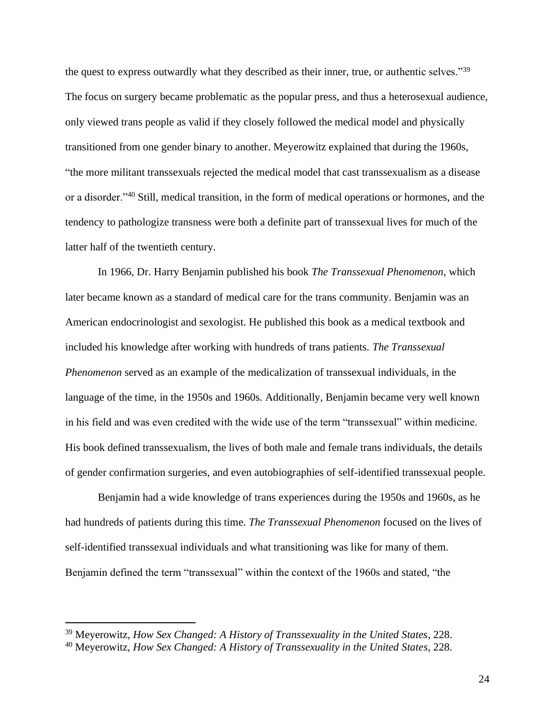the quest to express outwardly what they described as their inner, true, or authentic selves."<sup>39</sup> The focus on surgery became problematic as the popular press, and thus a heterosexual audience, only viewed trans people as valid if they closely followed the medical model and physically transitioned from one gender binary to another. Meyerowitz explained that during the 1960s, "the more militant transsexuals rejected the medical model that cast transsexualism as a disease or a disorder."<sup>40</sup> Still, medical transition, in the form of medical operations or hormones, and the tendency to pathologize transness were both a definite part of transsexual lives for much of the latter half of the twentieth century.

In 1966, Dr. Harry Benjamin published his book *The Transsexual Phenomenon*, which later became known as a standard of medical care for the trans community. Benjamin was an American endocrinologist and sexologist. He published this book as a medical textbook and included his knowledge after working with hundreds of trans patients. *The Transsexual Phenomenon* served as an example of the medicalization of transsexual individuals, in the language of the time, in the 1950s and 1960s. Additionally, Benjamin became very well known in his field and was even credited with the wide use of the term "transsexual" within medicine. His book defined transsexualism, the lives of both male and female trans individuals, the details of gender confirmation surgeries, and even autobiographies of self-identified transsexual people.

Benjamin had a wide knowledge of trans experiences during the 1950s and 1960s, as he had hundreds of patients during this time. *The Transsexual Phenomenon* focused on the lives of self-identified transsexual individuals and what transitioning was like for many of them. Benjamin defined the term "transsexual" within the context of the 1960s and stated, "the

<sup>39</sup> Meyerowitz, *How Sex Changed: A History of Transsexuality in the United States*, 228.

<sup>40</sup> Meyerowitz, *How Sex Changed: A History of Transsexuality in the United States*, 228.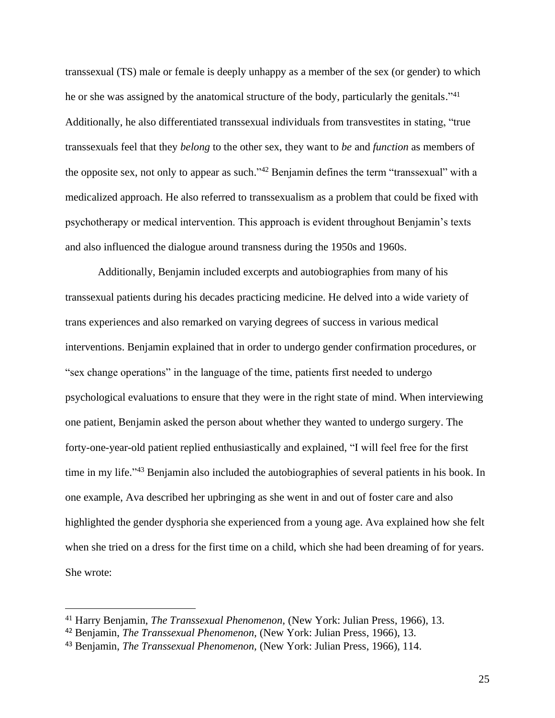transsexual (TS) male or female is deeply unhappy as a member of the sex (or gender) to which he or she was assigned by the anatomical structure of the body, particularly the genitals."<sup>41</sup> Additionally, he also differentiated transsexual individuals from transvestites in stating, "true transsexuals feel that they *belong* to the other sex, they want to *be* and *function* as members of the opposite sex, not only to appear as such."<sup>42</sup> Benjamin defines the term "transsexual" with a medicalized approach. He also referred to transsexualism as a problem that could be fixed with psychotherapy or medical intervention. This approach is evident throughout Benjamin's texts and also influenced the dialogue around transness during the 1950s and 1960s.

Additionally, Benjamin included excerpts and autobiographies from many of his transsexual patients during his decades practicing medicine. He delved into a wide variety of trans experiences and also remarked on varying degrees of success in various medical interventions. Benjamin explained that in order to undergo gender confirmation procedures, or "sex change operations" in the language of the time, patients first needed to undergo psychological evaluations to ensure that they were in the right state of mind. When interviewing one patient, Benjamin asked the person about whether they wanted to undergo surgery. The forty-one-year-old patient replied enthusiastically and explained, "I will feel free for the first time in my life."<sup>43</sup> Benjamin also included the autobiographies of several patients in his book. In one example, Ava described her upbringing as she went in and out of foster care and also highlighted the gender dysphoria she experienced from a young age. Ava explained how she felt when she tried on a dress for the first time on a child, which she had been dreaming of for years. She wrote:

<sup>41</sup> Harry Benjamin, *The Transsexual Phenomenon,* (New York: Julian Press, 1966), 13.

<sup>42</sup> Benjamin, *The Transsexual Phenomenon,* (New York: Julian Press, 1966), 13.

<sup>43</sup> Benjamin, *The Transsexual Phenomenon,* (New York: Julian Press, 1966), 114.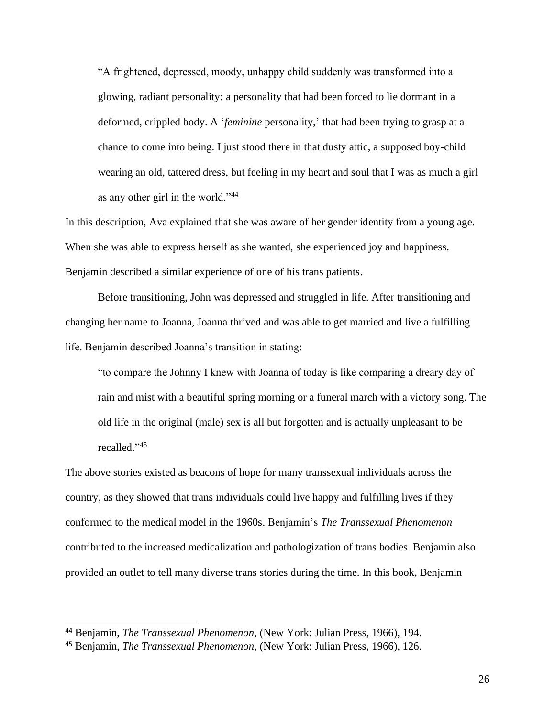"A frightened, depressed, moody, unhappy child suddenly was transformed into a glowing, radiant personality: a personality that had been forced to lie dormant in a deformed, crippled body. A '*feminine* personality,' that had been trying to grasp at a chance to come into being. I just stood there in that dusty attic, a supposed boy-child wearing an old, tattered dress, but feeling in my heart and soul that I was as much a girl as any other girl in the world."<sup>44</sup>

In this description, Ava explained that she was aware of her gender identity from a young age. When she was able to express herself as she wanted, she experienced joy and happiness. Benjamin described a similar experience of one of his trans patients.

Before transitioning, John was depressed and struggled in life. After transitioning and changing her name to Joanna, Joanna thrived and was able to get married and live a fulfilling life. Benjamin described Joanna's transition in stating:

"to compare the Johnny I knew with Joanna of today is like comparing a dreary day of rain and mist with a beautiful spring morning or a funeral march with a victory song. The old life in the original (male) sex is all but forgotten and is actually unpleasant to be recalled."<sup>45</sup>

The above stories existed as beacons of hope for many transsexual individuals across the country, as they showed that trans individuals could live happy and fulfilling lives if they conformed to the medical model in the 1960s. Benjamin's *The Transsexual Phenomenon*  contributed to the increased medicalization and pathologization of trans bodies. Benjamin also provided an outlet to tell many diverse trans stories during the time. In this book, Benjamin

<sup>44</sup> Benjamin, *The Transsexual Phenomenon,* (New York: Julian Press, 1966), 194.

<sup>45</sup> Benjamin, *The Transsexual Phenomenon,* (New York: Julian Press, 1966), 126.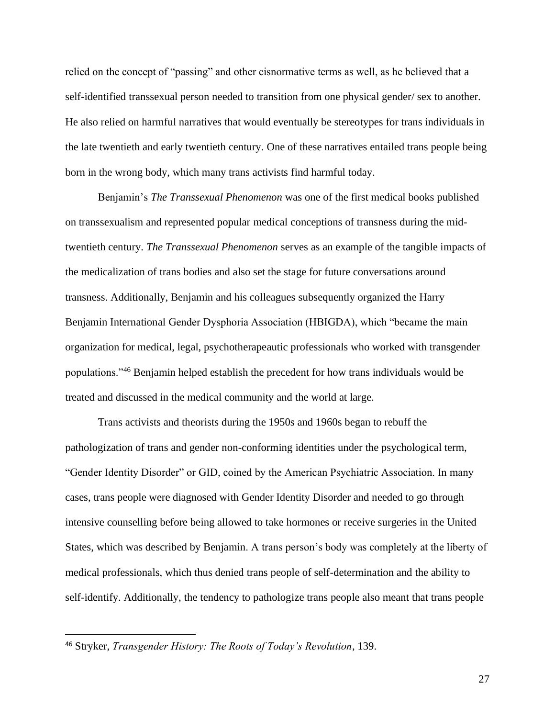relied on the concept of "passing" and other cisnormative terms as well, as he believed that a self-identified transsexual person needed to transition from one physical gender/ sex to another. He also relied on harmful narratives that would eventually be stereotypes for trans individuals in the late twentieth and early twentieth century. One of these narratives entailed trans people being born in the wrong body, which many trans activists find harmful today.

Benjamin's *The Transsexual Phenomenon* was one of the first medical books published on transsexualism and represented popular medical conceptions of transness during the midtwentieth century. *The Transsexual Phenomenon* serves as an example of the tangible impacts of the medicalization of trans bodies and also set the stage for future conversations around transness. Additionally, Benjamin and his colleagues subsequently organized the Harry Benjamin International Gender Dysphoria Association (HBIGDA), which "became the main organization for medical, legal, psychotherapeautic professionals who worked with transgender populations."<sup>46</sup> Benjamin helped establish the precedent for how trans individuals would be treated and discussed in the medical community and the world at large.

Trans activists and theorists during the 1950s and 1960s began to rebuff the pathologization of trans and gender non-conforming identities under the psychological term, "Gender Identity Disorder" or GID, coined by the American Psychiatric Association. In many cases, trans people were diagnosed with Gender Identity Disorder and needed to go through intensive counselling before being allowed to take hormones or receive surgeries in the United States, which was described by Benjamin. A trans person's body was completely at the liberty of medical professionals, which thus denied trans people of self-determination and the ability to self-identify. Additionally, the tendency to pathologize trans people also meant that trans people

<sup>46</sup> Stryker, *Transgender History: The Roots of Today's Revolution*, 139.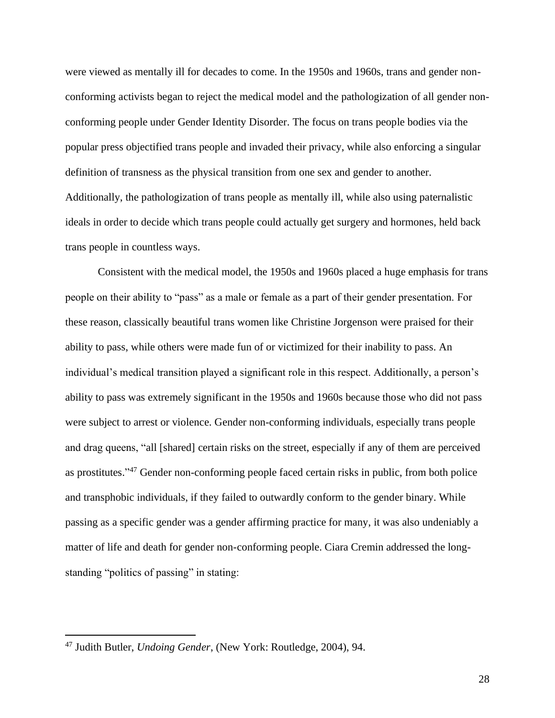were viewed as mentally ill for decades to come. In the 1950s and 1960s, trans and gender nonconforming activists began to reject the medical model and the pathologization of all gender nonconforming people under Gender Identity Disorder. The focus on trans people bodies via the popular press objectified trans people and invaded their privacy, while also enforcing a singular definition of transness as the physical transition from one sex and gender to another. Additionally, the pathologization of trans people as mentally ill, while also using paternalistic ideals in order to decide which trans people could actually get surgery and hormones, held back trans people in countless ways.

Consistent with the medical model, the 1950s and 1960s placed a huge emphasis for trans people on their ability to "pass" as a male or female as a part of their gender presentation. For these reason, classically beautiful trans women like Christine Jorgenson were praised for their ability to pass, while others were made fun of or victimized for their inability to pass. An individual's medical transition played a significant role in this respect. Additionally, a person's ability to pass was extremely significant in the 1950s and 1960s because those who did not pass were subject to arrest or violence. Gender non-conforming individuals, especially trans people and drag queens, "all [shared] certain risks on the street, especially if any of them are perceived as prostitutes."<sup>47</sup> Gender non-conforming people faced certain risks in public, from both police and transphobic individuals, if they failed to outwardly conform to the gender binary. While passing as a specific gender was a gender affirming practice for many, it was also undeniably a matter of life and death for gender non-conforming people. Ciara Cremin addressed the longstanding "politics of passing" in stating:

<sup>47</sup> Judith Butler, *Undoing Gender*, (New York: Routledge, 2004), 94.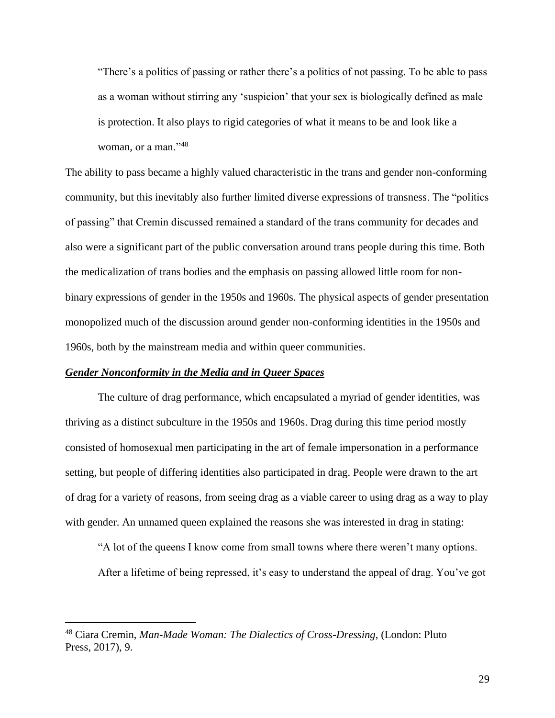"There's a politics of passing or rather there's a politics of not passing. To be able to pass as a woman without stirring any 'suspicion' that your sex is biologically defined as male is protection. It also plays to rigid categories of what it means to be and look like a woman, or a man."<sup>48</sup>

The ability to pass became a highly valued characteristic in the trans and gender non-conforming community, but this inevitably also further limited diverse expressions of transness. The "politics of passing" that Cremin discussed remained a standard of the trans community for decades and also were a significant part of the public conversation around trans people during this time. Both the medicalization of trans bodies and the emphasis on passing allowed little room for nonbinary expressions of gender in the 1950s and 1960s. The physical aspects of gender presentation monopolized much of the discussion around gender non-conforming identities in the 1950s and 1960s, both by the mainstream media and within queer communities.

# *Gender Nonconformity in the Media and in Queer Spaces*

The culture of drag performance, which encapsulated a myriad of gender identities, was thriving as a distinct subculture in the 1950s and 1960s. Drag during this time period mostly consisted of homosexual men participating in the art of female impersonation in a performance setting, but people of differing identities also participated in drag. People were drawn to the art of drag for a variety of reasons, from seeing drag as a viable career to using drag as a way to play with gender. An unnamed queen explained the reasons she was interested in drag in stating:

"A lot of the queens I know come from small towns where there weren't many options.

After a lifetime of being repressed, it's easy to understand the appeal of drag. You've got

<sup>48</sup> Ciara Cremin, *Man-Made Woman: The Dialectics of Cross-Dressing*, (London: Pluto Press, 2017), 9.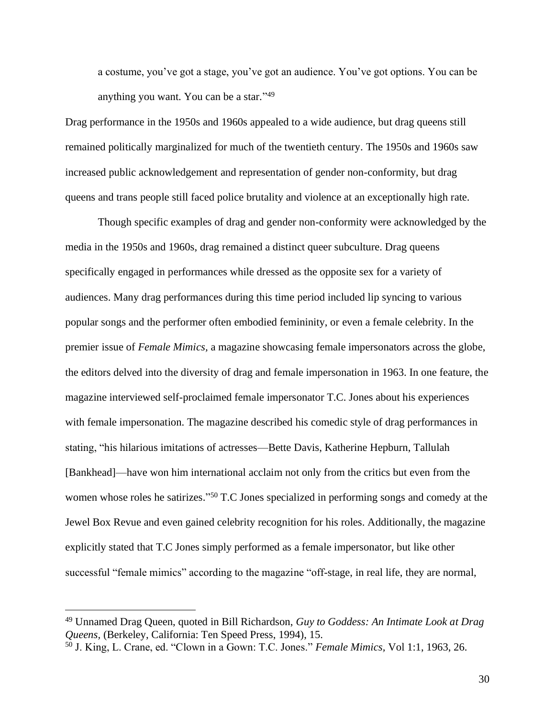a costume, you've got a stage, you've got an audience. You've got options. You can be anything you want. You can be a star." 49

Drag performance in the 1950s and 1960s appealed to a wide audience, but drag queens still remained politically marginalized for much of the twentieth century. The 1950s and 1960s saw increased public acknowledgement and representation of gender non-conformity, but drag queens and trans people still faced police brutality and violence at an exceptionally high rate.

Though specific examples of drag and gender non-conformity were acknowledged by the media in the 1950s and 1960s, drag remained a distinct queer subculture. Drag queens specifically engaged in performances while dressed as the opposite sex for a variety of audiences. Many drag performances during this time period included lip syncing to various popular songs and the performer often embodied femininity, or even a female celebrity. In the premier issue of *Female Mimics,* a magazine showcasing female impersonators across the globe, the editors delved into the diversity of drag and female impersonation in 1963. In one feature, the magazine interviewed self-proclaimed female impersonator T.C. Jones about his experiences with female impersonation. The magazine described his comedic style of drag performances in stating, "his hilarious imitations of actresses—Bette Davis, Katherine Hepburn, Tallulah [Bankhead]—have won him international acclaim not only from the critics but even from the women whose roles he satirizes."<sup>50</sup> T.C Jones specialized in performing songs and comedy at the Jewel Box Revue and even gained celebrity recognition for his roles. Additionally, the magazine explicitly stated that T.C Jones simply performed as a female impersonator, but like other successful "female mimics" according to the magazine "off-stage, in real life, they are normal,

<sup>49</sup> Unnamed Drag Queen, quoted in Bill Richardson, *Guy to Goddess: An Intimate Look at Drag Queens,* (Berkeley, California: Ten Speed Press, 1994), 15.

<sup>50</sup> J. King, L. Crane, ed. "Clown in a Gown: T.C. Jones." *Female Mimics,* Vol 1:1, 1963, 26.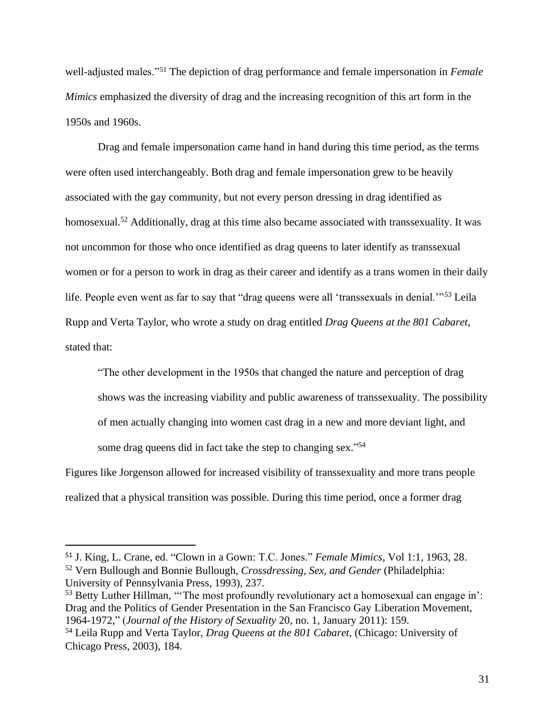well-adjusted males."<sup>51</sup> The depiction of drag performance and female impersonation in *Female Mimics* emphasized the diversity of drag and the increasing recognition of this art form in the 1950s and 1960s.

Drag and female impersonation came hand in hand during this time period, as the terms were often used interchangeably. Both drag and female impersonation grew to be heavily associated with the gay community, but not every person dressing in drag identified as homosexual.<sup>52</sup> Additionally, drag at this time also became associated with transsexuality. It was not uncommon for those who once identified as drag queens to later identify as transsexual women or for a person to work in drag as their career and identify as a trans women in their daily life. People even went as far to say that "drag queens were all 'transsexuals in denial.'"<sup>53</sup> Leila Rupp and Verta Taylor, who wrote a study on drag entitled *Drag Queens at the 801 Cabaret*, stated that:

"The other development in the 1950s that changed the nature and perception of drag shows was the increasing viability and public awareness of transsexuality. The possibility of men actually changing into women cast drag in a new and more deviant light, and some drag queens did in fact take the step to changing sex."<sup>54</sup>

Figures like Jorgenson allowed for increased visibility of transsexuality and more trans people realized that a physical transition was possible. During this time period, once a former drag

<sup>51</sup> J. King, L. Crane, ed. "Clown in a Gown: T.C. Jones." *Female Mimics,* Vol 1:1, 1963, 28. <sup>52</sup> Vern Bullough and Bonnie Bullough, *Crossdressing, Sex, and Gender* (Philadelphia: University of Pennsylvania Press, 1993), 237.

<sup>&</sup>lt;sup>53</sup> Betty Luther Hillman, "The most profoundly revolutionary act a homosexual can engage in': Drag and the Politics of Gender Presentation in the San Francisco Gay Liberation Movement, 1964-1972," (*Journal of the History of Sexuality* 20, no. 1, January 2011): 159.

<sup>54</sup> Leila Rupp and Verta Taylor, *Drag Queens at the 801 Cabaret*, (Chicago: University of Chicago Press, 2003), 184.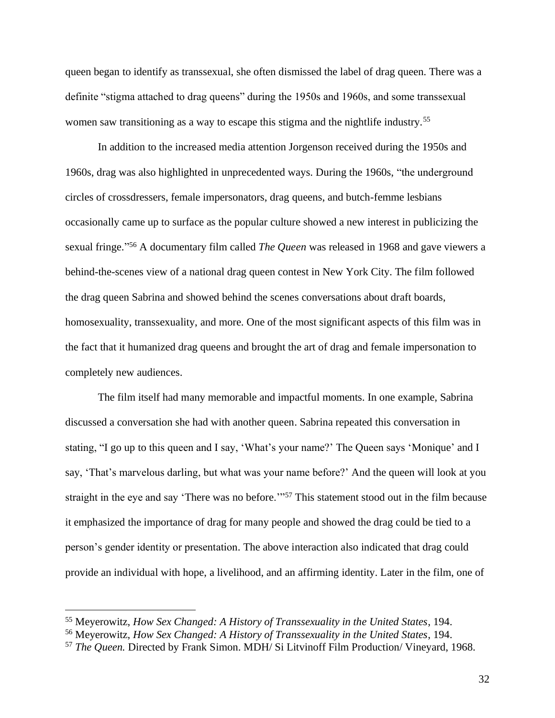queen began to identify as transsexual, she often dismissed the label of drag queen. There was a definite "stigma attached to drag queens" during the 1950s and 1960s, and some transsexual women saw transitioning as a way to escape this stigma and the nightlife industry.<sup>55</sup>

In addition to the increased media attention Jorgenson received during the 1950s and 1960s, drag was also highlighted in unprecedented ways. During the 1960s, "the underground circles of crossdressers, female impersonators, drag queens, and butch-femme lesbians occasionally came up to surface as the popular culture showed a new interest in publicizing the sexual fringe." <sup>56</sup> A documentary film called *The Queen* was released in 1968 and gave viewers a behind-the-scenes view of a national drag queen contest in New York City. The film followed the drag queen Sabrina and showed behind the scenes conversations about draft boards, homosexuality, transsexuality, and more. One of the most significant aspects of this film was in the fact that it humanized drag queens and brought the art of drag and female impersonation to completely new audiences.

The film itself had many memorable and impactful moments. In one example, Sabrina discussed a conversation she had with another queen. Sabrina repeated this conversation in stating, "I go up to this queen and I say, 'What's your name?' The Queen says 'Monique' and I say, 'That's marvelous darling, but what was your name before?' And the queen will look at you straight in the eye and say 'There was no before.'"<sup>57</sup> This statement stood out in the film because it emphasized the importance of drag for many people and showed the drag could be tied to a person's gender identity or presentation. The above interaction also indicated that drag could provide an individual with hope, a livelihood, and an affirming identity. Later in the film, one of

<sup>55</sup> Meyerowitz, *How Sex Changed: A History of Transsexuality in the United States*, 194.

<sup>56</sup> Meyerowitz, *How Sex Changed: A History of Transsexuality in the United States*, 194.

<sup>57</sup> *The Queen.* Directed by Frank Simon. MDH/ Si Litvinoff Film Production/ Vineyard, 1968.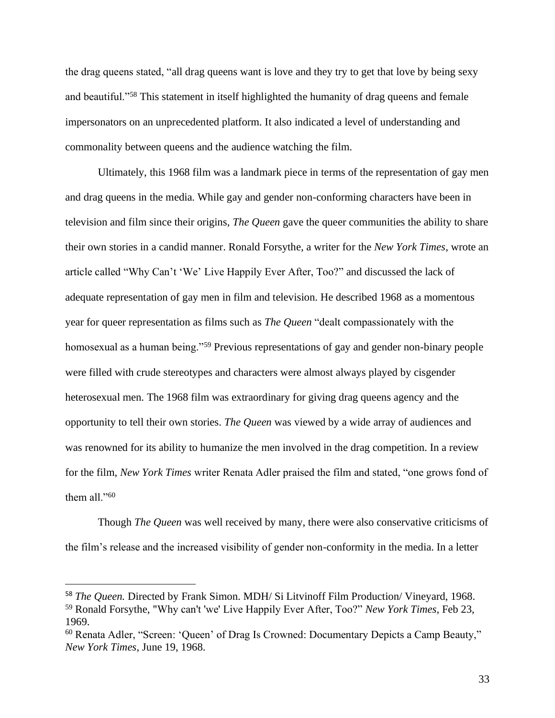the drag queens stated, "all drag queens want is love and they try to get that love by being sexy and beautiful."<sup>58</sup> This statement in itself highlighted the humanity of drag queens and female impersonators on an unprecedented platform. It also indicated a level of understanding and commonality between queens and the audience watching the film.

Ultimately, this 1968 film was a landmark piece in terms of the representation of gay men and drag queens in the media. While gay and gender non-conforming characters have been in television and film since their origins, *The Queen* gave the queer communities the ability to share their own stories in a candid manner. Ronald Forsythe, a writer for the *New York Times*, wrote an article called "Why Can't 'We' Live Happily Ever After, Too?" and discussed the lack of adequate representation of gay men in film and television. He described 1968 as a momentous year for queer representation as films such as *The Queen* "dealt compassionately with the homosexual as a human being."<sup>59</sup> Previous representations of gay and gender non-binary people were filled with crude stereotypes and characters were almost always played by cisgender heterosexual men. The 1968 film was extraordinary for giving drag queens agency and the opportunity to tell their own stories. *The Queen* was viewed by a wide array of audiences and was renowned for its ability to humanize the men involved in the drag competition. In a review for the film, *New York Times* writer Renata Adler praised the film and stated, "one grows fond of them all."<sup>60</sup>

Though *The Queen* was well received by many, there were also conservative criticisms of the film's release and the increased visibility of gender non-conformity in the media. In a letter

<sup>58</sup> *The Queen.* Directed by Frank Simon. MDH/ Si Litvinoff Film Production/ Vineyard, 1968. <sup>59</sup> Ronald Forsythe, "Why can't 'we' Live Happily Ever After, Too?" *New York Times,* Feb 23, 1969.

<sup>60</sup> Renata Adler, "Screen: 'Queen' of Drag Is Crowned: Documentary Depicts a Camp Beauty," *New York Times*, June 19, 1968.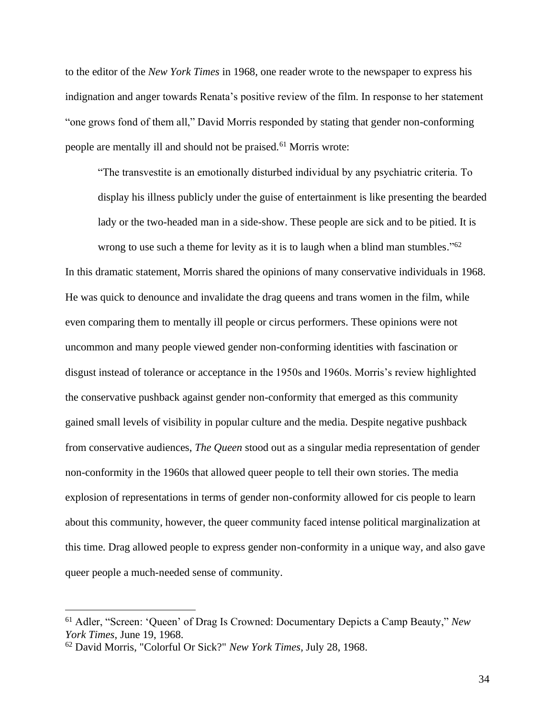to the editor of the *New York Times* in 1968, one reader wrote to the newspaper to express his indignation and anger towards Renata's positive review of the film. In response to her statement "one grows fond of them all," David Morris responded by stating that gender non-conforming people are mentally ill and should not be praised.<sup>61</sup> Morris wrote:

"The transvestite is an emotionally disturbed individual by any psychiatric criteria. To display his illness publicly under the guise of entertainment is like presenting the bearded lady or the two-headed man in a side-show. These people are sick and to be pitied. It is wrong to use such a theme for levity as it is to laugh when a blind man stumbles."<sup>62</sup>

In this dramatic statement, Morris shared the opinions of many conservative individuals in 1968. He was quick to denounce and invalidate the drag queens and trans women in the film, while even comparing them to mentally ill people or circus performers. These opinions were not uncommon and many people viewed gender non-conforming identities with fascination or disgust instead of tolerance or acceptance in the 1950s and 1960s. Morris's review highlighted the conservative pushback against gender non-conformity that emerged as this community gained small levels of visibility in popular culture and the media. Despite negative pushback from conservative audiences, *The Queen* stood out as a singular media representation of gender non-conformity in the 1960s that allowed queer people to tell their own stories. The media explosion of representations in terms of gender non-conformity allowed for cis people to learn about this community, however, the queer community faced intense political marginalization at this time. Drag allowed people to express gender non-conformity in a unique way, and also gave queer people a much-needed sense of community.

<sup>61</sup> Adler, "Screen: 'Queen' of Drag Is Crowned: Documentary Depicts a Camp Beauty," *New York Times*, June 19, 1968.

<sup>62</sup> David Morris, "Colorful Or Sick?" *New York Times,* July 28, 1968.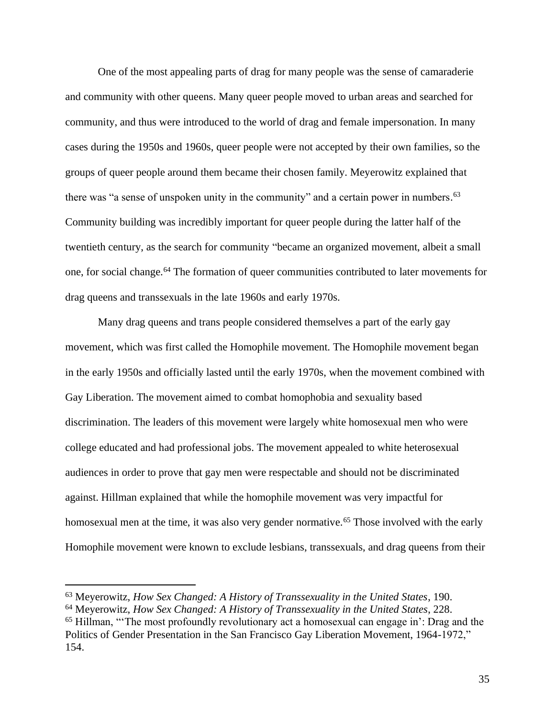One of the most appealing parts of drag for many people was the sense of camaraderie and community with other queens. Many queer people moved to urban areas and searched for community, and thus were introduced to the world of drag and female impersonation. In many cases during the 1950s and 1960s, queer people were not accepted by their own families, so the groups of queer people around them became their chosen family. Meyerowitz explained that there was "a sense of unspoken unity in the community" and a certain power in numbers.<sup>63</sup> Community building was incredibly important for queer people during the latter half of the twentieth century, as the search for community "became an organized movement, albeit a small one, for social change.<sup>64</sup> The formation of queer communities contributed to later movements for drag queens and transsexuals in the late 1960s and early 1970s.

Many drag queens and trans people considered themselves a part of the early gay movement, which was first called the Homophile movement. The Homophile movement began in the early 1950s and officially lasted until the early 1970s, when the movement combined with Gay Liberation. The movement aimed to combat homophobia and sexuality based discrimination. The leaders of this movement were largely white homosexual men who were college educated and had professional jobs. The movement appealed to white heterosexual audiences in order to prove that gay men were respectable and should not be discriminated against. Hillman explained that while the homophile movement was very impactful for homosexual men at the time, it was also very gender normative.<sup>65</sup> Those involved with the early Homophile movement were known to exclude lesbians, transsexuals, and drag queens from their

<sup>63</sup> Meyerowitz, *How Sex Changed: A History of Transsexuality in the United States*, 190.

<sup>64</sup> Meyerowitz, *How Sex Changed: A History of Transsexuality in the United States*, 228.

<sup>65</sup> Hillman, "'The most profoundly revolutionary act a homosexual can engage in': Drag and the Politics of Gender Presentation in the San Francisco Gay Liberation Movement, 1964-1972," 154.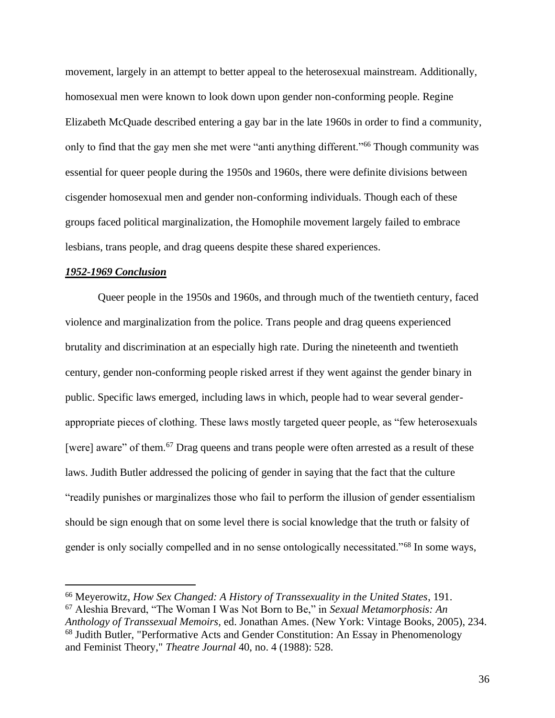movement, largely in an attempt to better appeal to the heterosexual mainstream. Additionally, homosexual men were known to look down upon gender non-conforming people. Regine Elizabeth McQuade described entering a gay bar in the late 1960s in order to find a community, only to find that the gay men she met were "anti anything different."<sup>66</sup> Though community was essential for queer people during the 1950s and 1960s, there were definite divisions between cisgender homosexual men and gender non-conforming individuals. Though each of these groups faced political marginalization, the Homophile movement largely failed to embrace lesbians, trans people, and drag queens despite these shared experiences.

#### *1952-1969 Conclusion*

Queer people in the 1950s and 1960s, and through much of the twentieth century, faced violence and marginalization from the police. Trans people and drag queens experienced brutality and discrimination at an especially high rate. During the nineteenth and twentieth century, gender non-conforming people risked arrest if they went against the gender binary in public. Specific laws emerged, including laws in which, people had to wear several genderappropriate pieces of clothing. These laws mostly targeted queer people, as "few heterosexuals [were] aware" of them.<sup>67</sup> Drag queens and trans people were often arrested as a result of these laws. Judith Butler addressed the policing of gender in saying that the fact that the culture "readily punishes or marginalizes those who fail to perform the illusion of gender essentialism should be sign enough that on some level there is social knowledge that the truth or falsity of gender is only socially compelled and in no sense ontologically necessitated."<sup>68</sup> In some ways,

<sup>66</sup> Meyerowitz, *How Sex Changed: A History of Transsexuality in the United States*, 191. <sup>67</sup> Aleshia Brevard, "The Woman I Was Not Born to Be," in *Sexual Metamorphosis: An Anthology of Transsexual Memoirs,* ed. Jonathan Ames. (New York: Vintage Books, 2005), 234. <sup>68</sup> Judith Butler, "Performative Acts and Gender Constitution: An Essay in Phenomenology and Feminist Theory," *Theatre Journal* 40, no. 4 (1988): 528.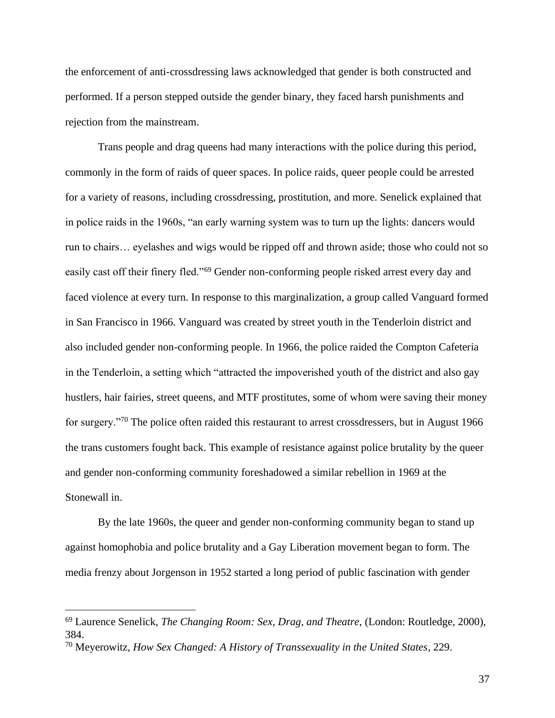the enforcement of anti-crossdressing laws acknowledged that gender is both constructed and performed. If a person stepped outside the gender binary, they faced harsh punishments and rejection from the mainstream.

Trans people and drag queens had many interactions with the police during this period, commonly in the form of raids of queer spaces. In police raids, queer people could be arrested for a variety of reasons, including crossdressing, prostitution, and more. Senelick explained that in police raids in the 1960s, "an early warning system was to turn up the lights: dancers would run to chairs… eyelashes and wigs would be ripped off and thrown aside; those who could not so easily cast off their finery fled."<sup>69</sup> Gender non-conforming people risked arrest every day and faced violence at every turn. In response to this marginalization, a group called Vanguard formed in San Francisco in 1966. Vanguard was created by street youth in the Tenderloin district and also included gender non-conforming people. In 1966, the police raided the Compton Cafeteria in the Tenderloin, a setting which "attracted the impoverished youth of the district and also gay hustlers, hair fairies, street queens, and MTF prostitutes, some of whom were saving their money for surgery."<sup>70</sup> The police often raided this restaurant to arrest crossdressers, but in August 1966 the trans customers fought back. This example of resistance against police brutality by the queer and gender non-conforming community foreshadowed a similar rebellion in 1969 at the Stonewall in.

By the late 1960s, the queer and gender non-conforming community began to stand up against homophobia and police brutality and a Gay Liberation movement began to form. The media frenzy about Jorgenson in 1952 started a long period of public fascination with gender

<sup>69</sup> Laurence Senelick, *The Changing Room: Sex, Drag, and Theatre*, (London: Routledge, 2000), 384.

<sup>70</sup> Meyerowitz, *How Sex Changed: A History of Transsexuality in the United States*, 229.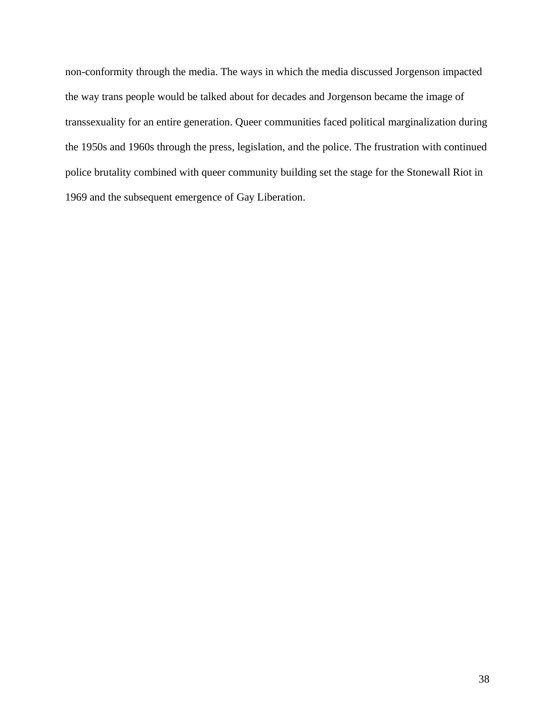non-conformity through the media. The ways in which the media discussed Jorgenson impacted the way trans people would be talked about for decades and Jorgenson became the image of transsexuality for an entire generation. Queer communities faced political marginalization during the 1950s and 1960s through the press, legislation, and the police. The frustration with continued police brutality combined with queer community building set the stage for the Stonewall Riot in 1969 and the subsequent emergence of Gay Liberation.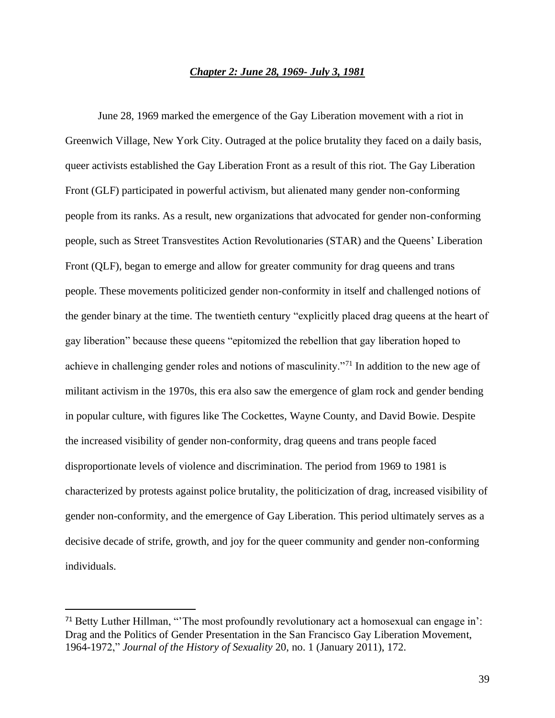## *Chapter 2: June 28, 1969- July 3, 1981*

June 28, 1969 marked the emergence of the Gay Liberation movement with a riot in Greenwich Village, New York City. Outraged at the police brutality they faced on a daily basis, queer activists established the Gay Liberation Front as a result of this riot. The Gay Liberation Front (GLF) participated in powerful activism, but alienated many gender non-conforming people from its ranks. As a result, new organizations that advocated for gender non-conforming people, such as Street Transvestites Action Revolutionaries (STAR) and the Queens' Liberation Front (QLF), began to emerge and allow for greater community for drag queens and trans people. These movements politicized gender non-conformity in itself and challenged notions of the gender binary at the time. The twentieth century "explicitly placed drag queens at the heart of gay liberation" because these queens "epitomized the rebellion that gay liberation hoped to achieve in challenging gender roles and notions of masculinity."<sup>71</sup> In addition to the new age of militant activism in the 1970s, this era also saw the emergence of glam rock and gender bending in popular culture, with figures like The Cockettes, Wayne County, and David Bowie. Despite the increased visibility of gender non-conformity, drag queens and trans people faced disproportionate levels of violence and discrimination. The period from 1969 to 1981 is characterized by protests against police brutality, the politicization of drag, increased visibility of gender non-conformity, and the emergence of Gay Liberation. This period ultimately serves as a decisive decade of strife, growth, and joy for the queer community and gender non-conforming individuals.

<sup>71</sup> Betty Luther Hillman, "'The most profoundly revolutionary act a homosexual can engage in': Drag and the Politics of Gender Presentation in the San Francisco Gay Liberation Movement, 1964-1972," *Journal of the History of Sexuality* 20, no. 1 (January 2011), 172.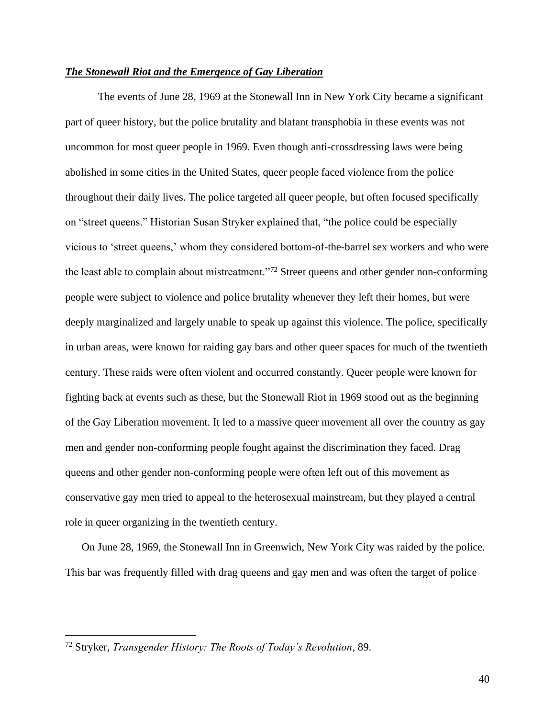#### *The Stonewall Riot and the Emergence of Gay Liberation*

The events of June 28, 1969 at the Stonewall Inn in New York City became a significant part of queer history, but the police brutality and blatant transphobia in these events was not uncommon for most queer people in 1969. Even though anti-crossdressing laws were being abolished in some cities in the United States, queer people faced violence from the police throughout their daily lives. The police targeted all queer people, but often focused specifically on "street queens." Historian Susan Stryker explained that, "the police could be especially vicious to 'street queens,' whom they considered bottom-of-the-barrel sex workers and who were the least able to complain about mistreatment."<sup>72</sup> Street queens and other gender non-conforming people were subject to violence and police brutality whenever they left their homes, but were deeply marginalized and largely unable to speak up against this violence. The police, specifically in urban areas, were known for raiding gay bars and other queer spaces for much of the twentieth century. These raids were often violent and occurred constantly. Queer people were known for fighting back at events such as these, but the Stonewall Riot in 1969 stood out as the beginning of the Gay Liberation movement. It led to a massive queer movement all over the country as gay men and gender non-conforming people fought against the discrimination they faced. Drag queens and other gender non-conforming people were often left out of this movement as conservative gay men tried to appeal to the heterosexual mainstream, but they played a central role in queer organizing in the twentieth century.

On June 28, 1969, the Stonewall Inn in Greenwich, New York City was raided by the police. This bar was frequently filled with drag queens and gay men and was often the target of police

<sup>72</sup> Stryker, *Transgender History: The Roots of Today's Revolution*, 89.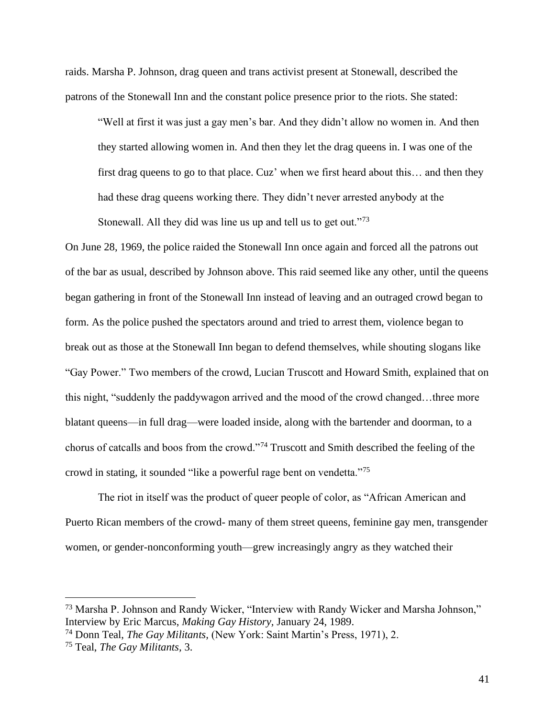raids. Marsha P. Johnson, drag queen and trans activist present at Stonewall, described the patrons of the Stonewall Inn and the constant police presence prior to the riots. She stated:

"Well at first it was just a gay men's bar. And they didn't allow no women in. And then they started allowing women in. And then they let the drag queens in. I was one of the first drag queens to go to that place. Cuz' when we first heard about this… and then they had these drag queens working there. They didn't never arrested anybody at the Stonewall. All they did was line us up and tell us to get out."<sup>73</sup>

On June 28, 1969, the police raided the Stonewall Inn once again and forced all the patrons out of the bar as usual, described by Johnson above. This raid seemed like any other, until the queens began gathering in front of the Stonewall Inn instead of leaving and an outraged crowd began to form. As the police pushed the spectators around and tried to arrest them, violence began to break out as those at the Stonewall Inn began to defend themselves, while shouting slogans like "Gay Power." Two members of the crowd, Lucian Truscott and Howard Smith, explained that on this night, "suddenly the paddywagon arrived and the mood of the crowd changed…three more blatant queens—in full drag—were loaded inside, along with the bartender and doorman, to a chorus of catcalls and boos from the crowd."<sup>74</sup> Truscott and Smith described the feeling of the crowd in stating, it sounded "like a powerful rage bent on vendetta."<sup>75</sup>

The riot in itself was the product of queer people of color, as "African American and Puerto Rican members of the crowd- many of them street queens, feminine gay men, transgender women, or gender-nonconforming youth—grew increasingly angry as they watched their

<sup>73</sup> Marsha P. Johnson and Randy Wicker, "Interview with Randy Wicker and Marsha Johnson," Interview by Eric Marcus, *Making Gay History,* January 24, 1989.

<sup>74</sup> Donn Teal, *The Gay Militants,* (New York: Saint Martin's Press, 1971), 2.

<sup>75</sup> Teal, *The Gay Militants,* 3.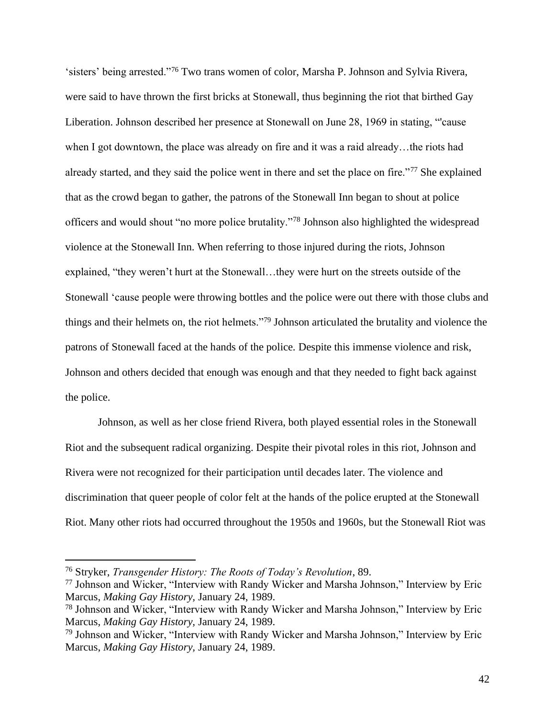'sisters' being arrested."<sup>76</sup> Two trans women of color, Marsha P. Johnson and Sylvia Rivera, were said to have thrown the first bricks at Stonewall, thus beginning the riot that birthed Gay Liberation. Johnson described her presence at Stonewall on June 28, 1969 in stating, "'cause when I got downtown, the place was already on fire and it was a raid already...the riots had already started, and they said the police went in there and set the place on fire."<sup>77</sup> She explained that as the crowd began to gather, the patrons of the Stonewall Inn began to shout at police officers and would shout "no more police brutality."<sup>78</sup> Johnson also highlighted the widespread violence at the Stonewall Inn. When referring to those injured during the riots, Johnson explained, "they weren't hurt at the Stonewall…they were hurt on the streets outside of the Stonewall 'cause people were throwing bottles and the police were out there with those clubs and things and their helmets on, the riot helmets."<sup>79</sup> Johnson articulated the brutality and violence the patrons of Stonewall faced at the hands of the police. Despite this immense violence and risk, Johnson and others decided that enough was enough and that they needed to fight back against the police.

Johnson, as well as her close friend Rivera, both played essential roles in the Stonewall Riot and the subsequent radical organizing. Despite their pivotal roles in this riot, Johnson and Rivera were not recognized for their participation until decades later. The violence and discrimination that queer people of color felt at the hands of the police erupted at the Stonewall Riot. Many other riots had occurred throughout the 1950s and 1960s, but the Stonewall Riot was

<sup>76</sup> Stryker, *Transgender History: The Roots of Today's Revolution*, 89.

<sup>77</sup> Johnson and Wicker, "Interview with Randy Wicker and Marsha Johnson," Interview by Eric Marcus, *Making Gay History,* January 24, 1989.

<sup>78</sup> Johnson and Wicker, "Interview with Randy Wicker and Marsha Johnson," Interview by Eric Marcus, *Making Gay History,* January 24, 1989.

<sup>79</sup> Johnson and Wicker, "Interview with Randy Wicker and Marsha Johnson," Interview by Eric Marcus, *Making Gay History,* January 24, 1989.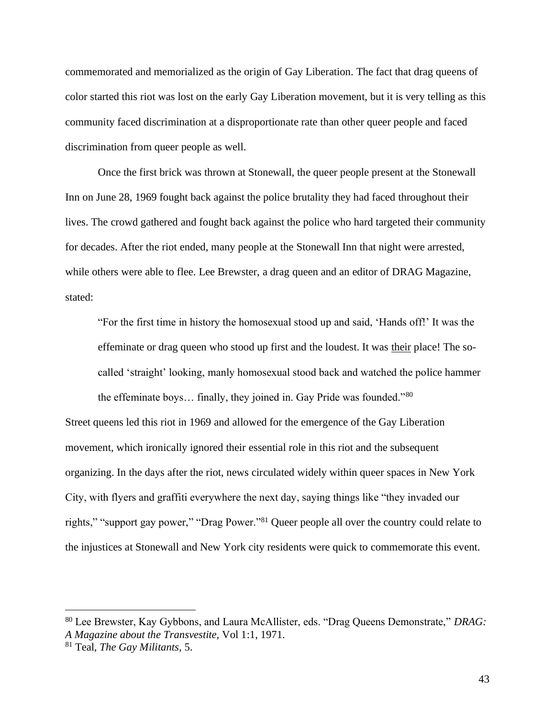commemorated and memorialized as the origin of Gay Liberation. The fact that drag queens of color started this riot was lost on the early Gay Liberation movement, but it is very telling as this community faced discrimination at a disproportionate rate than other queer people and faced discrimination from queer people as well.

Once the first brick was thrown at Stonewall, the queer people present at the Stonewall Inn on June 28, 1969 fought back against the police brutality they had faced throughout their lives. The crowd gathered and fought back against the police who hard targeted their community for decades. After the riot ended, many people at the Stonewall Inn that night were arrested, while others were able to flee. Lee Brewster, a drag queen and an editor of DRAG Magazine, stated:

"For the first time in history the homosexual stood up and said, 'Hands off!' It was the effeminate or drag queen who stood up first and the loudest. It was their place! The socalled 'straight' looking, manly homosexual stood back and watched the police hammer the effeminate boys… finally, they joined in. Gay Pride was founded."<sup>80</sup>

Street queens led this riot in 1969 and allowed for the emergence of the Gay Liberation movement, which ironically ignored their essential role in this riot and the subsequent organizing. In the days after the riot, news circulated widely within queer spaces in New York City, with flyers and graffiti everywhere the next day, saying things like "they invaded our rights," "support gay power," "Drag Power."<sup>81</sup> Queer people all over the country could relate to the injustices at Stonewall and New York city residents were quick to commemorate this event.

<sup>80</sup> Lee Brewster, Kay Gybbons, and Laura McAllister, eds. "Drag Queens Demonstrate," *DRAG:* 

*A Magazine about the Transvestite,* Vol 1:1, 1971.

<sup>81</sup> Teal, *The Gay Militants,* 5.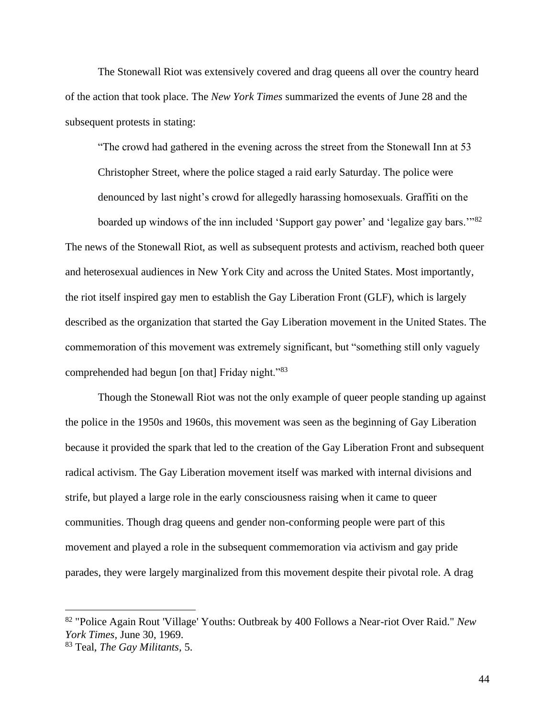The Stonewall Riot was extensively covered and drag queens all over the country heard of the action that took place. The *New York Times* summarized the events of June 28 and the subsequent protests in stating:

"The crowd had gathered in the evening across the street from the Stonewall Inn at 53 Christopher Street, where the police staged a raid early Saturday. The police were denounced by last night's crowd for allegedly harassing homosexuals. Graffiti on the

boarded up windows of the inn included 'Support gay power' and 'legalize gay bars.'"<sup>82</sup> The news of the Stonewall Riot, as well as subsequent protests and activism, reached both queer and heterosexual audiences in New York City and across the United States. Most importantly, the riot itself inspired gay men to establish the Gay Liberation Front (GLF), which is largely described as the organization that started the Gay Liberation movement in the United States. The commemoration of this movement was extremely significant, but "something still only vaguely comprehended had begun [on that] Friday night."<sup>83</sup>

Though the Stonewall Riot was not the only example of queer people standing up against the police in the 1950s and 1960s, this movement was seen as the beginning of Gay Liberation because it provided the spark that led to the creation of the Gay Liberation Front and subsequent radical activism. The Gay Liberation movement itself was marked with internal divisions and strife, but played a large role in the early consciousness raising when it came to queer communities. Though drag queens and gender non-conforming people were part of this movement and played a role in the subsequent commemoration via activism and gay pride parades, they were largely marginalized from this movement despite their pivotal role. A drag

<sup>82</sup> "Police Again Rout 'Village' Youths: Outbreak by 400 Follows a Near-riot Over Raid." *New York Times,* June 30, 1969.

<sup>83</sup> Teal, *The Gay Militants,* 5.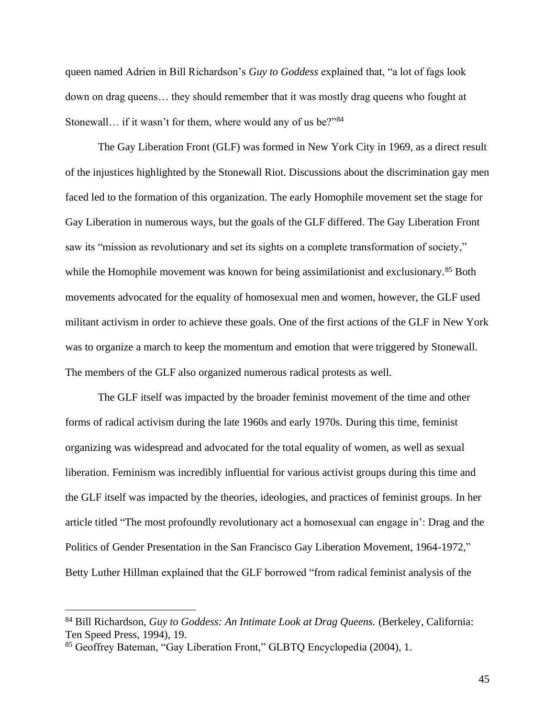queen named Adrien in Bill Richardson's *Guy to Goddess* explained that, "a lot of fags look down on drag queens… they should remember that it was mostly drag queens who fought at Stonewall… if it wasn't for them, where would any of us be?"<sup>84</sup>

The Gay Liberation Front (GLF) was formed in New York City in 1969, as a direct result of the injustices highlighted by the Stonewall Riot. Discussions about the discrimination gay men faced led to the formation of this organization. The early Homophile movement set the stage for Gay Liberation in numerous ways, but the goals of the GLF differed. The Gay Liberation Front saw its "mission as revolutionary and set its sights on a complete transformation of society," while the Homophile movement was known for being assimilationist and exclusionary.<sup>85</sup> Both movements advocated for the equality of homosexual men and women, however, the GLF used militant activism in order to achieve these goals. One of the first actions of the GLF in New York was to organize a march to keep the momentum and emotion that were triggered by Stonewall. The members of the GLF also organized numerous radical protests as well.

The GLF itself was impacted by the broader feminist movement of the time and other forms of radical activism during the late 1960s and early 1970s. During this time, feminist organizing was widespread and advocated for the total equality of women, as well as sexual liberation. Feminism was incredibly influential for various activist groups during this time and the GLF itself was impacted by the theories, ideologies, and practices of feminist groups. In her article titled "The most profoundly revolutionary act a homosexual can engage in': Drag and the Politics of Gender Presentation in the San Francisco Gay Liberation Movement, 1964-1972," Betty Luther Hillman explained that the GLF borrowed "from radical feminist analysis of the

<sup>&</sup>lt;sup>84</sup> Bill Richardson, *Guy to Goddess: An Intimate Look at Drag Queens.* (Berkeley, California: Ten Speed Press, 1994), 19.

<sup>85</sup> Geoffrey Bateman, "Gay Liberation Front," GLBTQ Encyclopedia (2004), 1.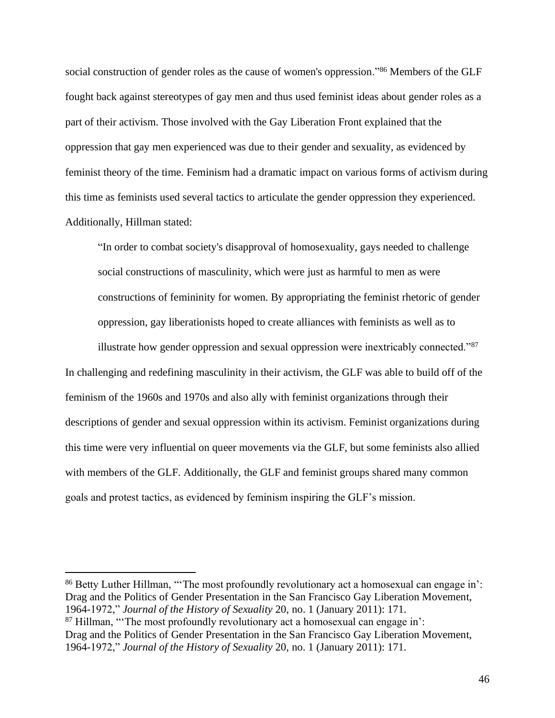social construction of gender roles as the cause of women's oppression."<sup>86</sup> Members of the GLF fought back against stereotypes of gay men and thus used feminist ideas about gender roles as a part of their activism. Those involved with the Gay Liberation Front explained that the oppression that gay men experienced was due to their gender and sexuality, as evidenced by feminist theory of the time. Feminism had a dramatic impact on various forms of activism during this time as feminists used several tactics to articulate the gender oppression they experienced. Additionally, Hillman stated:

"In order to combat society's disapproval of homosexuality, gays needed to challenge social constructions of masculinity, which were just as harmful to men as were constructions of femininity for women. By appropriating the feminist rhetoric of gender oppression, gay liberationists hoped to create alliances with feminists as well as to

illustrate how gender oppression and sexual oppression were inextricably connected."<sup>87</sup> In challenging and redefining masculinity in their activism, the GLF was able to build off of the feminism of the 1960s and 1970s and also ally with feminist organizations through their descriptions of gender and sexual oppression within its activism. Feminist organizations during this time were very influential on queer movements via the GLF, but some feminists also allied with members of the GLF. Additionally, the GLF and feminist groups shared many common goals and protest tactics, as evidenced by feminism inspiring the GLF's mission.

<sup>86</sup> Betty Luther Hillman, "'The most profoundly revolutionary act a homosexual can engage in': Drag and the Politics of Gender Presentation in the San Francisco Gay Liberation Movement, 1964-1972," *Journal of the History of Sexuality* 20, no. 1 (January 2011): 171.

 $87$  Hillman, "The most profoundly revolutionary act a homosexual can engage in':

Drag and the Politics of Gender Presentation in the San Francisco Gay Liberation Movement, 1964-1972," *Journal of the History of Sexuality* 20, no. 1 (January 2011): 171.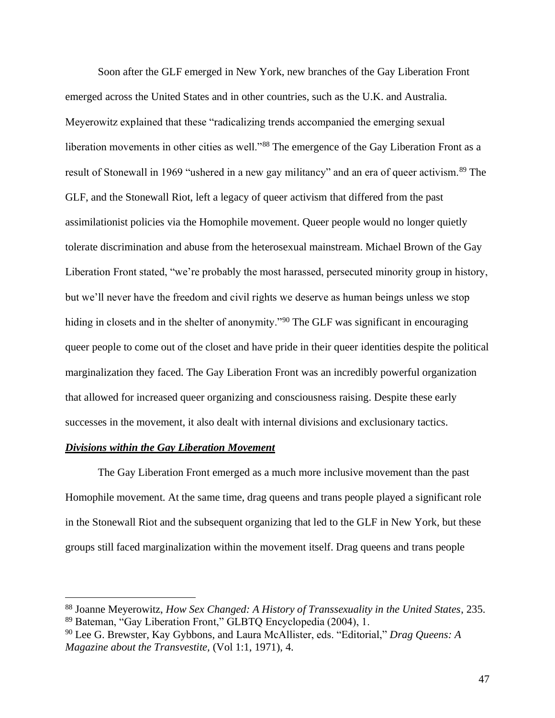Soon after the GLF emerged in New York, new branches of the Gay Liberation Front emerged across the United States and in other countries, such as the U.K. and Australia. Meyerowitz explained that these "radicalizing trends accompanied the emerging sexual liberation movements in other cities as well."<sup>88</sup> The emergence of the Gay Liberation Front as a result of Stonewall in 1969 "ushered in a new gay militancy" and an era of queer activism.<sup>89</sup> The GLF, and the Stonewall Riot, left a legacy of queer activism that differed from the past assimilationist policies via the Homophile movement. Queer people would no longer quietly tolerate discrimination and abuse from the heterosexual mainstream. Michael Brown of the Gay Liberation Front stated, "we're probably the most harassed, persecuted minority group in history, but we'll never have the freedom and civil rights we deserve as human beings unless we stop hiding in closets and in the shelter of anonymity."<sup>90</sup> The GLF was significant in encouraging queer people to come out of the closet and have pride in their queer identities despite the political marginalization they faced. The Gay Liberation Front was an incredibly powerful organization that allowed for increased queer organizing and consciousness raising. Despite these early successes in the movement, it also dealt with internal divisions and exclusionary tactics.

# *Divisions within the Gay Liberation Movement*

The Gay Liberation Front emerged as a much more inclusive movement than the past Homophile movement. At the same time, drag queens and trans people played a significant role in the Stonewall Riot and the subsequent organizing that led to the GLF in New York, but these groups still faced marginalization within the movement itself. Drag queens and trans people

<sup>88</sup> Joanne Meyerowitz, *How Sex Changed: A History of Transsexuality in the United States*, 235. <sup>89</sup> Bateman, "Gay Liberation Front," GLBTQ Encyclopedia (2004), 1.

<sup>90</sup> Lee G. Brewster, Kay Gybbons, and Laura McAllister, eds. "Editorial," *Drag Queens: A Magazine about the Transvestite,* (Vol 1:1, 1971), 4.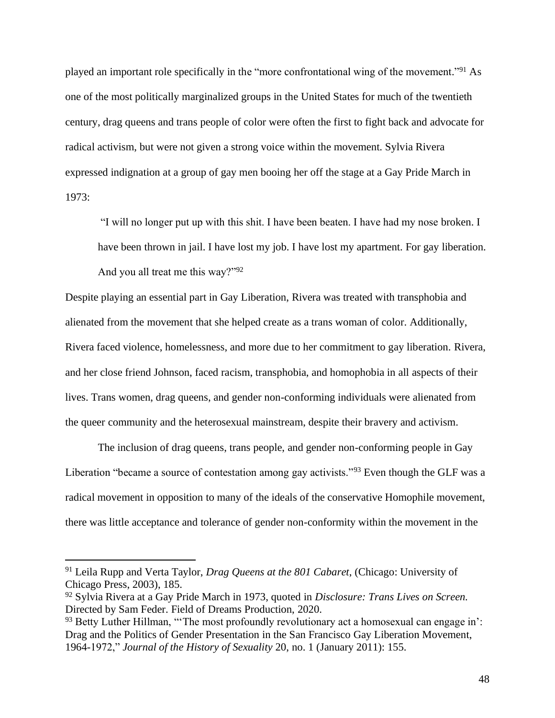played an important role specifically in the "more confrontational wing of the movement."<sup>91</sup> As one of the most politically marginalized groups in the United States for much of the twentieth century, drag queens and trans people of color were often the first to fight back and advocate for radical activism, but were not given a strong voice within the movement. Sylvia Rivera expressed indignation at a group of gay men booing her off the stage at a Gay Pride March in 1973:

"I will no longer put up with this shit. I have been beaten. I have had my nose broken. I have been thrown in jail. I have lost my job. I have lost my apartment. For gay liberation. And you all treat me this way?"<sup>92</sup>

Despite playing an essential part in Gay Liberation, Rivera was treated with transphobia and alienated from the movement that she helped create as a trans woman of color. Additionally, Rivera faced violence, homelessness, and more due to her commitment to gay liberation. Rivera, and her close friend Johnson, faced racism, transphobia, and homophobia in all aspects of their lives. Trans women, drag queens, and gender non-conforming individuals were alienated from the queer community and the heterosexual mainstream, despite their bravery and activism.

The inclusion of drag queens, trans people, and gender non-conforming people in Gay Liberation "became a source of contestation among gay activists."<sup>93</sup> Even though the GLF was a radical movement in opposition to many of the ideals of the conservative Homophile movement, there was little acceptance and tolerance of gender non-conformity within the movement in the

<sup>91</sup> Leila Rupp and Verta Taylor, *Drag Queens at the 801 Cabaret*, (Chicago: University of Chicago Press, 2003), 185.

<sup>92</sup> Sylvia Rivera at a Gay Pride March in 1973, quoted in *Disclosure: Trans Lives on Screen.*  Directed by Sam Feder. Field of Dreams Production, 2020.

<sup>93</sup> Betty Luther Hillman, "The most profoundly revolutionary act a homosexual can engage in': Drag and the Politics of Gender Presentation in the San Francisco Gay Liberation Movement, 1964-1972," *Journal of the History of Sexuality* 20, no. 1 (January 2011): 155.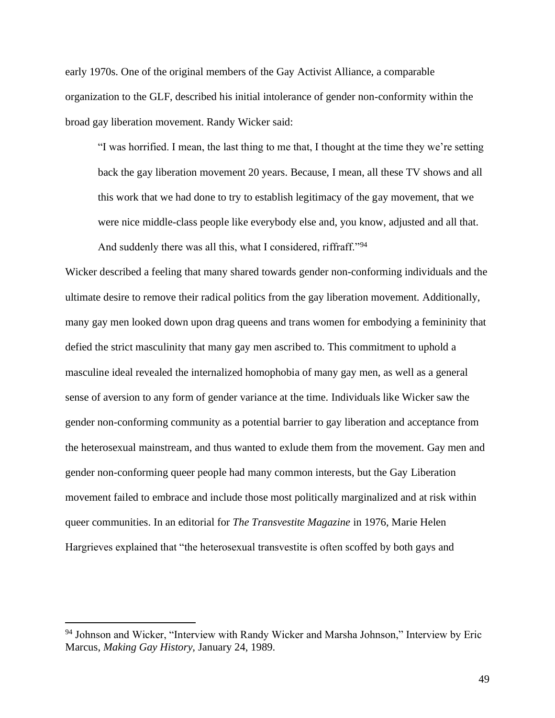early 1970s. One of the original members of the Gay Activist Alliance, a comparable organization to the GLF, described his initial intolerance of gender non-conformity within the broad gay liberation movement. Randy Wicker said:

"I was horrified. I mean, the last thing to me that, I thought at the time they we're setting back the gay liberation movement 20 years. Because, I mean, all these TV shows and all this work that we had done to try to establish legitimacy of the gay movement, that we were nice middle-class people like everybody else and, you know, adjusted and all that. And suddenly there was all this, what I considered, riffraff."<sup>94</sup>

Wicker described a feeling that many shared towards gender non-conforming individuals and the ultimate desire to remove their radical politics from the gay liberation movement. Additionally, many gay men looked down upon drag queens and trans women for embodying a femininity that defied the strict masculinity that many gay men ascribed to. This commitment to uphold a masculine ideal revealed the internalized homophobia of many gay men, as well as a general sense of aversion to any form of gender variance at the time. Individuals like Wicker saw the gender non-conforming community as a potential barrier to gay liberation and acceptance from the heterosexual mainstream, and thus wanted to exlude them from the movement. Gay men and gender non-conforming queer people had many common interests, but the Gay Liberation movement failed to embrace and include those most politically marginalized and at risk within queer communities. In an editorial for *The Transvestite Magazine* in 1976, Marie Helen Hargrieves explained that "the heterosexual transvestite is often scoffed by both gays and

<sup>&</sup>lt;sup>94</sup> Johnson and Wicker, "Interview with Randy Wicker and Marsha Johnson," Interview by Eric Marcus, *Making Gay History,* January 24, 1989.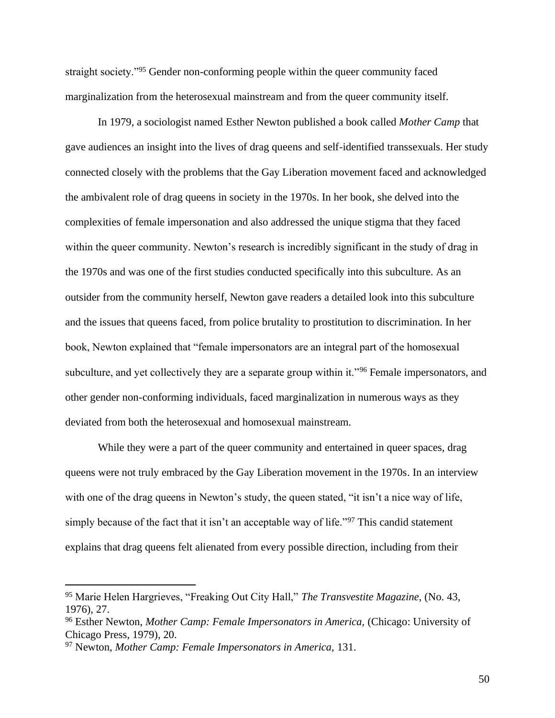straight society."<sup>95</sup> Gender non-conforming people within the queer community faced marginalization from the heterosexual mainstream and from the queer community itself.

In 1979, a sociologist named Esther Newton published a book called *Mother Camp* that gave audiences an insight into the lives of drag queens and self-identified transsexuals. Her study connected closely with the problems that the Gay Liberation movement faced and acknowledged the ambivalent role of drag queens in society in the 1970s. In her book, she delved into the complexities of female impersonation and also addressed the unique stigma that they faced within the queer community. Newton's research is incredibly significant in the study of drag in the 1970s and was one of the first studies conducted specifically into this subculture. As an outsider from the community herself, Newton gave readers a detailed look into this subculture and the issues that queens faced, from police brutality to prostitution to discrimination. In her book, Newton explained that "female impersonators are an integral part of the homosexual subculture, and yet collectively they are a separate group within it."<sup>96</sup> Female impersonators, and other gender non-conforming individuals, faced marginalization in numerous ways as they deviated from both the heterosexual and homosexual mainstream.

While they were a part of the queer community and entertained in queer spaces, drag queens were not truly embraced by the Gay Liberation movement in the 1970s. In an interview with one of the drag queens in Newton's study, the queen stated, "it isn't a nice way of life, simply because of the fact that it isn't an acceptable way of life."<sup>97</sup> This candid statement explains that drag queens felt alienated from every possible direction, including from their

<sup>95</sup> Marie Helen Hargrieves, "Freaking Out City Hall," *The Transvestite Magazine,* (No. 43, 1976), 27.

<sup>96</sup> Esther Newton, *Mother Camp: Female Impersonators in America,* (Chicago: University of Chicago Press, 1979), 20.

<sup>97</sup> Newton, *Mother Camp: Female Impersonators in America,* 131.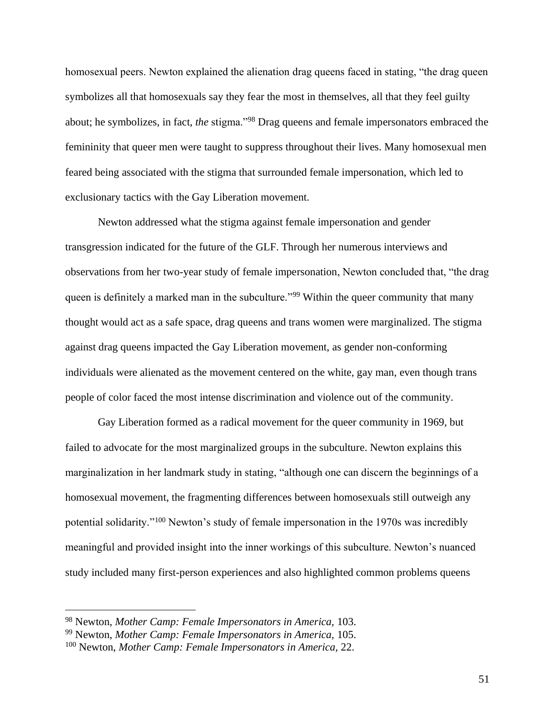homosexual peers. Newton explained the alienation drag queens faced in stating, "the drag queen symbolizes all that homosexuals say they fear the most in themselves, all that they feel guilty about; he symbolizes, in fact, *the* stigma."<sup>98</sup> Drag queens and female impersonators embraced the femininity that queer men were taught to suppress throughout their lives. Many homosexual men feared being associated with the stigma that surrounded female impersonation, which led to exclusionary tactics with the Gay Liberation movement.

Newton addressed what the stigma against female impersonation and gender transgression indicated for the future of the GLF. Through her numerous interviews and observations from her two-year study of female impersonation, Newton concluded that, "the drag queen is definitely a marked man in the subculture."<sup>99</sup> Within the queer community that many thought would act as a safe space, drag queens and trans women were marginalized. The stigma against drag queens impacted the Gay Liberation movement, as gender non-conforming individuals were alienated as the movement centered on the white, gay man, even though trans people of color faced the most intense discrimination and violence out of the community.

Gay Liberation formed as a radical movement for the queer community in 1969, but failed to advocate for the most marginalized groups in the subculture. Newton explains this marginalization in her landmark study in stating, "although one can discern the beginnings of a homosexual movement, the fragmenting differences between homosexuals still outweigh any potential solidarity."<sup>100</sup> Newton's study of female impersonation in the 1970s was incredibly meaningful and provided insight into the inner workings of this subculture. Newton's nuanced study included many first-person experiences and also highlighted common problems queens

<sup>98</sup> Newton, *Mother Camp: Female Impersonators in America,* 103.

<sup>99</sup> Newton, *Mother Camp: Female Impersonators in America,* 105.

<sup>100</sup> Newton, *Mother Camp: Female Impersonators in America,* 22.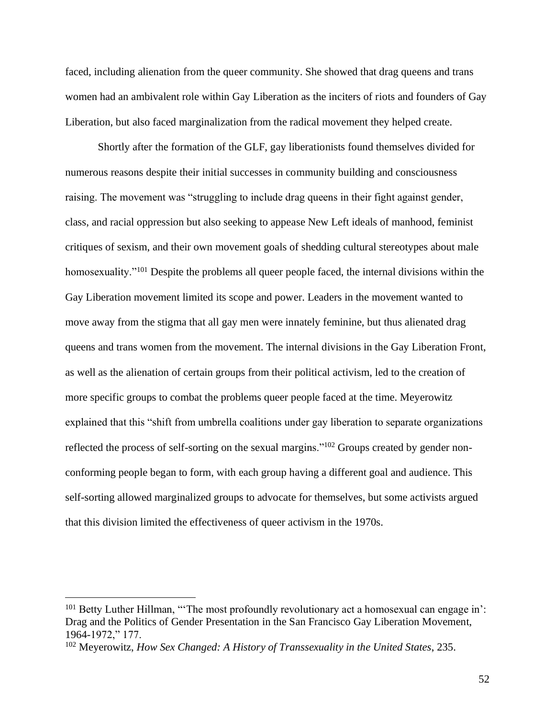faced, including alienation from the queer community. She showed that drag queens and trans women had an ambivalent role within Gay Liberation as the inciters of riots and founders of Gay Liberation, but also faced marginalization from the radical movement they helped create.

Shortly after the formation of the GLF, gay liberationists found themselves divided for numerous reasons despite their initial successes in community building and consciousness raising. The movement was "struggling to include drag queens in their fight against gender, class, and racial oppression but also seeking to appease New Left ideals of manhood, feminist critiques of sexism, and their own movement goals of shedding cultural stereotypes about male homosexuality."<sup>101</sup> Despite the problems all queer people faced, the internal divisions within the Gay Liberation movement limited its scope and power. Leaders in the movement wanted to move away from the stigma that all gay men were innately feminine, but thus alienated drag queens and trans women from the movement. The internal divisions in the Gay Liberation Front, as well as the alienation of certain groups from their political activism, led to the creation of more specific groups to combat the problems queer people faced at the time. Meyerowitz explained that this "shift from umbrella coalitions under gay liberation to separate organizations reflected the process of self-sorting on the sexual margins."<sup>102</sup> Groups created by gender nonconforming people began to form, with each group having a different goal and audience. This self-sorting allowed marginalized groups to advocate for themselves, but some activists argued that this division limited the effectiveness of queer activism in the 1970s.

<sup>&</sup>lt;sup>101</sup> Betty Luther Hillman, "The most profoundly revolutionary act a homosexual can engage in': Drag and the Politics of Gender Presentation in the San Francisco Gay Liberation Movement, 1964-1972," 177.

<sup>102</sup> Meyerowitz, *How Sex Changed: A History of Transsexuality in the United States*, 235.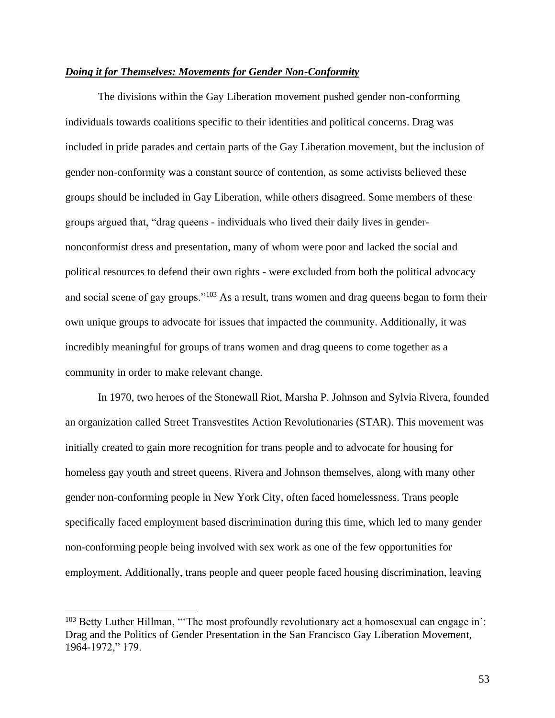## *Doing it for Themselves: Movements for Gender Non-Conformity*

The divisions within the Gay Liberation movement pushed gender non-conforming individuals towards coalitions specific to their identities and political concerns. Drag was included in pride parades and certain parts of the Gay Liberation movement, but the inclusion of gender non-conformity was a constant source of contention, as some activists believed these groups should be included in Gay Liberation, while others disagreed. Some members of these groups argued that, "drag queens - individuals who lived their daily lives in gendernonconformist dress and presentation, many of whom were poor and lacked the social and political resources to defend their own rights - were excluded from both the political advocacy and social scene of gay groups."<sup>103</sup> As a result, trans women and drag queens began to form their own unique groups to advocate for issues that impacted the community. Additionally, it was incredibly meaningful for groups of trans women and drag queens to come together as a community in order to make relevant change.

In 1970, two heroes of the Stonewall Riot, Marsha P. Johnson and Sylvia Rivera, founded an organization called Street Transvestites Action Revolutionaries (STAR). This movement was initially created to gain more recognition for trans people and to advocate for housing for homeless gay youth and street queens. Rivera and Johnson themselves, along with many other gender non-conforming people in New York City, often faced homelessness. Trans people specifically faced employment based discrimination during this time, which led to many gender non-conforming people being involved with sex work as one of the few opportunities for employment. Additionally, trans people and queer people faced housing discrimination, leaving

 $103$  Betty Luther Hillman, "The most profoundly revolutionary act a homosexual can engage in': Drag and the Politics of Gender Presentation in the San Francisco Gay Liberation Movement, 1964-1972," 179.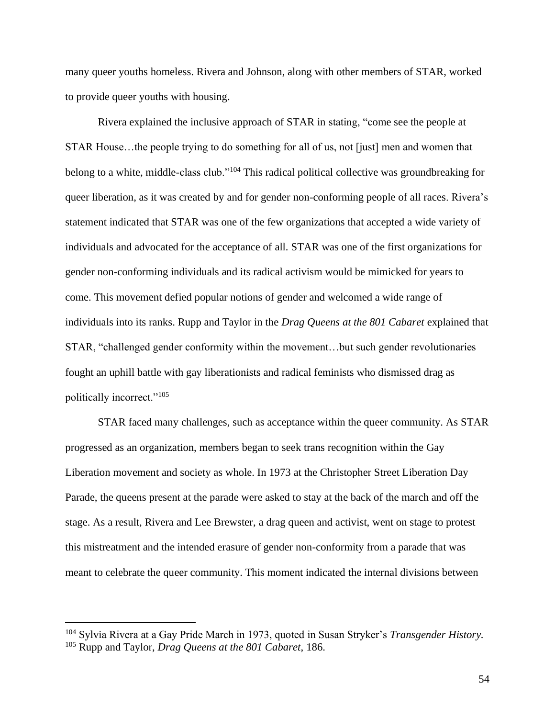many queer youths homeless. Rivera and Johnson, along with other members of STAR, worked to provide queer youths with housing.

Rivera explained the inclusive approach of STAR in stating, "come see the people at STAR House…the people trying to do something for all of us, not [just] men and women that belong to a white, middle-class club."<sup>104</sup> This radical political collective was groundbreaking for queer liberation, as it was created by and for gender non-conforming people of all races. Rivera's statement indicated that STAR was one of the few organizations that accepted a wide variety of individuals and advocated for the acceptance of all. STAR was one of the first organizations for gender non-conforming individuals and its radical activism would be mimicked for years to come. This movement defied popular notions of gender and welcomed a wide range of individuals into its ranks. Rupp and Taylor in the *Drag Queens at the 801 Cabaret* explained that STAR, "challenged gender conformity within the movement…but such gender revolutionaries fought an uphill battle with gay liberationists and radical feminists who dismissed drag as politically incorrect."<sup>105</sup>

STAR faced many challenges, such as acceptance within the queer community. As STAR progressed as an organization, members began to seek trans recognition within the Gay Liberation movement and society as whole. In 1973 at the Christopher Street Liberation Day Parade, the queens present at the parade were asked to stay at the back of the march and off the stage. As a result, Rivera and Lee Brewster, a drag queen and activist, went on stage to protest this mistreatment and the intended erasure of gender non-conformity from a parade that was meant to celebrate the queer community. This moment indicated the internal divisions between

<sup>104</sup> Sylvia Rivera at a Gay Pride March in 1973, quoted in Susan Stryker's *Transgender History.* <sup>105</sup> Rupp and Taylor, *Drag Queens at the 801 Cabaret*, 186.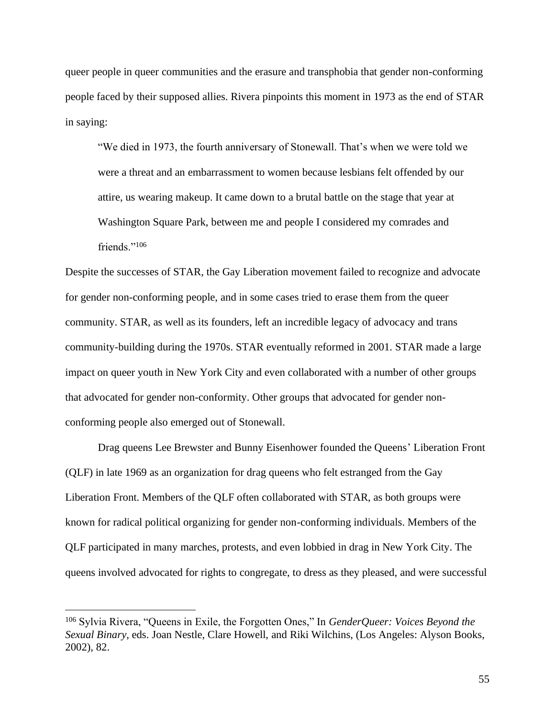queer people in queer communities and the erasure and transphobia that gender non-conforming people faced by their supposed allies. Rivera pinpoints this moment in 1973 as the end of STAR in saying:

"We died in 1973, the fourth anniversary of Stonewall. That's when we were told we were a threat and an embarrassment to women because lesbians felt offended by our attire, us wearing makeup. It came down to a brutal battle on the stage that year at Washington Square Park, between me and people I considered my comrades and friends."<sup>106</sup>

Despite the successes of STAR, the Gay Liberation movement failed to recognize and advocate for gender non-conforming people, and in some cases tried to erase them from the queer community. STAR, as well as its founders, left an incredible legacy of advocacy and trans community-building during the 1970s. STAR eventually reformed in 2001. STAR made a large impact on queer youth in New York City and even collaborated with a number of other groups that advocated for gender non-conformity. Other groups that advocated for gender nonconforming people also emerged out of Stonewall.

Drag queens Lee Brewster and Bunny Eisenhower founded the Queens' Liberation Front (QLF) in late 1969 as an organization for drag queens who felt estranged from the Gay Liberation Front. Members of the QLF often collaborated with STAR, as both groups were known for radical political organizing for gender non-conforming individuals. Members of the QLF participated in many marches, protests, and even lobbied in drag in New York City. The queens involved advocated for rights to congregate, to dress as they pleased, and were successful

<sup>106</sup> Sylvia Rivera, "Queens in Exile, the Forgotten Ones," In *GenderQueer: Voices Beyond the Sexual Binary*, eds. Joan Nestle, Clare Howell, and Riki Wilchins, (Los Angeles: Alyson Books, 2002), 82.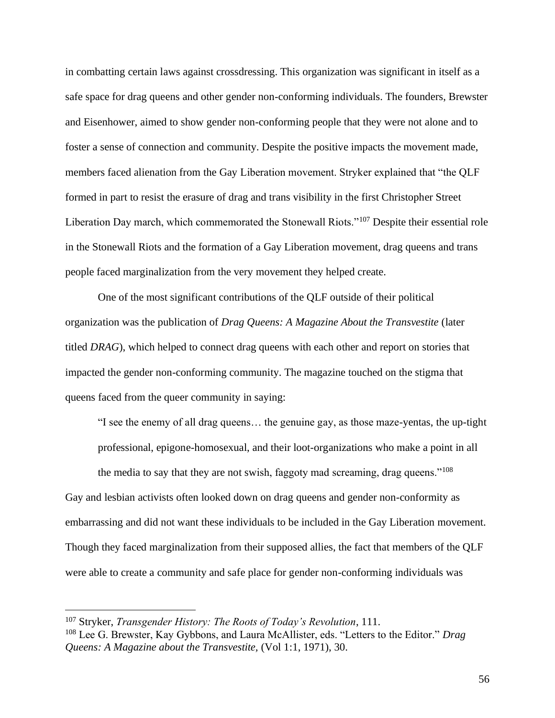in combatting certain laws against crossdressing. This organization was significant in itself as a safe space for drag queens and other gender non-conforming individuals. The founders, Brewster and Eisenhower, aimed to show gender non-conforming people that they were not alone and to foster a sense of connection and community. Despite the positive impacts the movement made, members faced alienation from the Gay Liberation movement. Stryker explained that "the QLF formed in part to resist the erasure of drag and trans visibility in the first Christopher Street Liberation Day march, which commemorated the Stonewall Riots."<sup>107</sup> Despite their essential role in the Stonewall Riots and the formation of a Gay Liberation movement, drag queens and trans people faced marginalization from the very movement they helped create.

One of the most significant contributions of the QLF outside of their political organization was the publication of *Drag Queens: A Magazine About the Transvestite* (later titled *DRAG*), which helped to connect drag queens with each other and report on stories that impacted the gender non-conforming community. The magazine touched on the stigma that queens faced from the queer community in saying:

"I see the enemy of all drag queens… the genuine gay, as those maze-yentas, the up-tight professional, epigone-homosexual, and their loot-organizations who make a point in all the media to say that they are not swish, faggoty mad screaming, drag queens."<sup>108</sup> Gay and lesbian activists often looked down on drag queens and gender non-conformity as embarrassing and did not want these individuals to be included in the Gay Liberation movement. Though they faced marginalization from their supposed allies, the fact that members of the QLF were able to create a community and safe place for gender non-conforming individuals was

<sup>107</sup> Stryker, *Transgender History: The Roots of Today's Revolution*, 111.

<sup>108</sup> Lee G. Brewster, Kay Gybbons, and Laura McAllister, eds. "Letters to the Editor." *Drag Queens: A Magazine about the Transvestite,* (Vol 1:1, 1971), 30.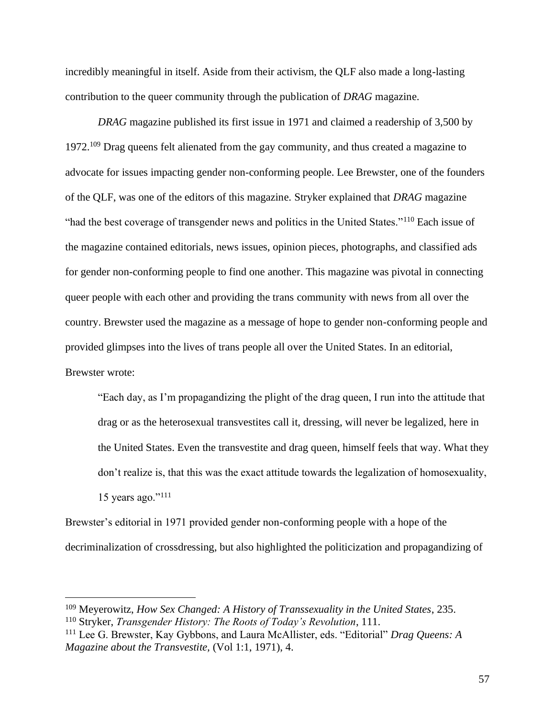incredibly meaningful in itself. Aside from their activism, the QLF also made a long-lasting contribution to the queer community through the publication of *DRAG* magazine.

*DRAG* magazine published its first issue in 1971 and claimed a readership of 3,500 by 1972.<sup>109</sup> Drag queens felt alienated from the gay community, and thus created a magazine to advocate for issues impacting gender non-conforming people. Lee Brewster, one of the founders of the QLF, was one of the editors of this magazine. Stryker explained that *DRAG* magazine "had the best coverage of transgender news and politics in the United States."<sup>110</sup> Each issue of the magazine contained editorials, news issues, opinion pieces, photographs, and classified ads for gender non-conforming people to find one another. This magazine was pivotal in connecting queer people with each other and providing the trans community with news from all over the country. Brewster used the magazine as a message of hope to gender non-conforming people and provided glimpses into the lives of trans people all over the United States. In an editorial, Brewster wrote:

"Each day, as I'm propagandizing the plight of the drag queen, I run into the attitude that drag or as the heterosexual transvestites call it, dressing, will never be legalized, here in the United States. Even the transvestite and drag queen, himself feels that way. What they don't realize is, that this was the exact attitude towards the legalization of homosexuality, 15 years ago." $111$ 

Brewster's editorial in 1971 provided gender non-conforming people with a hope of the decriminalization of crossdressing, but also highlighted the politicization and propagandizing of

<sup>109</sup> Meyerowitz, *How Sex Changed: A History of Transsexuality in the United States*, 235. <sup>110</sup> Stryker, *Transgender History: The Roots of Today's Revolution*, 111.

<sup>111</sup> Lee G. Brewster, Kay Gybbons, and Laura McAllister, eds. "Editorial" *Drag Queens: A Magazine about the Transvestite,* (Vol 1:1, 1971), 4.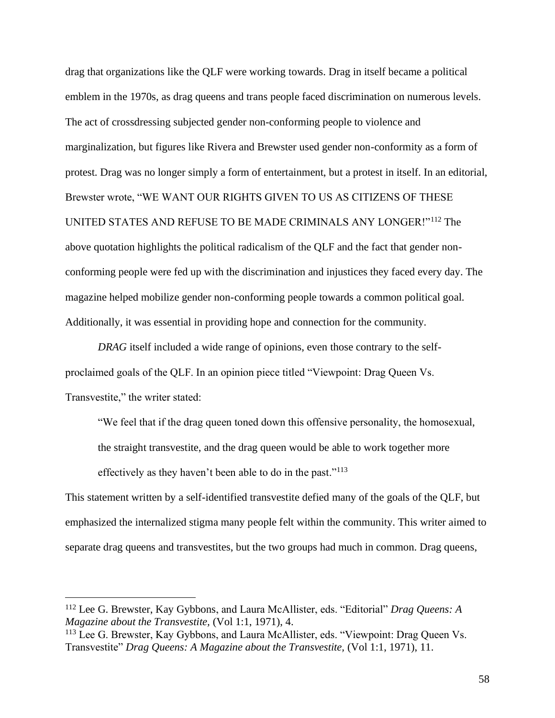drag that organizations like the QLF were working towards. Drag in itself became a political emblem in the 1970s, as drag queens and trans people faced discrimination on numerous levels. The act of crossdressing subjected gender non-conforming people to violence and marginalization, but figures like Rivera and Brewster used gender non-conformity as a form of protest. Drag was no longer simply a form of entertainment, but a protest in itself. In an editorial, Brewster wrote, "WE WANT OUR RIGHTS GIVEN TO US AS CITIZENS OF THESE UNITED STATES AND REFUSE TO BE MADE CRIMINALS ANY LONGER!"<sup>112</sup> The above quotation highlights the political radicalism of the QLF and the fact that gender nonconforming people were fed up with the discrimination and injustices they faced every day. The magazine helped mobilize gender non-conforming people towards a common political goal. Additionally, it was essential in providing hope and connection for the community.

*DRAG* itself included a wide range of opinions, even those contrary to the selfproclaimed goals of the QLF. In an opinion piece titled "Viewpoint: Drag Queen Vs. Transvestite," the writer stated:

"We feel that if the drag queen toned down this offensive personality, the homosexual, the straight transvestite, and the drag queen would be able to work together more effectively as they haven't been able to do in the past."<sup>113</sup>

This statement written by a self-identified transvestite defied many of the goals of the QLF, but emphasized the internalized stigma many people felt within the community. This writer aimed to separate drag queens and transvestites, but the two groups had much in common. Drag queens,

<sup>112</sup> Lee G. Brewster, Kay Gybbons, and Laura McAllister, eds. "Editorial" *Drag Queens: A Magazine about the Transvestite,* (Vol 1:1, 1971), 4.

<sup>&</sup>lt;sup>113</sup> Lee G. Brewster, Kay Gybbons, and Laura McAllister, eds. "Viewpoint: Drag Queen Vs. Transvestite" *Drag Queens: A Magazine about the Transvestite,* (Vol 1:1, 1971), 11.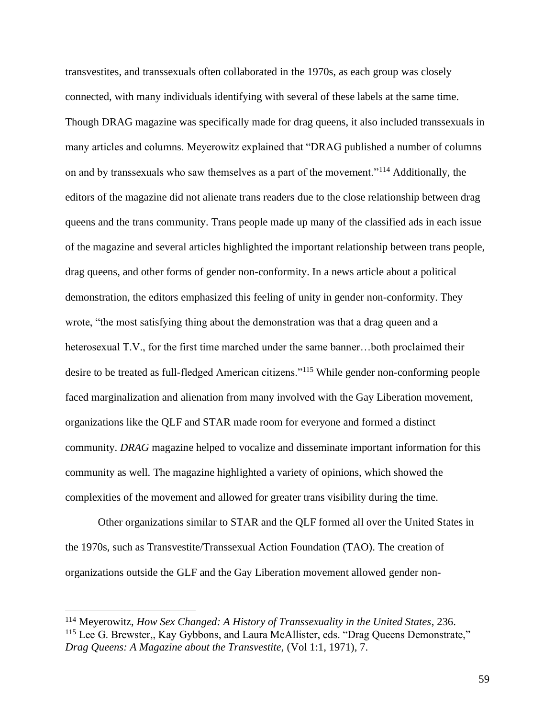transvestites, and transsexuals often collaborated in the 1970s, as each group was closely connected, with many individuals identifying with several of these labels at the same time. Though DRAG magazine was specifically made for drag queens, it also included transsexuals in many articles and columns. Meyerowitz explained that "DRAG published a number of columns on and by transsexuals who saw themselves as a part of the movement."<sup>114</sup> Additionally, the editors of the magazine did not alienate trans readers due to the close relationship between drag queens and the trans community. Trans people made up many of the classified ads in each issue of the magazine and several articles highlighted the important relationship between trans people, drag queens, and other forms of gender non-conformity. In a news article about a political demonstration, the editors emphasized this feeling of unity in gender non-conformity. They wrote, "the most satisfying thing about the demonstration was that a drag queen and a heterosexual T.V., for the first time marched under the same banner...both proclaimed their desire to be treated as full-fledged American citizens."<sup>115</sup> While gender non-conforming people faced marginalization and alienation from many involved with the Gay Liberation movement, organizations like the QLF and STAR made room for everyone and formed a distinct community. *DRAG* magazine helped to vocalize and disseminate important information for this community as well. The magazine highlighted a variety of opinions, which showed the complexities of the movement and allowed for greater trans visibility during the time.

Other organizations similar to STAR and the QLF formed all over the United States in the 1970s, such as Transvestite/Transsexual Action Foundation (TAO). The creation of organizations outside the GLF and the Gay Liberation movement allowed gender non-

<sup>114</sup> Meyerowitz, *How Sex Changed: A History of Transsexuality in the United States*, 236. <sup>115</sup> Lee G. Brewster,, Kay Gybbons, and Laura McAllister, eds. "Drag Queens Demonstrate," *Drag Queens: A Magazine about the Transvestite,* (Vol 1:1, 1971), 7.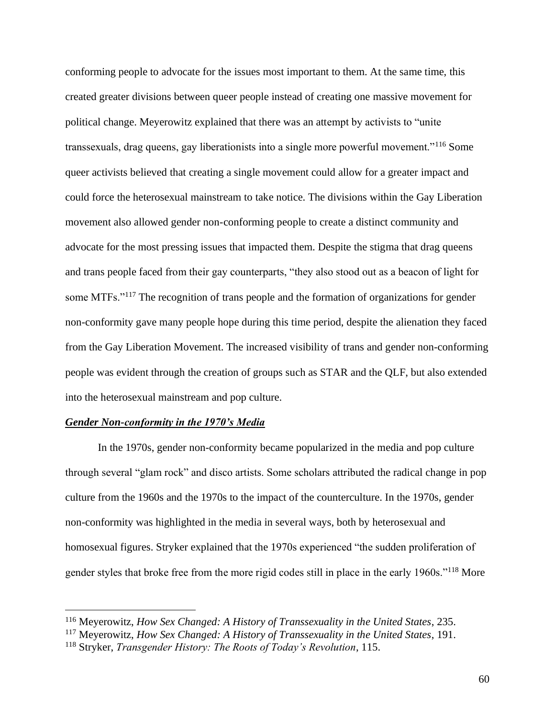conforming people to advocate for the issues most important to them. At the same time, this created greater divisions between queer people instead of creating one massive movement for political change. Meyerowitz explained that there was an attempt by activists to "unite transsexuals, drag queens, gay liberationists into a single more powerful movement."<sup>116</sup> Some queer activists believed that creating a single movement could allow for a greater impact and could force the heterosexual mainstream to take notice. The divisions within the Gay Liberation movement also allowed gender non-conforming people to create a distinct community and advocate for the most pressing issues that impacted them. Despite the stigma that drag queens and trans people faced from their gay counterparts, "they also stood out as a beacon of light for some MTFs."<sup>117</sup> The recognition of trans people and the formation of organizations for gender non-conformity gave many people hope during this time period, despite the alienation they faced from the Gay Liberation Movement. The increased visibility of trans and gender non-conforming people was evident through the creation of groups such as STAR and the QLF, but also extended into the heterosexual mainstream and pop culture.

# *Gender Non-conformity in the 1970's Media*

In the 1970s, gender non-conformity became popularized in the media and pop culture through several "glam rock" and disco artists. Some scholars attributed the radical change in pop culture from the 1960s and the 1970s to the impact of the counterculture. In the 1970s, gender non-conformity was highlighted in the media in several ways, both by heterosexual and homosexual figures. Stryker explained that the 1970s experienced "the sudden proliferation of gender styles that broke free from the more rigid codes still in place in the early 1960s."<sup>118</sup> More

<sup>116</sup> Meyerowitz, *How Sex Changed: A History of Transsexuality in the United States*, 235.

<sup>117</sup> Meyerowitz, *How Sex Changed: A History of Transsexuality in the United States*, 191.

<sup>118</sup> Stryker, *Transgender History: The Roots of Today's Revolution*, 115.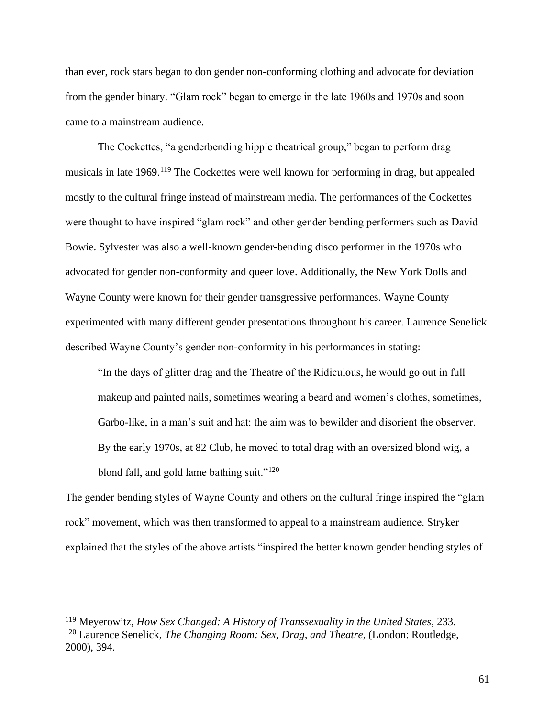than ever, rock stars began to don gender non-conforming clothing and advocate for deviation from the gender binary. "Glam rock" began to emerge in the late 1960s and 1970s and soon came to a mainstream audience.

The Cockettes, "a genderbending hippie theatrical group," began to perform drag musicals in late 1969.<sup>119</sup> The Cockettes were well known for performing in drag, but appealed mostly to the cultural fringe instead of mainstream media. The performances of the Cockettes were thought to have inspired "glam rock" and other gender bending performers such as David Bowie. Sylvester was also a well-known gender-bending disco performer in the 1970s who advocated for gender non-conformity and queer love. Additionally, the New York Dolls and Wayne County were known for their gender transgressive performances. Wayne County experimented with many different gender presentations throughout his career. Laurence Senelick described Wayne County's gender non-conformity in his performances in stating:

"In the days of glitter drag and the Theatre of the Ridiculous, he would go out in full makeup and painted nails, sometimes wearing a beard and women's clothes, sometimes, Garbo-like, in a man's suit and hat: the aim was to bewilder and disorient the observer. By the early 1970s, at 82 Club, he moved to total drag with an oversized blond wig, a blond fall, and gold lame bathing suit."<sup>120</sup>

The gender bending styles of Wayne County and others on the cultural fringe inspired the "glam rock" movement, which was then transformed to appeal to a mainstream audience. Stryker explained that the styles of the above artists "inspired the better known gender bending styles of

<sup>119</sup> Meyerowitz, *How Sex Changed: A History of Transsexuality in the United States*, 233. <sup>120</sup> Laurence Senelick, *The Changing Room: Sex, Drag, and Theatre*, (London: Routledge, 2000), 394.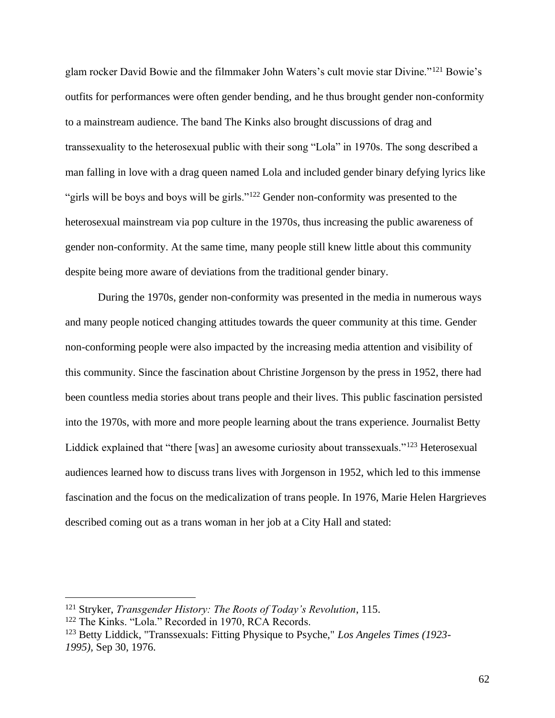glam rocker David Bowie and the filmmaker John Waters's cult movie star Divine."<sup>121</sup> Bowie's outfits for performances were often gender bending, and he thus brought gender non-conformity to a mainstream audience. The band The Kinks also brought discussions of drag and transsexuality to the heterosexual public with their song "Lola" in 1970s. The song described a man falling in love with a drag queen named Lola and included gender binary defying lyrics like "girls will be boys and boys will be girls."<sup>122</sup> Gender non-conformity was presented to the heterosexual mainstream via pop culture in the 1970s, thus increasing the public awareness of gender non-conformity. At the same time, many people still knew little about this community despite being more aware of deviations from the traditional gender binary.

During the 1970s, gender non-conformity was presented in the media in numerous ways and many people noticed changing attitudes towards the queer community at this time. Gender non-conforming people were also impacted by the increasing media attention and visibility of this community. Since the fascination about Christine Jorgenson by the press in 1952, there had been countless media stories about trans people and their lives. This public fascination persisted into the 1970s, with more and more people learning about the trans experience. Journalist Betty Liddick explained that "there [was] an awesome curiosity about transsexuals."<sup>123</sup> Heterosexual audiences learned how to discuss trans lives with Jorgenson in 1952, which led to this immense fascination and the focus on the medicalization of trans people. In 1976, Marie Helen Hargrieves described coming out as a trans woman in her job at a City Hall and stated:

<sup>121</sup> Stryker, *Transgender History: The Roots of Today's Revolution*, 115.

<sup>122</sup> The Kinks. "Lola." Recorded in 1970, RCA Records.

<sup>123</sup> Betty Liddick, "Transsexuals: Fitting Physique to Psyche," *Los Angeles Times (1923- 1995),* Sep 30, 1976.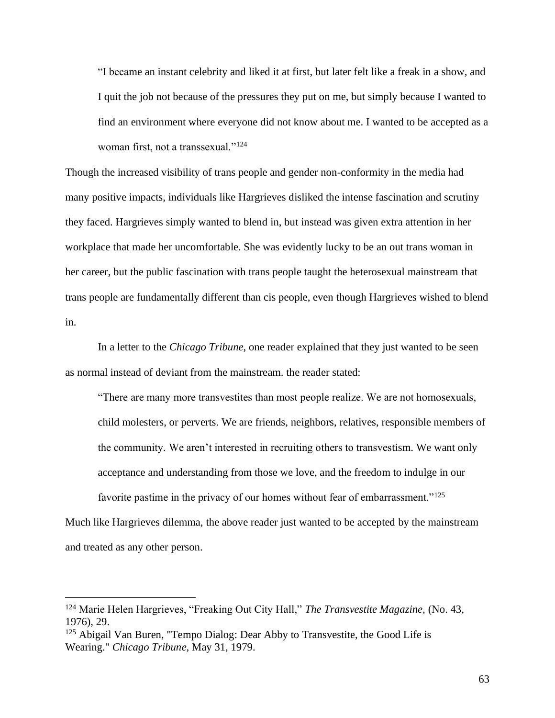"I became an instant celebrity and liked it at first, but later felt like a freak in a show, and I quit the job not because of the pressures they put on me, but simply because I wanted to find an environment where everyone did not know about me. I wanted to be accepted as a woman first, not a transsexual."<sup>124</sup>

Though the increased visibility of trans people and gender non-conformity in the media had many positive impacts, individuals like Hargrieves disliked the intense fascination and scrutiny they faced. Hargrieves simply wanted to blend in, but instead was given extra attention in her workplace that made her uncomfortable. She was evidently lucky to be an out trans woman in her career, but the public fascination with trans people taught the heterosexual mainstream that trans people are fundamentally different than cis people, even though Hargrieves wished to blend in.

In a letter to the *Chicago Tribune*, one reader explained that they just wanted to be seen as normal instead of deviant from the mainstream. the reader stated:

"There are many more transvestites than most people realize. We are not homosexuals, child molesters, or perverts. We are friends, neighbors, relatives, responsible members of the community. We aren't interested in recruiting others to transvestism. We want only acceptance and understanding from those we love, and the freedom to indulge in our favorite pastime in the privacy of our homes without fear of embarrassment."<sup>125</sup> Much like Hargrieves dilemma, the above reader just wanted to be accepted by the mainstream

and treated as any other person.

<sup>124</sup> Marie Helen Hargrieves, "Freaking Out City Hall," *The Transvestite Magazine,* (No. 43, 1976), 29.

<sup>&</sup>lt;sup>125</sup> Abigail Van Buren, "Tempo Dialog: Dear Abby to Transvestite, the Good Life is Wearing." *Chicago Tribune,* May 31, 1979.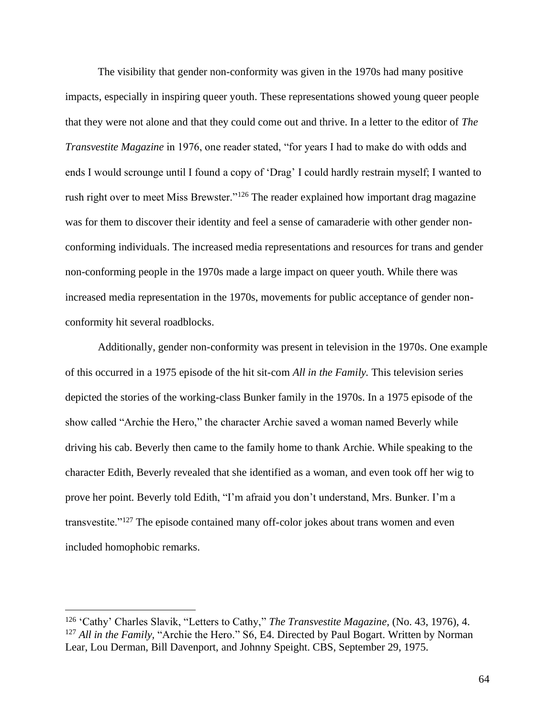The visibility that gender non-conformity was given in the 1970s had many positive impacts, especially in inspiring queer youth. These representations showed young queer people that they were not alone and that they could come out and thrive. In a letter to the editor of *The Transvestite Magazine* in 1976, one reader stated, "for years I had to make do with odds and ends I would scrounge until I found a copy of 'Drag' I could hardly restrain myself; I wanted to rush right over to meet Miss Brewster."<sup>126</sup> The reader explained how important drag magazine was for them to discover their identity and feel a sense of camaraderie with other gender nonconforming individuals. The increased media representations and resources for trans and gender non-conforming people in the 1970s made a large impact on queer youth. While there was increased media representation in the 1970s, movements for public acceptance of gender nonconformity hit several roadblocks.

Additionally, gender non-conformity was present in television in the 1970s. One example of this occurred in a 1975 episode of the hit sit-com *All in the Family.* This television series depicted the stories of the working-class Bunker family in the 1970s. In a 1975 episode of the show called "Archie the Hero," the character Archie saved a woman named Beverly while driving his cab. Beverly then came to the family home to thank Archie. While speaking to the character Edith, Beverly revealed that she identified as a woman, and even took off her wig to prove her point. Beverly told Edith, "I'm afraid you don't understand, Mrs. Bunker. I'm a transvestite."<sup>127</sup> The episode contained many off-color jokes about trans women and even included homophobic remarks.

<sup>126</sup> 'Cathy' Charles Slavik, "Letters to Cathy," *The Transvestite Magazine,* (No. 43, 1976), 4. <sup>127</sup> *All in the Family,* "Archie the Hero." S6, E4. Directed by Paul Bogart. Written by Norman Lear, Lou Derman, Bill Davenport, and Johnny Speight. CBS, September 29, 1975.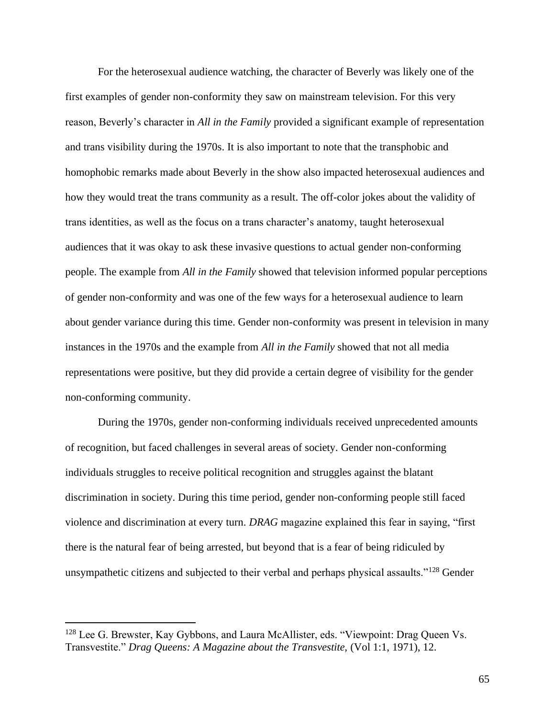For the heterosexual audience watching, the character of Beverly was likely one of the first examples of gender non-conformity they saw on mainstream television. For this very reason, Beverly's character in *All in the Family* provided a significant example of representation and trans visibility during the 1970s. It is also important to note that the transphobic and homophobic remarks made about Beverly in the show also impacted heterosexual audiences and how they would treat the trans community as a result. The off-color jokes about the validity of trans identities, as well as the focus on a trans character's anatomy, taught heterosexual audiences that it was okay to ask these invasive questions to actual gender non-conforming people. The example from *All in the Family* showed that television informed popular perceptions of gender non-conformity and was one of the few ways for a heterosexual audience to learn about gender variance during this time. Gender non-conformity was present in television in many instances in the 1970s and the example from *All in the Family* showed that not all media representations were positive, but they did provide a certain degree of visibility for the gender non-conforming community.

During the 1970s, gender non-conforming individuals received unprecedented amounts of recognition, but faced challenges in several areas of society. Gender non-conforming individuals struggles to receive political recognition and struggles against the blatant discrimination in society. During this time period, gender non-conforming people still faced violence and discrimination at every turn. *DRAG* magazine explained this fear in saying, "first there is the natural fear of being arrested, but beyond that is a fear of being ridiculed by unsympathetic citizens and subjected to their verbal and perhaps physical assaults."<sup>128</sup> Gender

<sup>&</sup>lt;sup>128</sup> Lee G. Brewster, Kay Gybbons, and Laura McAllister, eds. "Viewpoint: Drag Queen Vs. Transvestite." *Drag Queens: A Magazine about the Transvestite,* (Vol 1:1, 1971), 12.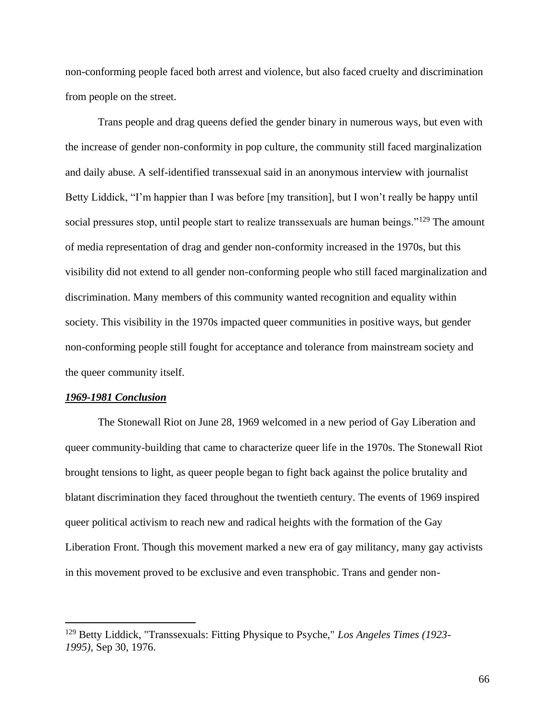non-conforming people faced both arrest and violence, but also faced cruelty and discrimination from people on the street.

Trans people and drag queens defied the gender binary in numerous ways, but even with the increase of gender non-conformity in pop culture, the community still faced marginalization and daily abuse. A self-identified transsexual said in an anonymous interview with journalist Betty Liddick, "I'm happier than I was before [my transition], but I won't really be happy until social pressures stop, until people start to realize transsexuals are human beings."<sup>129</sup> The amount of media representation of drag and gender non-conformity increased in the 1970s, but this visibility did not extend to all gender non-conforming people who still faced marginalization and discrimination. Many members of this community wanted recognition and equality within society. This visibility in the 1970s impacted queer communities in positive ways, but gender non-conforming people still fought for acceptance and tolerance from mainstream society and the queer community itself.

#### *1969-1981 Conclusion*

The Stonewall Riot on June 28, 1969 welcomed in a new period of Gay Liberation and queer community-building that came to characterize queer life in the 1970s. The Stonewall Riot brought tensions to light, as queer people began to fight back against the police brutality and blatant discrimination they faced throughout the twentieth century. The events of 1969 inspired queer political activism to reach new and radical heights with the formation of the Gay Liberation Front. Though this movement marked a new era of gay militancy, many gay activists in this movement proved to be exclusive and even transphobic. Trans and gender non-

<sup>129</sup> Betty Liddick, "Transsexuals: Fitting Physique to Psyche," *Los Angeles Times (1923- 1995),* Sep 30, 1976.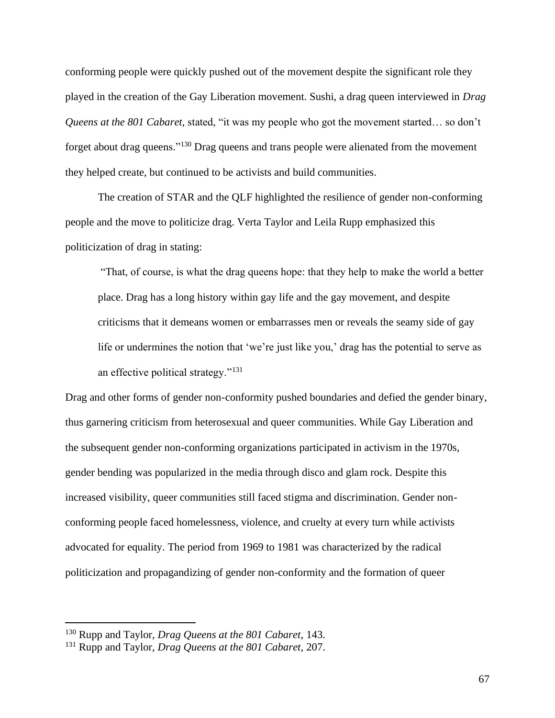conforming people were quickly pushed out of the movement despite the significant role they played in the creation of the Gay Liberation movement. Sushi, a drag queen interviewed in *Drag Queens at the 801 Cabaret,* stated, "it was my people who got the movement started… so don't forget about drag queens."<sup>130</sup> Drag queens and trans people were alienated from the movement they helped create, but continued to be activists and build communities.

The creation of STAR and the QLF highlighted the resilience of gender non-conforming people and the move to politicize drag. Verta Taylor and Leila Rupp emphasized this politicization of drag in stating:

"That, of course, is what the drag queens hope: that they help to make the world a better place. Drag has a long history within gay life and the gay movement, and despite criticisms that it demeans women or embarrasses men or reveals the seamy side of gay life or undermines the notion that 'we're just like you,' drag has the potential to serve as an effective political strategy."<sup>131</sup>

Drag and other forms of gender non-conformity pushed boundaries and defied the gender binary, thus garnering criticism from heterosexual and queer communities. While Gay Liberation and the subsequent gender non-conforming organizations participated in activism in the 1970s, gender bending was popularized in the media through disco and glam rock. Despite this increased visibility, queer communities still faced stigma and discrimination. Gender nonconforming people faced homelessness, violence, and cruelty at every turn while activists advocated for equality. The period from 1969 to 1981 was characterized by the radical politicization and propagandizing of gender non-conformity and the formation of queer

<sup>130</sup> Rupp and Taylor, *Drag Queens at the 801 Cabaret*, 143.

<sup>131</sup> Rupp and Taylor, *Drag Queens at the 801 Cabaret*, 207.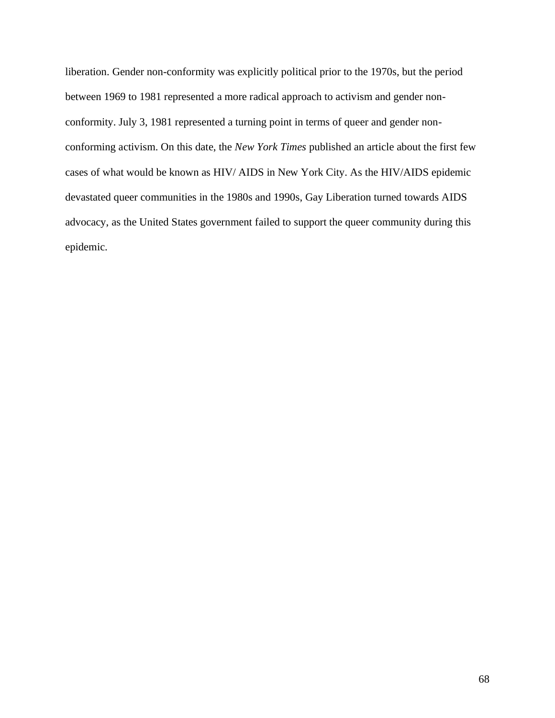liberation. Gender non-conformity was explicitly political prior to the 1970s, but the period between 1969 to 1981 represented a more radical approach to activism and gender nonconformity. July 3, 1981 represented a turning point in terms of queer and gender nonconforming activism. On this date, the *New York Times* published an article about the first few cases of what would be known as HIV/ AIDS in New York City. As the HIV/AIDS epidemic devastated queer communities in the 1980s and 1990s, Gay Liberation turned towards AIDS advocacy, as the United States government failed to support the queer community during this epidemic.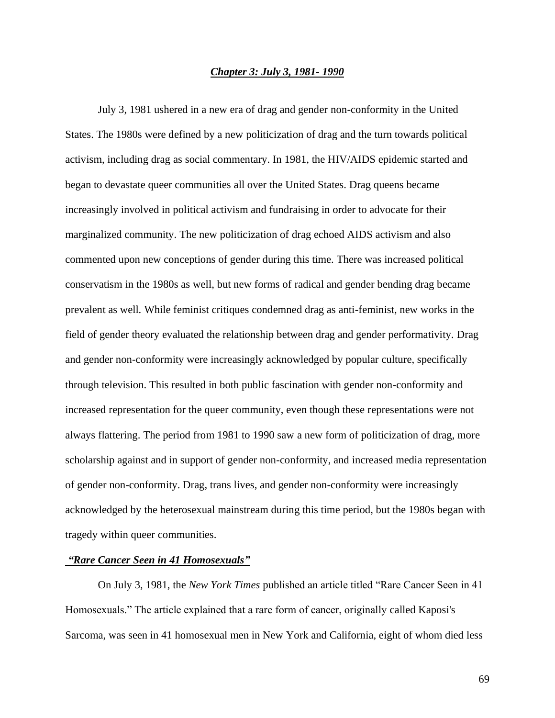## *Chapter 3: July 3, 1981- 1990*

July 3, 1981 ushered in a new era of drag and gender non-conformity in the United States. The 1980s were defined by a new politicization of drag and the turn towards political activism, including drag as social commentary. In 1981, the HIV/AIDS epidemic started and began to devastate queer communities all over the United States. Drag queens became increasingly involved in political activism and fundraising in order to advocate for their marginalized community. The new politicization of drag echoed AIDS activism and also commented upon new conceptions of gender during this time. There was increased political conservatism in the 1980s as well, but new forms of radical and gender bending drag became prevalent as well. While feminist critiques condemned drag as anti-feminist, new works in the field of gender theory evaluated the relationship between drag and gender performativity. Drag and gender non-conformity were increasingly acknowledged by popular culture, specifically through television. This resulted in both public fascination with gender non-conformity and increased representation for the queer community, even though these representations were not always flattering. The period from 1981 to 1990 saw a new form of politicization of drag, more scholarship against and in support of gender non-conformity, and increased media representation of gender non-conformity. Drag, trans lives, and gender non-conformity were increasingly acknowledged by the heterosexual mainstream during this time period, but the 1980s began with tragedy within queer communities.

### *"Rare Cancer Seen in 41 Homosexuals"*

On July 3, 1981, the *New York Times* published an article titled "Rare Cancer Seen in 41 Homosexuals." The article explained that a rare form of cancer, originally called Kaposi's Sarcoma, was seen in 41 homosexual men in New York and California, eight of whom died less

69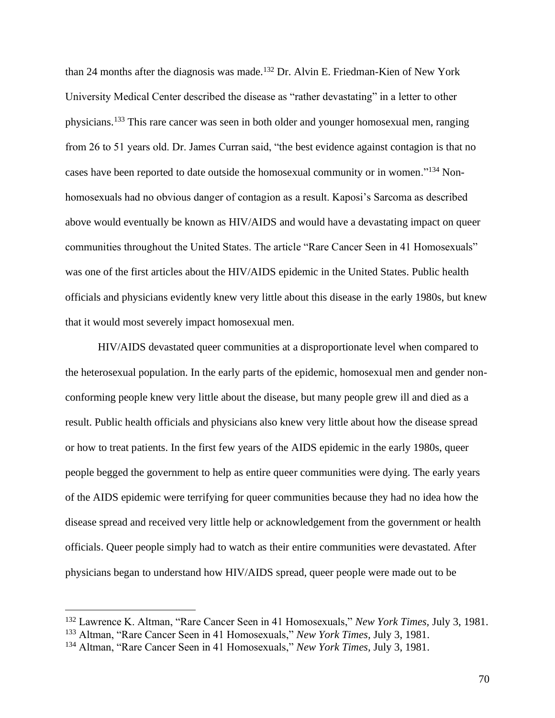than 24 months after the diagnosis was made.<sup>132</sup> Dr. Alvin E. Friedman-Kien of New York University Medical Center described the disease as "rather devastating" in a letter to other physicians.<sup>133</sup> This rare cancer was seen in both older and younger homosexual men, ranging from 26 to 51 years old. Dr. James Curran said, "the best evidence against contagion is that no cases have been reported to date outside the homosexual community or in women."<sup>134</sup> Nonhomosexuals had no obvious danger of contagion as a result. Kaposi's Sarcoma as described above would eventually be known as HIV/AIDS and would have a devastating impact on queer communities throughout the United States. The article "Rare Cancer Seen in 41 Homosexuals" was one of the first articles about the HIV/AIDS epidemic in the United States. Public health officials and physicians evidently knew very little about this disease in the early 1980s, but knew that it would most severely impact homosexual men.

HIV/AIDS devastated queer communities at a disproportionate level when compared to the heterosexual population. In the early parts of the epidemic, homosexual men and gender nonconforming people knew very little about the disease, but many people grew ill and died as a result. Public health officials and physicians also knew very little about how the disease spread or how to treat patients. In the first few years of the AIDS epidemic in the early 1980s, queer people begged the government to help as entire queer communities were dying. The early years of the AIDS epidemic were terrifying for queer communities because they had no idea how the disease spread and received very little help or acknowledgement from the government or health officials. Queer people simply had to watch as their entire communities were devastated. After physicians began to understand how HIV/AIDS spread, queer people were made out to be

<sup>132</sup> Lawrence K. Altman, "Rare Cancer Seen in 41 Homosexuals," *New York Times,* July 3, 1981.

<sup>133</sup> Altman, "Rare Cancer Seen in 41 Homosexuals," *New York Times,* July 3, 1981.

<sup>134</sup> Altman, "Rare Cancer Seen in 41 Homosexuals," *New York Times,* July 3, 1981.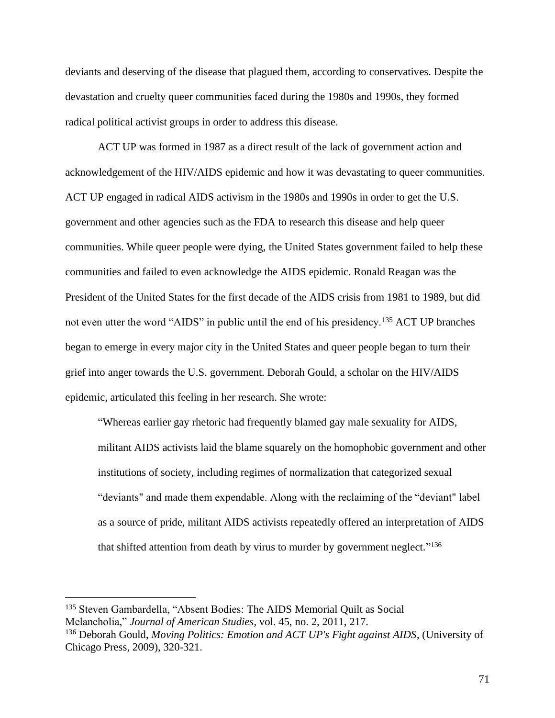deviants and deserving of the disease that plagued them, according to conservatives. Despite the devastation and cruelty queer communities faced during the 1980s and 1990s, they formed radical political activist groups in order to address this disease.

ACT UP was formed in 1987 as a direct result of the lack of government action and acknowledgement of the HIV/AIDS epidemic and how it was devastating to queer communities. ACT UP engaged in radical AIDS activism in the 1980s and 1990s in order to get the U.S. government and other agencies such as the FDA to research this disease and help queer communities. While queer people were dying, the United States government failed to help these communities and failed to even acknowledge the AIDS epidemic. Ronald Reagan was the President of the United States for the first decade of the AIDS crisis from 1981 to 1989, but did not even utter the word "AIDS" in public until the end of his presidency.<sup>135</sup> ACT UP branches began to emerge in every major city in the United States and queer people began to turn their grief into anger towards the U.S. government. Deborah Gould, a scholar on the HIV/AIDS epidemic, articulated this feeling in her research. She wrote:

"Whereas earlier gay rhetoric had frequently blamed gay male sexuality for AIDS, militant AIDS activists laid the blame squarely on the homophobic government and other institutions of society, including regimes of normalization that categorized sexual "deviants" and made them expendable. Along with the reclaiming of the "deviant" label as a source of pride, militant AIDS activists repeatedly offered an interpretation of AIDS that shifted attention from death by virus to murder by government neglect."<sup>136</sup>

<sup>135</sup> Steven Gambardella, "Absent Bodies: The AIDS Memorial Quilt as Social Melancholia," *Journal of American Studies*, vol. 45, no. 2, 2011, 217.

<sup>136</sup> Deborah Gould, *Moving Politics: Emotion and ACT UP's Fight against AIDS*, (University of Chicago Press, 2009), 320-321.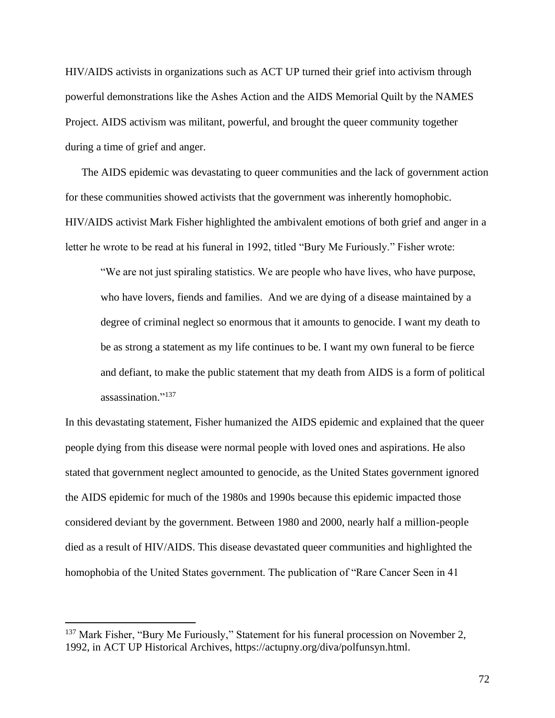HIV/AIDS activists in organizations such as ACT UP turned their grief into activism through powerful demonstrations like the Ashes Action and the AIDS Memorial Quilt by the NAMES Project. AIDS activism was militant, powerful, and brought the queer community together during a time of grief and anger.

The AIDS epidemic was devastating to queer communities and the lack of government action for these communities showed activists that the government was inherently homophobic. HIV/AIDS activist Mark Fisher highlighted the ambivalent emotions of both grief and anger in a letter he wrote to be read at his funeral in 1992, titled "Bury Me Furiously." Fisher wrote:

"We are not just spiraling statistics. We are people who have lives, who have purpose, who have lovers, fiends and families. And we are dying of a disease maintained by a degree of criminal neglect so enormous that it amounts to genocide. I want my death to be as strong a statement as my life continues to be. I want my own funeral to be fierce and defiant, to make the public statement that my death from AIDS is a form of political assassination." 137

In this devastating statement, Fisher humanized the AIDS epidemic and explained that the queer people dying from this disease were normal people with loved ones and aspirations. He also stated that government neglect amounted to genocide, as the United States government ignored the AIDS epidemic for much of the 1980s and 1990s because this epidemic impacted those considered deviant by the government. Between 1980 and 2000, nearly half a million-people died as a result of HIV/AIDS. This disease devastated queer communities and highlighted the homophobia of the United States government. The publication of "Rare Cancer Seen in 41

<sup>&</sup>lt;sup>137</sup> Mark Fisher, "Bury Me Furiously," Statement for his funeral procession on November 2, 1992, in ACT UP Historical Archives, https://actupny.org/diva/polfunsyn.html.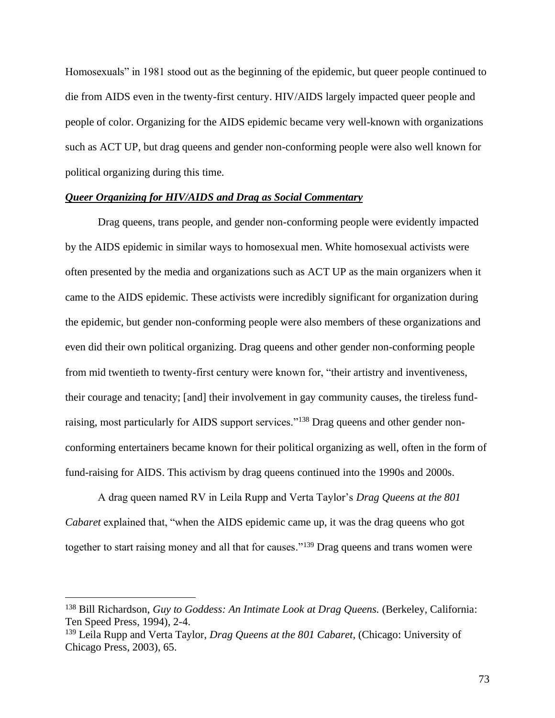Homosexuals" in 1981 stood out as the beginning of the epidemic, but queer people continued to die from AIDS even in the twenty-first century. HIV/AIDS largely impacted queer people and people of color. Organizing for the AIDS epidemic became very well-known with organizations such as ACT UP, but drag queens and gender non-conforming people were also well known for political organizing during this time.

# *Queer Organizing for HIV/AIDS and Drag as Social Commentary*

Drag queens, trans people, and gender non-conforming people were evidently impacted by the AIDS epidemic in similar ways to homosexual men. White homosexual activists were often presented by the media and organizations such as ACT UP as the main organizers when it came to the AIDS epidemic. These activists were incredibly significant for organization during the epidemic, but gender non-conforming people were also members of these organizations and even did their own political organizing. Drag queens and other gender non-conforming people from mid twentieth to twenty-first century were known for, "their artistry and inventiveness, their courage and tenacity; [and] their involvement in gay community causes, the tireless fundraising, most particularly for AIDS support services."<sup>138</sup> Drag queens and other gender nonconforming entertainers became known for their political organizing as well, often in the form of fund-raising for AIDS. This activism by drag queens continued into the 1990s and 2000s.

A drag queen named RV in Leila Rupp and Verta Taylor's *Drag Queens at the 801 Cabaret* explained that, "when the AIDS epidemic came up, it was the drag queens who got together to start raising money and all that for causes."<sup>139</sup> Drag queens and trans women were

<sup>&</sup>lt;sup>138</sup> Bill Richardson, *Guy to Goddess: An Intimate Look at Drag Queens.* (Berkeley, California: Ten Speed Press, 1994), 2-4.

<sup>139</sup> Leila Rupp and Verta Taylor, *Drag Queens at the 801 Cabaret*, (Chicago: University of Chicago Press, 2003), 65.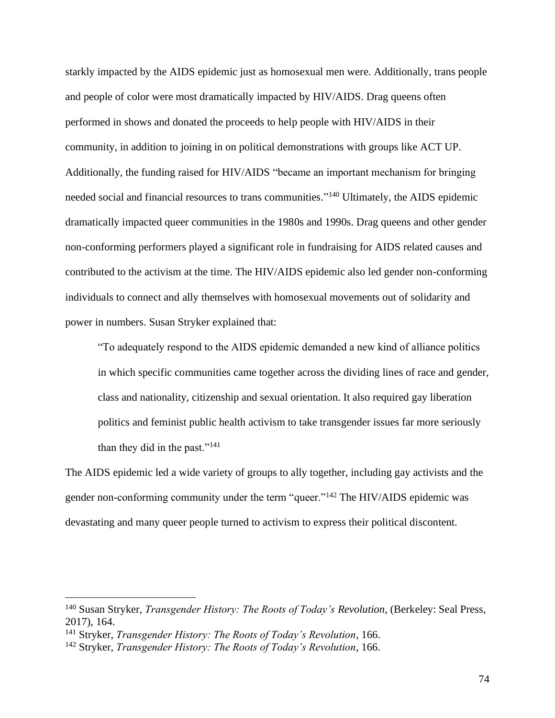starkly impacted by the AIDS epidemic just as homosexual men were. Additionally, trans people and people of color were most dramatically impacted by HIV/AIDS. Drag queens often performed in shows and donated the proceeds to help people with HIV/AIDS in their community, in addition to joining in on political demonstrations with groups like ACT UP. Additionally, the funding raised for HIV/AIDS "became an important mechanism for bringing needed social and financial resources to trans communities." <sup>140</sup> Ultimately, the AIDS epidemic dramatically impacted queer communities in the 1980s and 1990s. Drag queens and other gender non-conforming performers played a significant role in fundraising for AIDS related causes and contributed to the activism at the time. The HIV/AIDS epidemic also led gender non-conforming individuals to connect and ally themselves with homosexual movements out of solidarity and power in numbers. Susan Stryker explained that:

"To adequately respond to the AIDS epidemic demanded a new kind of alliance politics in which specific communities came together across the dividing lines of race and gender, class and nationality, citizenship and sexual orientation. It also required gay liberation politics and feminist public health activism to take transgender issues far more seriously than they did in the past."<sup>141</sup>

The AIDS epidemic led a wide variety of groups to ally together, including gay activists and the gender non-conforming community under the term "queer."<sup>142</sup> The HIV/AIDS epidemic was devastating and many queer people turned to activism to express their political discontent.

<sup>140</sup> Susan Stryker, *Transgender History: The Roots of Today's Revolution*, (Berkeley: Seal Press, 2017), 164.

<sup>141</sup> Stryker, *Transgender History: The Roots of Today's Revolution*, 166.

<sup>142</sup> Stryker, *Transgender History: The Roots of Today's Revolution*, 166.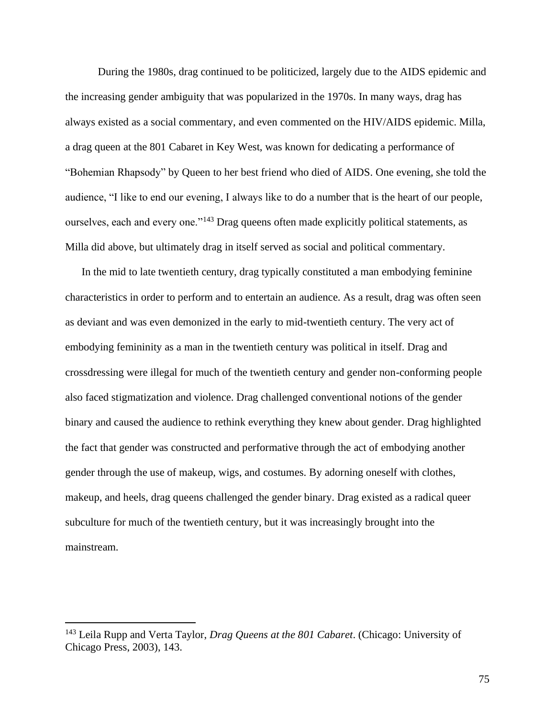During the 1980s, drag continued to be politicized, largely due to the AIDS epidemic and the increasing gender ambiguity that was popularized in the 1970s. In many ways, drag has always existed as a social commentary, and even commented on the HIV/AIDS epidemic. Milla, a drag queen at the 801 Cabaret in Key West, was known for dedicating a performance of "Bohemian Rhapsody" by Queen to her best friend who died of AIDS. One evening, she told the audience, "I like to end our evening, I always like to do a number that is the heart of our people, ourselves, each and every one."<sup>143</sup> Drag queens often made explicitly political statements, as Milla did above, but ultimately drag in itself served as social and political commentary.

In the mid to late twentieth century, drag typically constituted a man embodying feminine characteristics in order to perform and to entertain an audience. As a result, drag was often seen as deviant and was even demonized in the early to mid-twentieth century. The very act of embodying femininity as a man in the twentieth century was political in itself. Drag and crossdressing were illegal for much of the twentieth century and gender non-conforming people also faced stigmatization and violence. Drag challenged conventional notions of the gender binary and caused the audience to rethink everything they knew about gender. Drag highlighted the fact that gender was constructed and performative through the act of embodying another gender through the use of makeup, wigs, and costumes. By adorning oneself with clothes, makeup, and heels, drag queens challenged the gender binary. Drag existed as a radical queer subculture for much of the twentieth century, but it was increasingly brought into the mainstream.

<sup>143</sup> Leila Rupp and Verta Taylor, *Drag Queens at the 801 Cabaret*. (Chicago: University of Chicago Press, 2003), 143.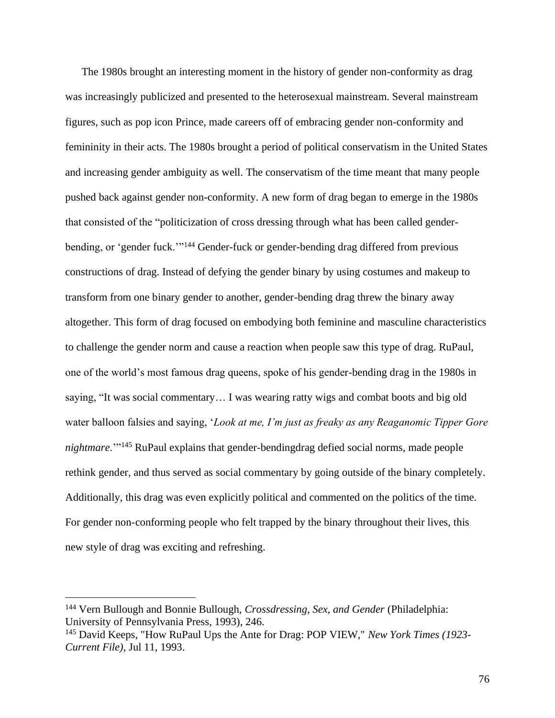The 1980s brought an interesting moment in the history of gender non-conformity as drag was increasingly publicized and presented to the heterosexual mainstream. Several mainstream figures, such as pop icon Prince, made careers off of embracing gender non-conformity and femininity in their acts. The 1980s brought a period of political conservatism in the United States and increasing gender ambiguity as well. The conservatism of the time meant that many people pushed back against gender non-conformity. A new form of drag began to emerge in the 1980s that consisted of the "politicization of cross dressing through what has been called genderbending, or 'gender fuck.'"<sup>144</sup> Gender-fuck or gender-bending drag differed from previous constructions of drag. Instead of defying the gender binary by using costumes and makeup to transform from one binary gender to another, gender-bending drag threw the binary away altogether. This form of drag focused on embodying both feminine and masculine characteristics to challenge the gender norm and cause a reaction when people saw this type of drag. RuPaul, one of the world's most famous drag queens, spoke of his gender-bending drag in the 1980s in saying, "It was social commentary… I was wearing ratty wigs and combat boots and big old water balloon falsies and saying, '*Look at me, I'm just as freaky as any Reaganomic Tipper Gore nightmare*.'"<sup>145</sup> RuPaul explains that gender-bendingdrag defied social norms, made people rethink gender, and thus served as social commentary by going outside of the binary completely. Additionally, this drag was even explicitly political and commented on the politics of the time. For gender non-conforming people who felt trapped by the binary throughout their lives, this new style of drag was exciting and refreshing.

<sup>144</sup> Vern Bullough and Bonnie Bullough, *Crossdressing, Sex, and Gender* (Philadelphia: University of Pennsylvania Press, 1993), 246.

<sup>145</sup> David Keeps, "How RuPaul Ups the Ante for Drag: POP VIEW," *New York Times (1923- Current File),* Jul 11, 1993.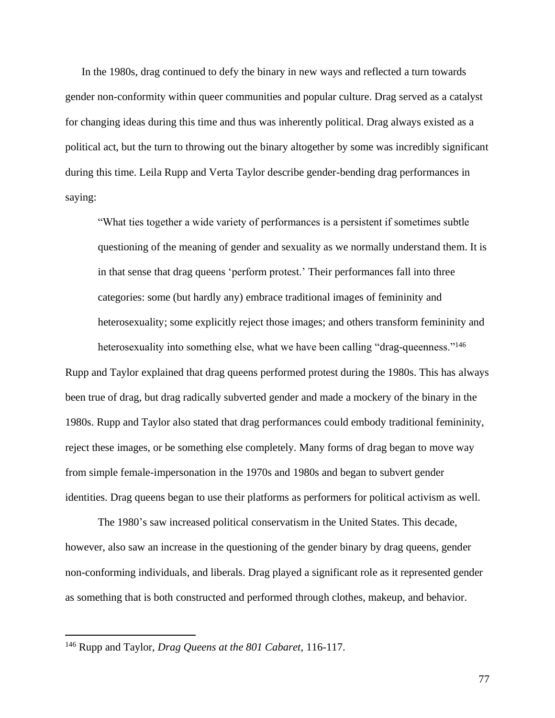In the 1980s, drag continued to defy the binary in new ways and reflected a turn towards gender non-conformity within queer communities and popular culture. Drag served as a catalyst for changing ideas during this time and thus was inherently political. Drag always existed as a political act, but the turn to throwing out the binary altogether by some was incredibly significant during this time. Leila Rupp and Verta Taylor describe gender-bending drag performances in saying:

"What ties together a wide variety of performances is a persistent if sometimes subtle questioning of the meaning of gender and sexuality as we normally understand them. It is in that sense that drag queens 'perform protest.' Their performances fall into three categories: some (but hardly any) embrace traditional images of femininity and heterosexuality; some explicitly reject those images; and others transform femininity and

heterosexuality into something else, what we have been calling "drag-queenness."<sup>146</sup> Rupp and Taylor explained that drag queens performed protest during the 1980s. This has always been true of drag, but drag radically subverted gender and made a mockery of the binary in the 1980s. Rupp and Taylor also stated that drag performances could embody traditional femininity, reject these images, or be something else completely. Many forms of drag began to move way from simple female-impersonation in the 1970s and 1980s and began to subvert gender identities. Drag queens began to use their platforms as performers for political activism as well.

The 1980's saw increased political conservatism in the United States. This decade, however, also saw an increase in the questioning of the gender binary by drag queens, gender non-conforming individuals, and liberals. Drag played a significant role as it represented gender as something that is both constructed and performed through clothes, makeup, and behavior.

<sup>146</sup> Rupp and Taylor, *Drag Queens at the 801 Cabaret*, 116-117.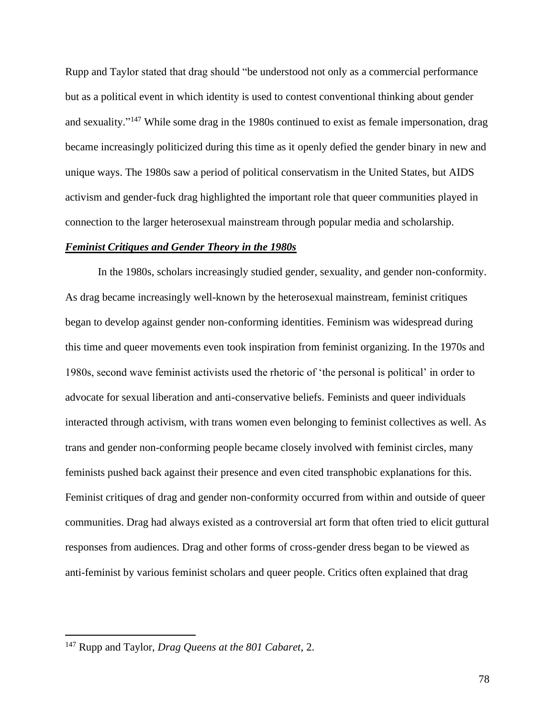Rupp and Taylor stated that drag should "be understood not only as a commercial performance but as a political event in which identity is used to contest conventional thinking about gender and sexuality."<sup>147</sup> While some drag in the 1980s continued to exist as female impersonation, drag became increasingly politicized during this time as it openly defied the gender binary in new and unique ways. The 1980s saw a period of political conservatism in the United States, but AIDS activism and gender-fuck drag highlighted the important role that queer communities played in connection to the larger heterosexual mainstream through popular media and scholarship.

# *Feminist Critiques and Gender Theory in the 1980s*

In the 1980s, scholars increasingly studied gender, sexuality, and gender non-conformity. As drag became increasingly well-known by the heterosexual mainstream, feminist critiques began to develop against gender non-conforming identities. Feminism was widespread during this time and queer movements even took inspiration from feminist organizing. In the 1970s and 1980s, second wave feminist activists used the rhetoric of 'the personal is political' in order to advocate for sexual liberation and anti-conservative beliefs. Feminists and queer individuals interacted through activism, with trans women even belonging to feminist collectives as well. As trans and gender non-conforming people became closely involved with feminist circles, many feminists pushed back against their presence and even cited transphobic explanations for this. Feminist critiques of drag and gender non-conformity occurred from within and outside of queer communities. Drag had always existed as a controversial art form that often tried to elicit guttural responses from audiences. Drag and other forms of cross-gender dress began to be viewed as anti-feminist by various feminist scholars and queer people. Critics often explained that drag

<sup>147</sup> Rupp and Taylor, *Drag Queens at the 801 Cabaret*, 2.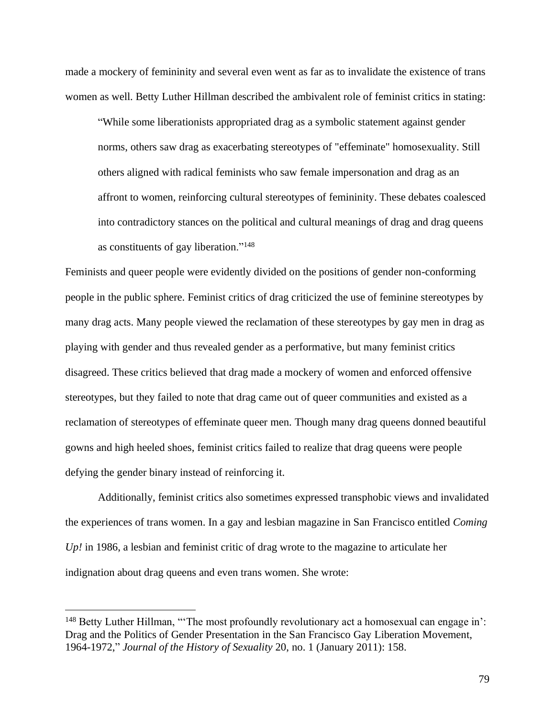made a mockery of femininity and several even went as far as to invalidate the existence of trans women as well. Betty Luther Hillman described the ambivalent role of feminist critics in stating:

"While some liberationists appropriated drag as a symbolic statement against gender norms, others saw drag as exacerbating stereotypes of "effeminate" homosexuality. Still others aligned with radical feminists who saw female impersonation and drag as an affront to women, reinforcing cultural stereotypes of femininity. These debates coalesced into contradictory stances on the political and cultural meanings of drag and drag queens as constituents of gay liberation."<sup>148</sup>

Feminists and queer people were evidently divided on the positions of gender non-conforming people in the public sphere. Feminist critics of drag criticized the use of feminine stereotypes by many drag acts. Many people viewed the reclamation of these stereotypes by gay men in drag as playing with gender and thus revealed gender as a performative, but many feminist critics disagreed. These critics believed that drag made a mockery of women and enforced offensive stereotypes, but they failed to note that drag came out of queer communities and existed as a reclamation of stereotypes of effeminate queer men. Though many drag queens donned beautiful gowns and high heeled shoes, feminist critics failed to realize that drag queens were people defying the gender binary instead of reinforcing it.

Additionally, feminist critics also sometimes expressed transphobic views and invalidated the experiences of trans women. In a gay and lesbian magazine in San Francisco entitled *Coming Up!* in 1986, a lesbian and feminist critic of drag wrote to the magazine to articulate her indignation about drag queens and even trans women. She wrote:

 $148$  Betty Luther Hillman, "The most profoundly revolutionary act a homosexual can engage in': Drag and the Politics of Gender Presentation in the San Francisco Gay Liberation Movement, 1964-1972," *Journal of the History of Sexuality* 20, no. 1 (January 2011): 158.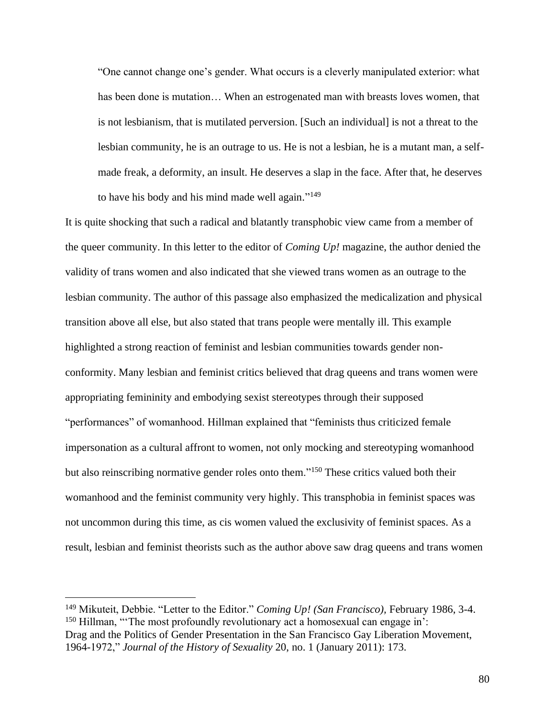"One cannot change one's gender. What occurs is a cleverly manipulated exterior: what has been done is mutation… When an estrogenated man with breasts loves women, that is not lesbianism, that is mutilated perversion. [Such an individual] is not a threat to the lesbian community, he is an outrage to us. He is not a lesbian, he is a mutant man, a selfmade freak, a deformity, an insult. He deserves a slap in the face. After that, he deserves to have his body and his mind made well again."<sup>149</sup>

It is quite shocking that such a radical and blatantly transphobic view came from a member of the queer community. In this letter to the editor of *Coming Up!* magazine, the author denied the validity of trans women and also indicated that she viewed trans women as an outrage to the lesbian community. The author of this passage also emphasized the medicalization and physical transition above all else, but also stated that trans people were mentally ill. This example highlighted a strong reaction of feminist and lesbian communities towards gender nonconformity. Many lesbian and feminist critics believed that drag queens and trans women were appropriating femininity and embodying sexist stereotypes through their supposed "performances" of womanhood. Hillman explained that "feminists thus criticized female impersonation as a cultural affront to women, not only mocking and stereotyping womanhood but also reinscribing normative gender roles onto them."<sup>150</sup> These critics valued both their womanhood and the feminist community very highly. This transphobia in feminist spaces was not uncommon during this time, as cis women valued the exclusivity of feminist spaces. As a result, lesbian and feminist theorists such as the author above saw drag queens and trans women

<sup>149</sup> Mikuteit, Debbie. "Letter to the Editor." *Coming Up! (San Francisco),* February 1986, 3-4.  $150$  Hillman, "The most profoundly revolutionary act a homosexual can engage in': Drag and the Politics of Gender Presentation in the San Francisco Gay Liberation Movement, 1964-1972," *Journal of the History of Sexuality* 20, no. 1 (January 2011): 173.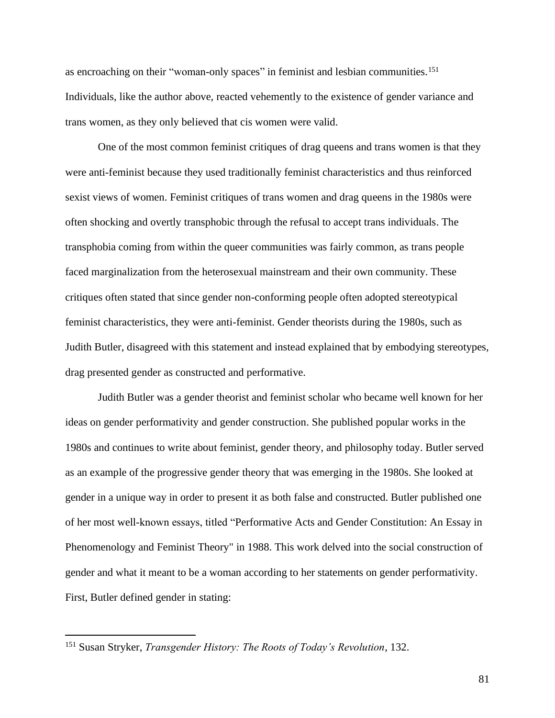as encroaching on their "woman-only spaces" in feminist and lesbian communities.<sup>151</sup> Individuals, like the author above, reacted vehemently to the existence of gender variance and trans women, as they only believed that cis women were valid.

One of the most common feminist critiques of drag queens and trans women is that they were anti-feminist because they used traditionally feminist characteristics and thus reinforced sexist views of women. Feminist critiques of trans women and drag queens in the 1980s were often shocking and overtly transphobic through the refusal to accept trans individuals. The transphobia coming from within the queer communities was fairly common, as trans people faced marginalization from the heterosexual mainstream and their own community. These critiques often stated that since gender non-conforming people often adopted stereotypical feminist characteristics, they were anti-feminist. Gender theorists during the 1980s, such as Judith Butler, disagreed with this statement and instead explained that by embodying stereotypes, drag presented gender as constructed and performative.

Judith Butler was a gender theorist and feminist scholar who became well known for her ideas on gender performativity and gender construction. She published popular works in the 1980s and continues to write about feminist, gender theory, and philosophy today. Butler served as an example of the progressive gender theory that was emerging in the 1980s. She looked at gender in a unique way in order to present it as both false and constructed. Butler published one of her most well-known essays, titled "Performative Acts and Gender Constitution: An Essay in Phenomenology and Feminist Theory" in 1988. This work delved into the social construction of gender and what it meant to be a woman according to her statements on gender performativity. First, Butler defined gender in stating:

<sup>151</sup> Susan Stryker, *Transgender History: The Roots of Today's Revolution*, 132.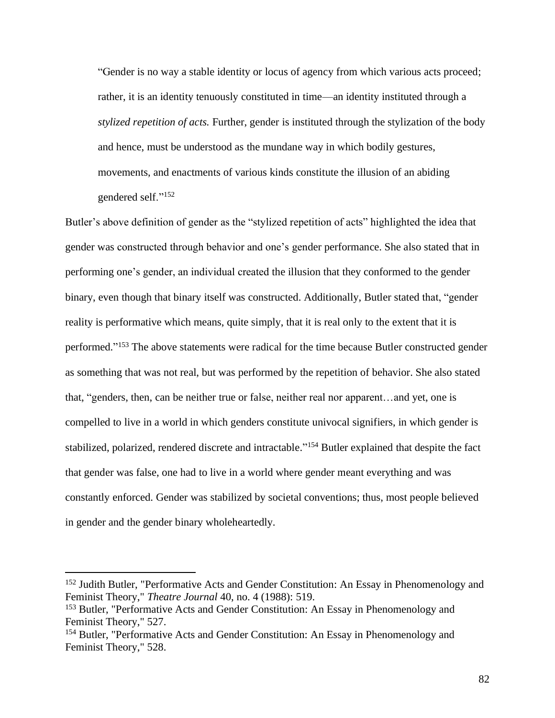"Gender is no way a stable identity or locus of agency from which various acts proceed; rather, it is an identity tenuously constituted in time—an identity instituted through a *stylized repetition of acts.* Further, gender is instituted through the stylization of the body and hence, must be understood as the mundane way in which bodily gestures, movements, and enactments of various kinds constitute the illusion of an abiding gendered self."<sup>152</sup>

Butler's above definition of gender as the "stylized repetition of acts" highlighted the idea that gender was constructed through behavior and one's gender performance. She also stated that in performing one's gender, an individual created the illusion that they conformed to the gender binary, even though that binary itself was constructed. Additionally, Butler stated that, "gender reality is performative which means, quite simply, that it is real only to the extent that it is performed."<sup>153</sup> The above statements were radical for the time because Butler constructed gender as something that was not real, but was performed by the repetition of behavior. She also stated that, "genders, then, can be neither true or false, neither real nor apparent…and yet, one is compelled to live in a world in which genders constitute univocal signifiers, in which gender is stabilized, polarized, rendered discrete and intractable."<sup>154</sup> Butler explained that despite the fact that gender was false, one had to live in a world where gender meant everything and was constantly enforced. Gender was stabilized by societal conventions; thus, most people believed in gender and the gender binary wholeheartedly.

<sup>&</sup>lt;sup>152</sup> Judith Butler, "Performative Acts and Gender Constitution: An Essay in Phenomenology and Feminist Theory," *Theatre Journal* 40, no. 4 (1988): 519.

<sup>153</sup> Butler, "Performative Acts and Gender Constitution: An Essay in Phenomenology and Feminist Theory," 527.

<sup>154</sup> Butler, "Performative Acts and Gender Constitution: An Essay in Phenomenology and Feminist Theory," 528.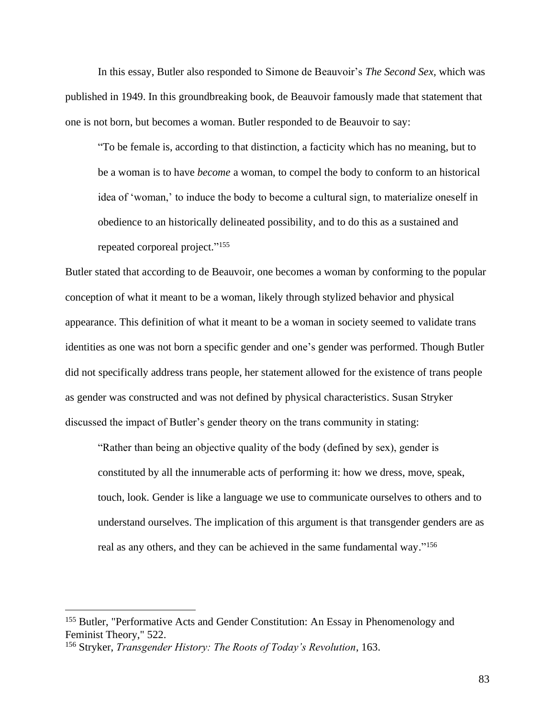In this essay, Butler also responded to Simone de Beauvoir's *The Second Sex,* which was published in 1949. In this groundbreaking book, de Beauvoir famously made that statement that one is not born, but becomes a woman. Butler responded to de Beauvoir to say:

"To be female is, according to that distinction, a facticity which has no meaning, but to be a woman is to have *become* a woman, to compel the body to conform to an historical idea of 'woman,' to induce the body to become a cultural sign, to materialize oneself in obedience to an historically delineated possibility, and to do this as a sustained and repeated corporeal project." 155

Butler stated that according to de Beauvoir, one becomes a woman by conforming to the popular conception of what it meant to be a woman, likely through stylized behavior and physical appearance. This definition of what it meant to be a woman in society seemed to validate trans identities as one was not born a specific gender and one's gender was performed. Though Butler did not specifically address trans people, her statement allowed for the existence of trans people as gender was constructed and was not defined by physical characteristics. Susan Stryker discussed the impact of Butler's gender theory on the trans community in stating:

"Rather than being an objective quality of the body (defined by sex), gender is constituted by all the innumerable acts of performing it: how we dress, move, speak, touch, look. Gender is like a language we use to communicate ourselves to others and to understand ourselves. The implication of this argument is that transgender genders are as real as any others, and they can be achieved in the same fundamental way."<sup>156</sup>

<sup>&</sup>lt;sup>155</sup> Butler, "Performative Acts and Gender Constitution: An Essay in Phenomenology and Feminist Theory," 522.

<sup>156</sup> Stryker, *Transgender History: The Roots of Today's Revolution*, 163.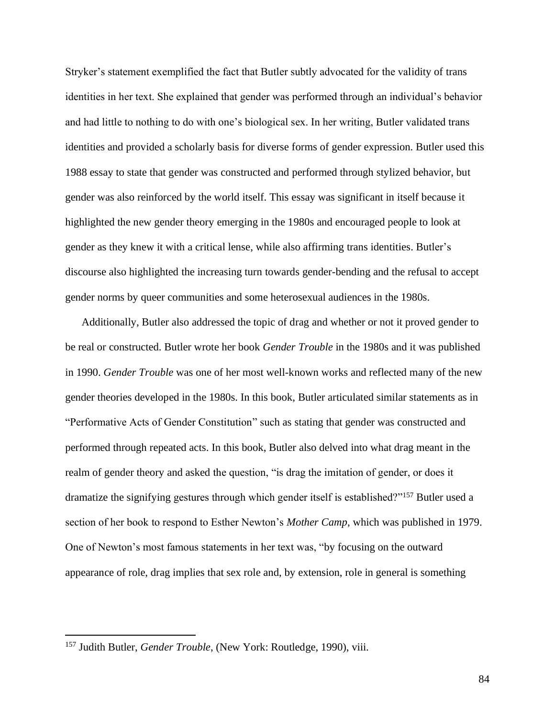Stryker's statement exemplified the fact that Butler subtly advocated for the validity of trans identities in her text. She explained that gender was performed through an individual's behavior and had little to nothing to do with one's biological sex. In her writing, Butler validated trans identities and provided a scholarly basis for diverse forms of gender expression. Butler used this 1988 essay to state that gender was constructed and performed through stylized behavior, but gender was also reinforced by the world itself. This essay was significant in itself because it highlighted the new gender theory emerging in the 1980s and encouraged people to look at gender as they knew it with a critical lense, while also affirming trans identities. Butler's discourse also highlighted the increasing turn towards gender-bending and the refusal to accept gender norms by queer communities and some heterosexual audiences in the 1980s.

Additionally, Butler also addressed the topic of drag and whether or not it proved gender to be real or constructed. Butler wrote her book *Gender Trouble* in the 1980s and it was published in 1990. *Gender Trouble* was one of her most well-known works and reflected many of the new gender theories developed in the 1980s. In this book, Butler articulated similar statements as in "Performative Acts of Gender Constitution" such as stating that gender was constructed and performed through repeated acts. In this book, Butler also delved into what drag meant in the realm of gender theory and asked the question, "is drag the imitation of gender, or does it dramatize the signifying gestures through which gender itself is established?"<sup>157</sup> Butler used a section of her book to respond to Esther Newton's *Mother Camp*, which was published in 1979. One of Newton's most famous statements in her text was, "by focusing on the outward appearance of role, drag implies that sex role and, by extension, role in general is something

<sup>157</sup> Judith Butler, *Gender Trouble*, (New York: Routledge, 1990), viii.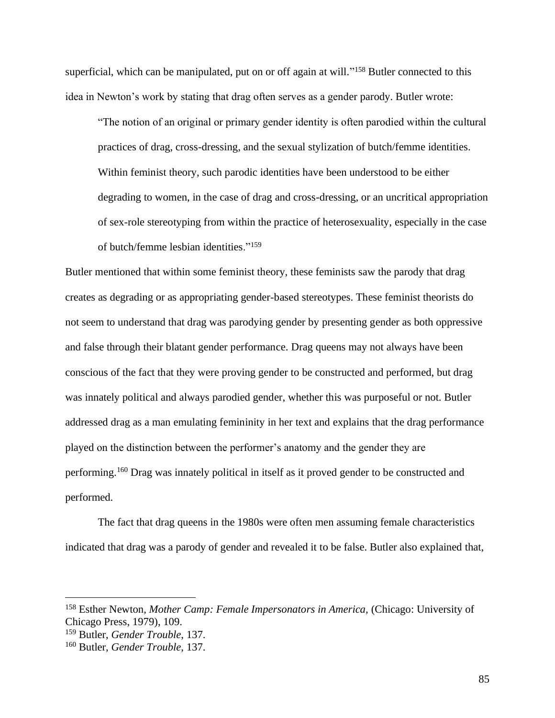superficial, which can be manipulated, put on or off again at will."<sup>158</sup> Butler connected to this idea in Newton's work by stating that drag often serves as a gender parody. Butler wrote:

"The notion of an original or primary gender identity is often parodied within the cultural practices of drag, cross-dressing, and the sexual stylization of butch/femme identities. Within feminist theory, such parodic identities have been understood to be either degrading to women, in the case of drag and cross-dressing, or an uncritical appropriation of sex-role stereotyping from within the practice of heterosexuality, especially in the case of butch/femme lesbian identities."<sup>159</sup>

Butler mentioned that within some feminist theory, these feminists saw the parody that drag creates as degrading or as appropriating gender-based stereotypes. These feminist theorists do not seem to understand that drag was parodying gender by presenting gender as both oppressive and false through their blatant gender performance. Drag queens may not always have been conscious of the fact that they were proving gender to be constructed and performed, but drag was innately political and always parodied gender, whether this was purposeful or not. Butler addressed drag as a man emulating femininity in her text and explains that the drag performance played on the distinction between the performer's anatomy and the gender they are performing.<sup>160</sup> Drag was innately political in itself as it proved gender to be constructed and performed.

The fact that drag queens in the 1980s were often men assuming female characteristics indicated that drag was a parody of gender and revealed it to be false. Butler also explained that,

<sup>158</sup> Esther Newton, *Mother Camp: Female Impersonators in America,* (Chicago: University of Chicago Press, 1979), 109.

<sup>159</sup> Butler, *Gender Trouble*, 137.

<sup>160</sup> Butler, *Gender Trouble*, 137.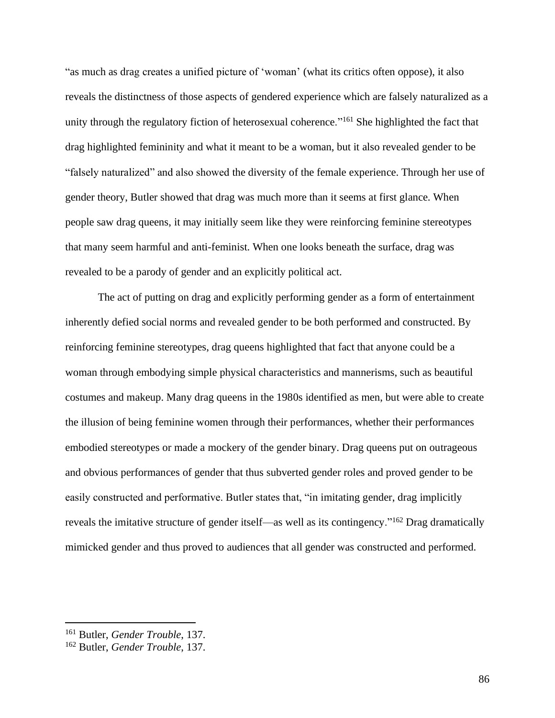"as much as drag creates a unified picture of 'woman' (what its critics often oppose), it also reveals the distinctness of those aspects of gendered experience which are falsely naturalized as a unity through the regulatory fiction of heterosexual coherence."<sup>161</sup> She highlighted the fact that drag highlighted femininity and what it meant to be a woman, but it also revealed gender to be "falsely naturalized" and also showed the diversity of the female experience. Through her use of gender theory, Butler showed that drag was much more than it seems at first glance. When people saw drag queens, it may initially seem like they were reinforcing feminine stereotypes that many seem harmful and anti-feminist. When one looks beneath the surface, drag was revealed to be a parody of gender and an explicitly political act.

The act of putting on drag and explicitly performing gender as a form of entertainment inherently defied social norms and revealed gender to be both performed and constructed. By reinforcing feminine stereotypes, drag queens highlighted that fact that anyone could be a woman through embodying simple physical characteristics and mannerisms, such as beautiful costumes and makeup. Many drag queens in the 1980s identified as men, but were able to create the illusion of being feminine women through their performances, whether their performances embodied stereotypes or made a mockery of the gender binary. Drag queens put on outrageous and obvious performances of gender that thus subverted gender roles and proved gender to be easily constructed and performative. Butler states that, "in imitating gender, drag implicitly reveals the imitative structure of gender itself—as well as its contingency."<sup>162</sup> Drag dramatically mimicked gender and thus proved to audiences that all gender was constructed and performed.

<sup>161</sup> Butler, *Gender Trouble*, 137.

<sup>162</sup> Butler, *Gender Trouble*, 137.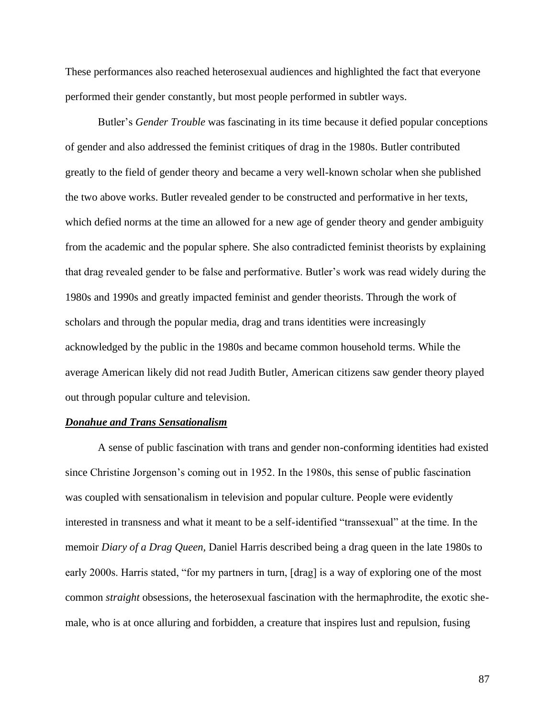These performances also reached heterosexual audiences and highlighted the fact that everyone performed their gender constantly, but most people performed in subtler ways.

Butler's *Gender Trouble* was fascinating in its time because it defied popular conceptions of gender and also addressed the feminist critiques of drag in the 1980s. Butler contributed greatly to the field of gender theory and became a very well-known scholar when she published the two above works. Butler revealed gender to be constructed and performative in her texts, which defied norms at the time an allowed for a new age of gender theory and gender ambiguity from the academic and the popular sphere. She also contradicted feminist theorists by explaining that drag revealed gender to be false and performative. Butler's work was read widely during the 1980s and 1990s and greatly impacted feminist and gender theorists. Through the work of scholars and through the popular media, drag and trans identities were increasingly acknowledged by the public in the 1980s and became common household terms. While the average American likely did not read Judith Butler, American citizens saw gender theory played out through popular culture and television.

#### *Donahue and Trans Sensationalism*

A sense of public fascination with trans and gender non-conforming identities had existed since Christine Jorgenson's coming out in 1952. In the 1980s, this sense of public fascination was coupled with sensationalism in television and popular culture. People were evidently interested in transness and what it meant to be a self-identified "transsexual" at the time. In the memoir *Diary of a Drag Queen,* Daniel Harris described being a drag queen in the late 1980s to early 2000s. Harris stated, "for my partners in turn, [drag] is a way of exploring one of the most common *straight* obsessions, the heterosexual fascination with the hermaphrodite, the exotic shemale, who is at once alluring and forbidden, a creature that inspires lust and repulsion, fusing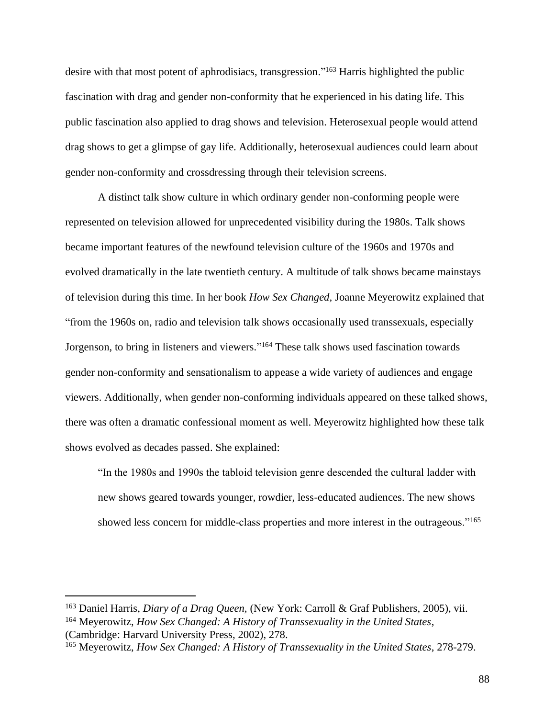desire with that most potent of aphrodisiacs, transgression."<sup>163</sup> Harris highlighted the public fascination with drag and gender non-conformity that he experienced in his dating life. This public fascination also applied to drag shows and television. Heterosexual people would attend drag shows to get a glimpse of gay life. Additionally, heterosexual audiences could learn about gender non-conformity and crossdressing through their television screens.

A distinct talk show culture in which ordinary gender non-conforming people were represented on television allowed for unprecedented visibility during the 1980s. Talk shows became important features of the newfound television culture of the 1960s and 1970s and evolved dramatically in the late twentieth century. A multitude of talk shows became mainstays of television during this time. In her book *How Sex Changed,* Joanne Meyerowitz explained that "from the 1960s on, radio and television talk shows occasionally used transsexuals, especially Jorgenson, to bring in listeners and viewers." <sup>164</sup> These talk shows used fascination towards gender non-conformity and sensationalism to appease a wide variety of audiences and engage viewers. Additionally, when gender non-conforming individuals appeared on these talked shows, there was often a dramatic confessional moment as well. Meyerowitz highlighted how these talk shows evolved as decades passed. She explained:

"In the 1980s and 1990s the tabloid television genre descended the cultural ladder with new shows geared towards younger, rowdier, less-educated audiences. The new shows showed less concern for middle-class properties and more interest in the outrageous."<sup>165</sup>

<sup>163</sup> Daniel Harris, *Diary of a Drag Queen,* (New York: Carroll & Graf Publishers, 2005), vii.

<sup>164</sup> Meyerowitz, *How Sex Changed: A History of Transsexuality in the United States*, (Cambridge: Harvard University Press, 2002), 278.

<sup>165</sup> Meyerowitz, *How Sex Changed: A History of Transsexuality in the United States*, 278-279.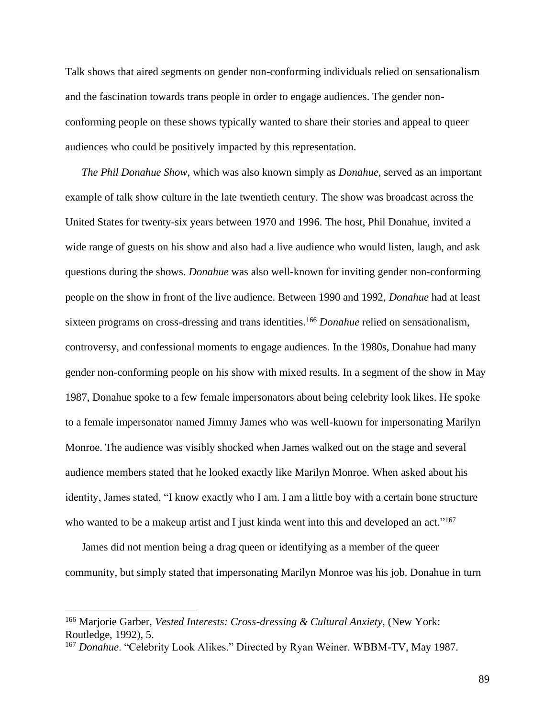Talk shows that aired segments on gender non-conforming individuals relied on sensationalism and the fascination towards trans people in order to engage audiences. The gender nonconforming people on these shows typically wanted to share their stories and appeal to queer audiences who could be positively impacted by this representation.

*The Phil Donahue Show,* which was also known simply as *Donahue,* served as an important example of talk show culture in the late twentieth century*.* The show was broadcast across the United States for twenty-six years between 1970 and 1996. The host, Phil Donahue, invited a wide range of guests on his show and also had a live audience who would listen, laugh, and ask questions during the shows. *Donahue* was also well-known for inviting gender non-conforming people on the show in front of the live audience. Between 1990 and 1992, *Donahue* had at least sixteen programs on cross-dressing and trans identities.<sup>166</sup> *Donahue* relied on sensationalism, controversy, and confessional moments to engage audiences. In the 1980s, Donahue had many gender non-conforming people on his show with mixed results. In a segment of the show in May 1987, Donahue spoke to a few female impersonators about being celebrity look likes. He spoke to a female impersonator named Jimmy James who was well-known for impersonating Marilyn Monroe. The audience was visibly shocked when James walked out on the stage and several audience members stated that he looked exactly like Marilyn Monroe. When asked about his identity, James stated, "I know exactly who I am. I am a little boy with a certain bone structure who wanted to be a makeup artist and I just kinda went into this and developed an act."<sup>167</sup>

James did not mention being a drag queen or identifying as a member of the queer community, but simply stated that impersonating Marilyn Monroe was his job. Donahue in turn

<sup>&</sup>lt;sup>166</sup> Marjorie Garber, *Vested Interests: Cross-dressing & Cultural Anxiety*, (New York: Routledge, 1992), 5.

<sup>167</sup> *Donahue*. "Celebrity Look Alikes." Directed by Ryan Weiner. WBBM-TV, May 1987.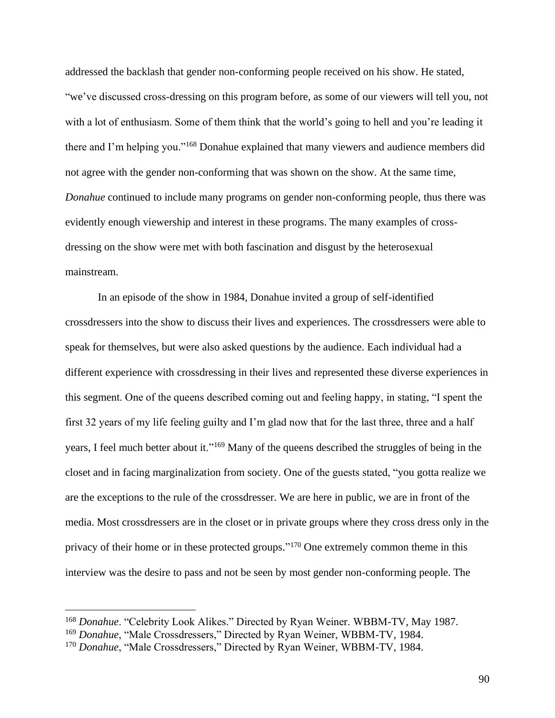addressed the backlash that gender non-conforming people received on his show. He stated, "we've discussed cross-dressing on this program before, as some of our viewers will tell you, not with a lot of enthusiasm. Some of them think that the world's going to hell and you're leading it there and I'm helping you."<sup>168</sup> Donahue explained that many viewers and audience members did not agree with the gender non-conforming that was shown on the show. At the same time, *Donahue* continued to include many programs on gender non-conforming people, thus there was evidently enough viewership and interest in these programs. The many examples of crossdressing on the show were met with both fascination and disgust by the heterosexual mainstream.

In an episode of the show in 1984, Donahue invited a group of self-identified crossdressers into the show to discuss their lives and experiences. The crossdressers were able to speak for themselves, but were also asked questions by the audience. Each individual had a different experience with crossdressing in their lives and represented these diverse experiences in this segment. One of the queens described coming out and feeling happy, in stating, "I spent the first 32 years of my life feeling guilty and I'm glad now that for the last three, three and a half years, I feel much better about it."<sup>169</sup> Many of the queens described the struggles of being in the closet and in facing marginalization from society. One of the guests stated, "you gotta realize we are the exceptions to the rule of the crossdresser. We are here in public, we are in front of the media. Most crossdressers are in the closet or in private groups where they cross dress only in the privacy of their home or in these protected groups."<sup>170</sup> One extremely common theme in this interview was the desire to pass and not be seen by most gender non-conforming people. The

<sup>168</sup> *Donahue*. "Celebrity Look Alikes." Directed by Ryan Weiner. WBBM-TV, May 1987.

<sup>169</sup> *Donahue*, "Male Crossdressers," Directed by Ryan Weiner, WBBM-TV, 1984.

<sup>170</sup> *Donahue*, "Male Crossdressers," Directed by Ryan Weiner, WBBM-TV, 1984.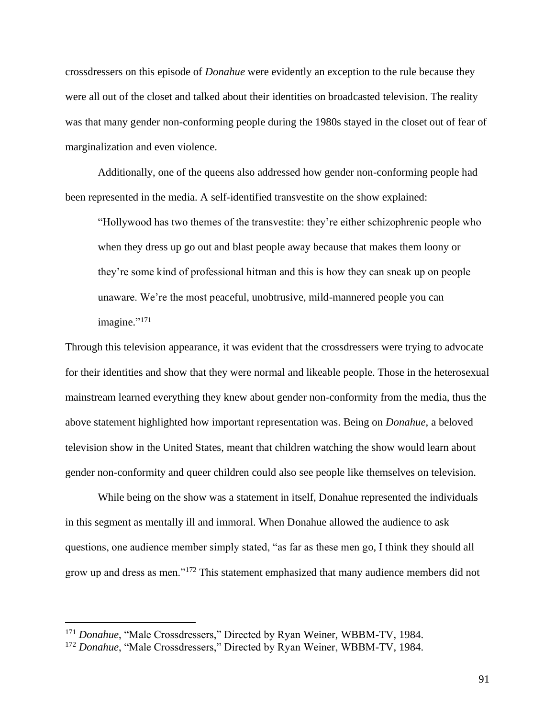crossdressers on this episode of *Donahue* were evidently an exception to the rule because they were all out of the closet and talked about their identities on broadcasted television. The reality was that many gender non-conforming people during the 1980s stayed in the closet out of fear of marginalization and even violence.

Additionally, one of the queens also addressed how gender non-conforming people had been represented in the media. A self-identified transvestite on the show explained:

"Hollywood has two themes of the transvestite: they're either schizophrenic people who when they dress up go out and blast people away because that makes them loony or they're some kind of professional hitman and this is how they can sneak up on people unaware. We're the most peaceful, unobtrusive, mild-mannered people you can imagine."<sup>171</sup>

Through this television appearance, it was evident that the crossdressers were trying to advocate for their identities and show that they were normal and likeable people. Those in the heterosexual mainstream learned everything they knew about gender non-conformity from the media, thus the above statement highlighted how important representation was. Being on *Donahue*, a beloved television show in the United States, meant that children watching the show would learn about gender non-conformity and queer children could also see people like themselves on television.

While being on the show was a statement in itself, Donahue represented the individuals in this segment as mentally ill and immoral. When Donahue allowed the audience to ask questions, one audience member simply stated, "as far as these men go, I think they should all grow up and dress as men."<sup>172</sup> This statement emphasized that many audience members did not

<sup>171</sup> *Donahue*, "Male Crossdressers," Directed by Ryan Weiner, WBBM-TV, 1984.

<sup>172</sup> *Donahue*, "Male Crossdressers," Directed by Ryan Weiner, WBBM-TV, 1984.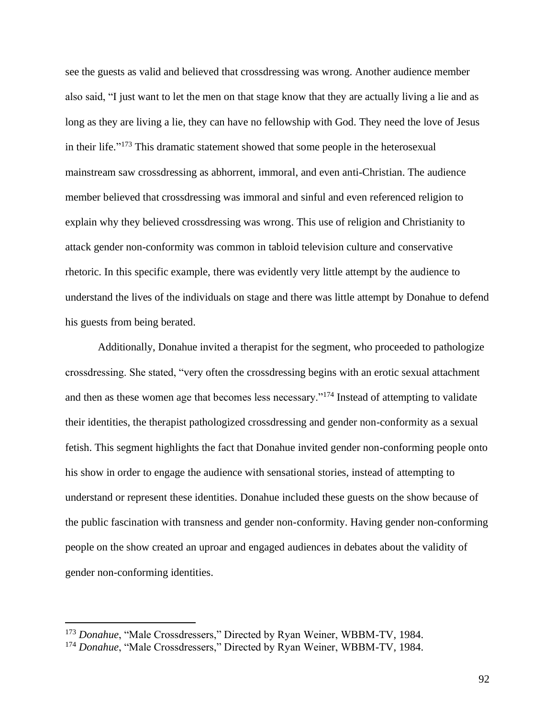see the guests as valid and believed that crossdressing was wrong. Another audience member also said, "I just want to let the men on that stage know that they are actually living a lie and as long as they are living a lie, they can have no fellowship with God. They need the love of Jesus in their life."<sup>173</sup> This dramatic statement showed that some people in the heterosexual mainstream saw crossdressing as abhorrent, immoral, and even anti-Christian. The audience member believed that crossdressing was immoral and sinful and even referenced religion to explain why they believed crossdressing was wrong. This use of religion and Christianity to attack gender non-conformity was common in tabloid television culture and conservative rhetoric. In this specific example, there was evidently very little attempt by the audience to understand the lives of the individuals on stage and there was little attempt by Donahue to defend his guests from being berated.

Additionally, Donahue invited a therapist for the segment, who proceeded to pathologize crossdressing. She stated, "very often the crossdressing begins with an erotic sexual attachment and then as these women age that becomes less necessary."<sup>174</sup> Instead of attempting to validate their identities, the therapist pathologized crossdressing and gender non-conformity as a sexual fetish. This segment highlights the fact that Donahue invited gender non-conforming people onto his show in order to engage the audience with sensational stories, instead of attempting to understand or represent these identities. Donahue included these guests on the show because of the public fascination with transness and gender non-conformity. Having gender non-conforming people on the show created an uproar and engaged audiences in debates about the validity of gender non-conforming identities.

<sup>173</sup> *Donahue*, "Male Crossdressers," Directed by Ryan Weiner, WBBM-TV, 1984.

<sup>&</sup>lt;sup>174</sup> Donahue, "Male Crossdressers," Directed by Ryan Weiner, WBBM-TV, 1984.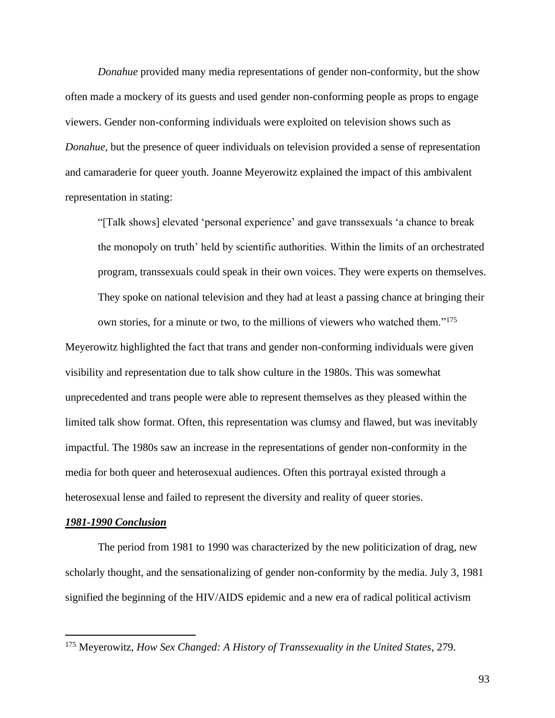*Donahue* provided many media representations of gender non-conformity, but the show often made a mockery of its guests and used gender non-conforming people as props to engage viewers. Gender non-conforming individuals were exploited on television shows such as *Donahue*, but the presence of queer individuals on television provided a sense of representation and camaraderie for queer youth. Joanne Meyerowitz explained the impact of this ambivalent representation in stating:

"[Talk shows] elevated 'personal experience' and gave transsexuals 'a chance to break the monopoly on truth' held by scientific authorities. Within the limits of an orchestrated program, transsexuals could speak in their own voices. They were experts on themselves. They spoke on national television and they had at least a passing chance at bringing their own stories, for a minute or two, to the millions of viewers who watched them."<sup>175</sup>

Meyerowitz highlighted the fact that trans and gender non-conforming individuals were given visibility and representation due to talk show culture in the 1980s. This was somewhat unprecedented and trans people were able to represent themselves as they pleased within the limited talk show format. Often, this representation was clumsy and flawed, but was inevitably impactful. The 1980s saw an increase in the representations of gender non-conformity in the media for both queer and heterosexual audiences. Often this portrayal existed through a heterosexual lense and failed to represent the diversity and reality of queer stories.

### *1981-1990 Conclusion*

The period from 1981 to 1990 was characterized by the new politicization of drag, new scholarly thought, and the sensationalizing of gender non-conformity by the media. July 3, 1981 signified the beginning of the HIV/AIDS epidemic and a new era of radical political activism

<sup>175</sup> Meyerowitz, *How Sex Changed: A History of Transsexuality in the United States*, 279.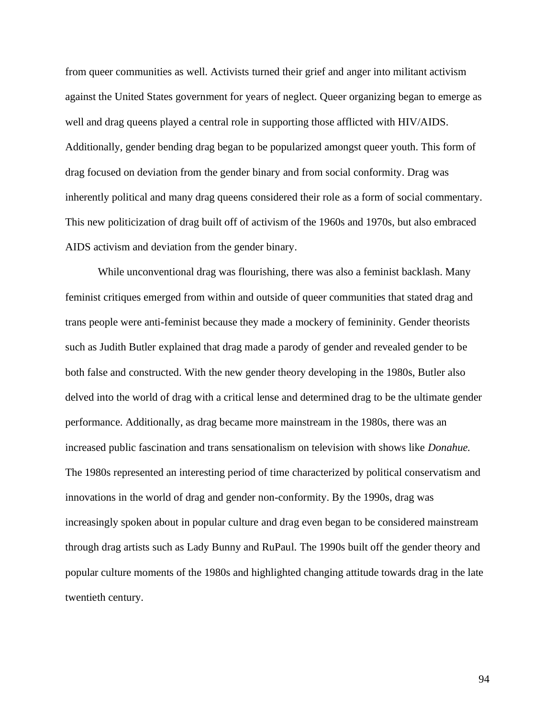from queer communities as well. Activists turned their grief and anger into militant activism against the United States government for years of neglect. Queer organizing began to emerge as well and drag queens played a central role in supporting those afflicted with HIV/AIDS. Additionally, gender bending drag began to be popularized amongst queer youth. This form of drag focused on deviation from the gender binary and from social conformity. Drag was inherently political and many drag queens considered their role as a form of social commentary. This new politicization of drag built off of activism of the 1960s and 1970s, but also embraced AIDS activism and deviation from the gender binary.

While unconventional drag was flourishing, there was also a feminist backlash. Many feminist critiques emerged from within and outside of queer communities that stated drag and trans people were anti-feminist because they made a mockery of femininity. Gender theorists such as Judith Butler explained that drag made a parody of gender and revealed gender to be both false and constructed. With the new gender theory developing in the 1980s, Butler also delved into the world of drag with a critical lense and determined drag to be the ultimate gender performance. Additionally, as drag became more mainstream in the 1980s, there was an increased public fascination and trans sensationalism on television with shows like *Donahue.* The 1980s represented an interesting period of time characterized by political conservatism and innovations in the world of drag and gender non-conformity. By the 1990s, drag was increasingly spoken about in popular culture and drag even began to be considered mainstream through drag artists such as Lady Bunny and RuPaul. The 1990s built off the gender theory and popular culture moments of the 1980s and highlighted changing attitude towards drag in the late twentieth century.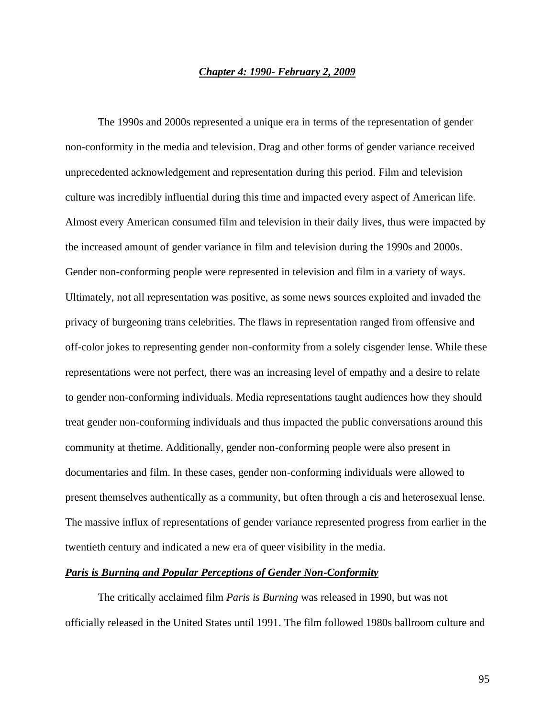### *Chapter 4: 1990- February 2, 2009*

The 1990s and 2000s represented a unique era in terms of the representation of gender non-conformity in the media and television. Drag and other forms of gender variance received unprecedented acknowledgement and representation during this period. Film and television culture was incredibly influential during this time and impacted every aspect of American life. Almost every American consumed film and television in their daily lives, thus were impacted by the increased amount of gender variance in film and television during the 1990s and 2000s. Gender non-conforming people were represented in television and film in a variety of ways. Ultimately, not all representation was positive, as some news sources exploited and invaded the privacy of burgeoning trans celebrities. The flaws in representation ranged from offensive and off-color jokes to representing gender non-conformity from a solely cisgender lense. While these representations were not perfect, there was an increasing level of empathy and a desire to relate to gender non-conforming individuals. Media representations taught audiences how they should treat gender non-conforming individuals and thus impacted the public conversations around this community at thetime. Additionally, gender non-conforming people were also present in documentaries and film. In these cases, gender non-conforming individuals were allowed to present themselves authentically as a community, but often through a cis and heterosexual lense. The massive influx of representations of gender variance represented progress from earlier in the twentieth century and indicated a new era of queer visibility in the media.

# *Paris is Burning and Popular Perceptions of Gender Non-Conformity*

The critically acclaimed film *Paris is Burning* was released in 1990, but was not officially released in the United States until 1991. The film followed 1980s ballroom culture and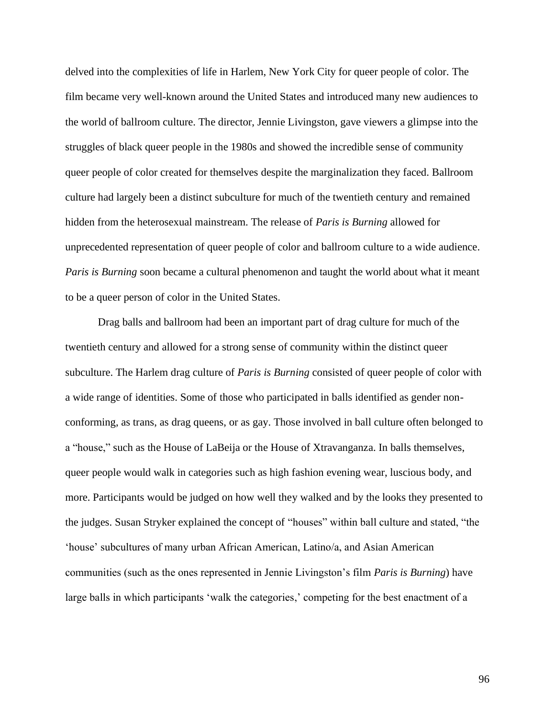delved into the complexities of life in Harlem, New York City for queer people of color. The film became very well-known around the United States and introduced many new audiences to the world of ballroom culture. The director, Jennie Livingston, gave viewers a glimpse into the struggles of black queer people in the 1980s and showed the incredible sense of community queer people of color created for themselves despite the marginalization they faced. Ballroom culture had largely been a distinct subculture for much of the twentieth century and remained hidden from the heterosexual mainstream. The release of *Paris is Burning* allowed for unprecedented representation of queer people of color and ballroom culture to a wide audience. *Paris is Burning* soon became a cultural phenomenon and taught the world about what it meant to be a queer person of color in the United States.

Drag balls and ballroom had been an important part of drag culture for much of the twentieth century and allowed for a strong sense of community within the distinct queer subculture. The Harlem drag culture of *Paris is Burning* consisted of queer people of color with a wide range of identities. Some of those who participated in balls identified as gender nonconforming, as trans, as drag queens, or as gay. Those involved in ball culture often belonged to a "house," such as the House of LaBeija or the House of Xtravanganza. In balls themselves, queer people would walk in categories such as high fashion evening wear, luscious body, and more. Participants would be judged on how well they walked and by the looks they presented to the judges. Susan Stryker explained the concept of "houses" within ball culture and stated, "the 'house' subcultures of many urban African American, Latino/a, and Asian American communities (such as the ones represented in Jennie Livingston's film *Paris is Burning*) have large balls in which participants 'walk the categories,' competing for the best enactment of a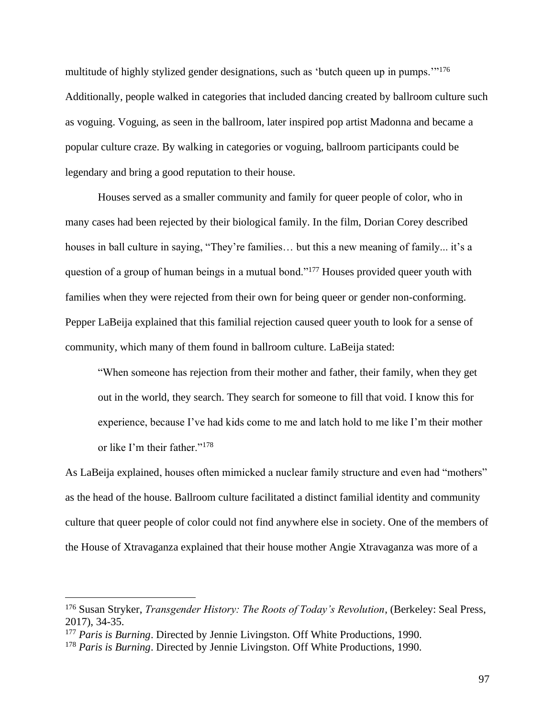multitude of highly stylized gender designations, such as 'butch queen up in pumps.'"<sup>176</sup> Additionally, people walked in categories that included dancing created by ballroom culture such as voguing. Voguing, as seen in the ballroom, later inspired pop artist Madonna and became a popular culture craze. By walking in categories or voguing, ballroom participants could be legendary and bring a good reputation to their house.

Houses served as a smaller community and family for queer people of color, who in many cases had been rejected by their biological family. In the film, Dorian Corey described houses in ball culture in saying, "They're families... but this a new meaning of family... it's a question of a group of human beings in a mutual bond."<sup>177</sup> Houses provided queer youth with families when they were rejected from their own for being queer or gender non-conforming. Pepper LaBeija explained that this familial rejection caused queer youth to look for a sense of community, which many of them found in ballroom culture. LaBeija stated:

"When someone has rejection from their mother and father, their family, when they get out in the world, they search. They search for someone to fill that void. I know this for experience, because I've had kids come to me and latch hold to me like I'm their mother or like I'm their father."<sup>178</sup>

As LaBeija explained, houses often mimicked a nuclear family structure and even had "mothers" as the head of the house. Ballroom culture facilitated a distinct familial identity and community culture that queer people of color could not find anywhere else in society. One of the members of the House of Xtravaganza explained that their house mother Angie Xtravaganza was more of a

<sup>176</sup> Susan Stryker, *Transgender History: The Roots of Today's Revolution*, (Berkeley: Seal Press, 2017), 34-35.

<sup>177</sup> *Paris is Burning*. Directed by Jennie Livingston. Off White Productions, 1990.

<sup>178</sup> *Paris is Burning*. Directed by Jennie Livingston. Off White Productions, 1990.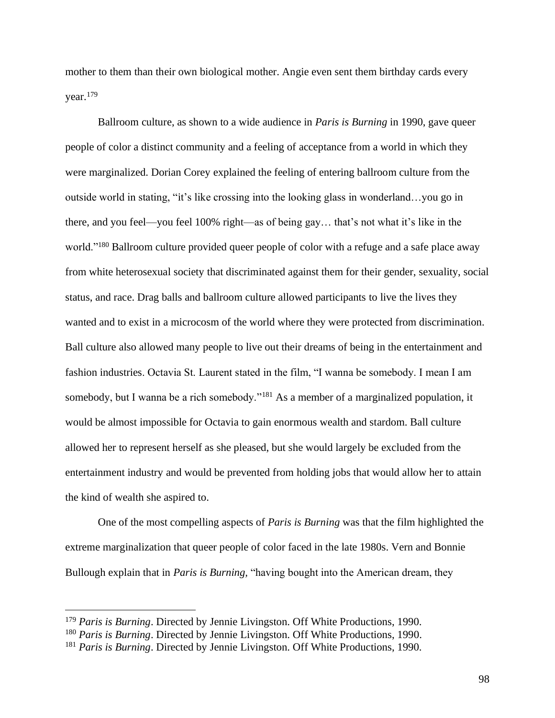mother to them than their own biological mother. Angie even sent them birthday cards every year.<sup>179</sup>

Ballroom culture, as shown to a wide audience in *Paris is Burning* in 1990, gave queer people of color a distinct community and a feeling of acceptance from a world in which they were marginalized. Dorian Corey explained the feeling of entering ballroom culture from the outside world in stating, "it's like crossing into the looking glass in wonderland…you go in there, and you feel—you feel 100% right—as of being gay… that's not what it's like in the world."<sup>180</sup> Ballroom culture provided queer people of color with a refuge and a safe place away from white heterosexual society that discriminated against them for their gender, sexuality, social status, and race. Drag balls and ballroom culture allowed participants to live the lives they wanted and to exist in a microcosm of the world where they were protected from discrimination. Ball culture also allowed many people to live out their dreams of being in the entertainment and fashion industries. Octavia St. Laurent stated in the film, "I wanna be somebody. I mean I am somebody, but I wanna be a rich somebody."<sup>181</sup> As a member of a marginalized population, it would be almost impossible for Octavia to gain enormous wealth and stardom. Ball culture allowed her to represent herself as she pleased, but she would largely be excluded from the entertainment industry and would be prevented from holding jobs that would allow her to attain the kind of wealth she aspired to.

One of the most compelling aspects of *Paris is Burning* was that the film highlighted the extreme marginalization that queer people of color faced in the late 1980s. Vern and Bonnie Bullough explain that in *Paris is Burning,* "having bought into the American dream, they

<sup>179</sup> *Paris is Burning*. Directed by Jennie Livingston. Off White Productions, 1990.

<sup>180</sup> *Paris is Burning*. Directed by Jennie Livingston. Off White Productions, 1990.

<sup>181</sup> *Paris is Burning*. Directed by Jennie Livingston. Off White Productions, 1990.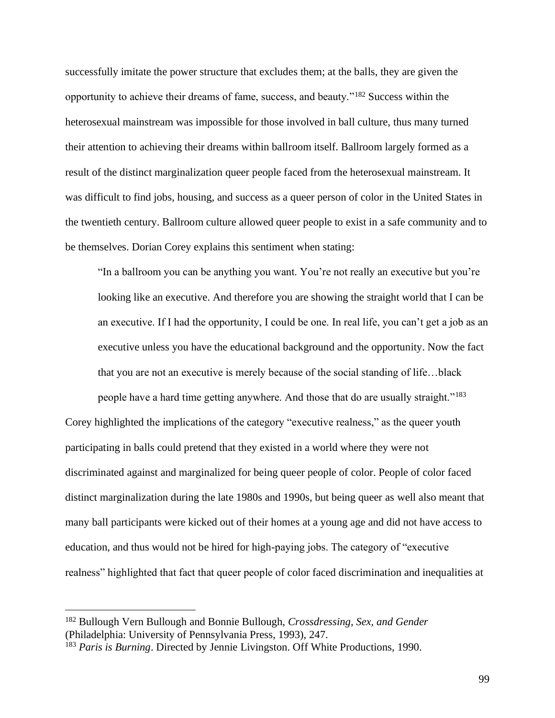successfully imitate the power structure that excludes them; at the balls, they are given the opportunity to achieve their dreams of fame, success, and beauty."<sup>182</sup> Success within the heterosexual mainstream was impossible for those involved in ball culture, thus many turned their attention to achieving their dreams within ballroom itself. Ballroom largely formed as a result of the distinct marginalization queer people faced from the heterosexual mainstream. It was difficult to find jobs, housing, and success as a queer person of color in the United States in the twentieth century. Ballroom culture allowed queer people to exist in a safe community and to be themselves. Dorian Corey explains this sentiment when stating:

"In a ballroom you can be anything you want. You're not really an executive but you're looking like an executive. And therefore you are showing the straight world that I can be an executive. If I had the opportunity, I could be one. In real life, you can't get a job as an executive unless you have the educational background and the opportunity. Now the fact that you are not an executive is merely because of the social standing of life…black

people have a hard time getting anywhere. And those that do are usually straight."<sup>183</sup> Corey highlighted the implications of the category "executive realness," as the queer youth participating in balls could pretend that they existed in a world where they were not discriminated against and marginalized for being queer people of color. People of color faced distinct marginalization during the late 1980s and 1990s, but being queer as well also meant that many ball participants were kicked out of their homes at a young age and did not have access to education, and thus would not be hired for high-paying jobs. The category of "executive realness" highlighted that fact that queer people of color faced discrimination and inequalities at

99

<sup>182</sup> Bullough Vern Bullough and Bonnie Bullough, *Crossdressing, Sex, and Gender* (Philadelphia: University of Pennsylvania Press, 1993), 247.

<sup>183</sup> *Paris is Burning*. Directed by Jennie Livingston. Off White Productions, 1990.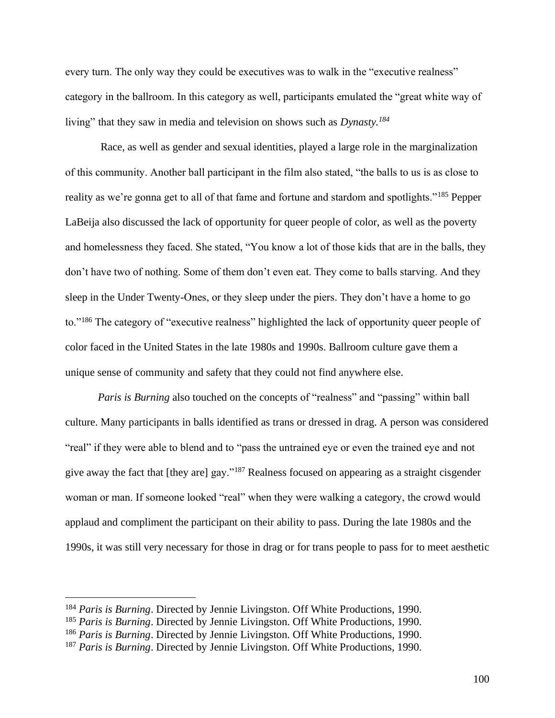every turn. The only way they could be executives was to walk in the "executive realness" category in the ballroom. In this category as well, participants emulated the "great white way of living" that they saw in media and television on shows such as *Dynasty.<sup>184</sup>*

Race, as well as gender and sexual identities, played a large role in the marginalization of this community. Another ball participant in the film also stated, "the balls to us is as close to reality as we're gonna get to all of that fame and fortune and stardom and spotlights."<sup>185</sup> Pepper LaBeija also discussed the lack of opportunity for queer people of color, as well as the poverty and homelessness they faced. She stated, "You know a lot of those kids that are in the balls, they don't have two of nothing. Some of them don't even eat. They come to balls starving. And they sleep in the Under Twenty-Ones, or they sleep under the piers. They don't have a home to go to."<sup>186</sup> The category of "executive realness" highlighted the lack of opportunity queer people of color faced in the United States in the late 1980s and 1990s. Ballroom culture gave them a unique sense of community and safety that they could not find anywhere else.

*Paris is Burning* also touched on the concepts of "realness" and "passing" within ball culture. Many participants in balls identified as trans or dressed in drag. A person was considered "real" if they were able to blend and to "pass the untrained eye or even the trained eye and not give away the fact that [they are] gay."<sup>187</sup> Realness focused on appearing as a straight cisgender woman or man. If someone looked "real" when they were walking a category, the crowd would applaud and compliment the participant on their ability to pass. During the late 1980s and the 1990s, it was still very necessary for those in drag or for trans people to pass for to meet aesthetic

<sup>184</sup> *Paris is Burning*. Directed by Jennie Livingston. Off White Productions, 1990.

<sup>185</sup> *Paris is Burning*. Directed by Jennie Livingston. Off White Productions, 1990.

<sup>186</sup> *Paris is Burning*. Directed by Jennie Livingston. Off White Productions, 1990.

<sup>187</sup> *Paris is Burning*. Directed by Jennie Livingston. Off White Productions, 1990.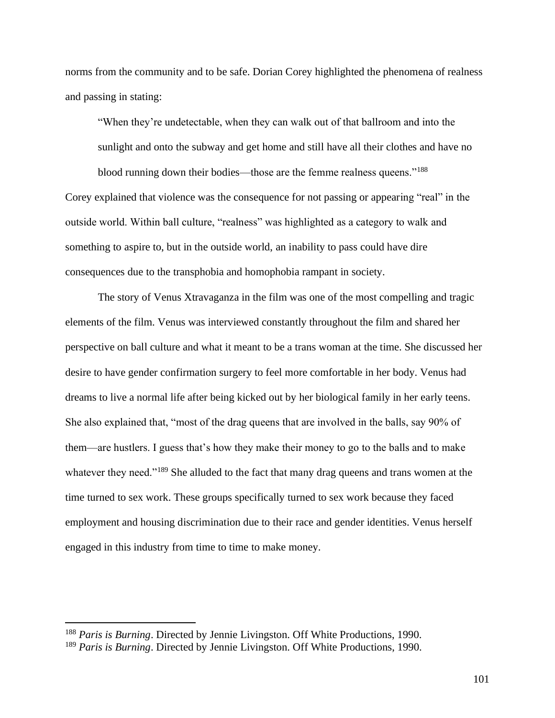norms from the community and to be safe. Dorian Corey highlighted the phenomena of realness and passing in stating:

"When they're undetectable, when they can walk out of that ballroom and into the sunlight and onto the subway and get home and still have all their clothes and have no blood running down their bodies—those are the femme realness queens."<sup>188</sup> Corey explained that violence was the consequence for not passing or appearing "real" in the outside world. Within ball culture, "realness" was highlighted as a category to walk and something to aspire to, but in the outside world, an inability to pass could have dire consequences due to the transphobia and homophobia rampant in society.

The story of Venus Xtravaganza in the film was one of the most compelling and tragic elements of the film. Venus was interviewed constantly throughout the film and shared her perspective on ball culture and what it meant to be a trans woman at the time. She discussed her desire to have gender confirmation surgery to feel more comfortable in her body. Venus had dreams to live a normal life after being kicked out by her biological family in her early teens. She also explained that, "most of the drag queens that are involved in the balls, say 90% of them—are hustlers. I guess that's how they make their money to go to the balls and to make whatever they need."<sup>189</sup> She alluded to the fact that many drag queens and trans women at the time turned to sex work. These groups specifically turned to sex work because they faced employment and housing discrimination due to their race and gender identities. Venus herself engaged in this industry from time to time to make money.

<sup>188</sup> *Paris is Burning*. Directed by Jennie Livingston. Off White Productions, 1990.

<sup>189</sup> *Paris is Burning*. Directed by Jennie Livingston. Off White Productions, 1990.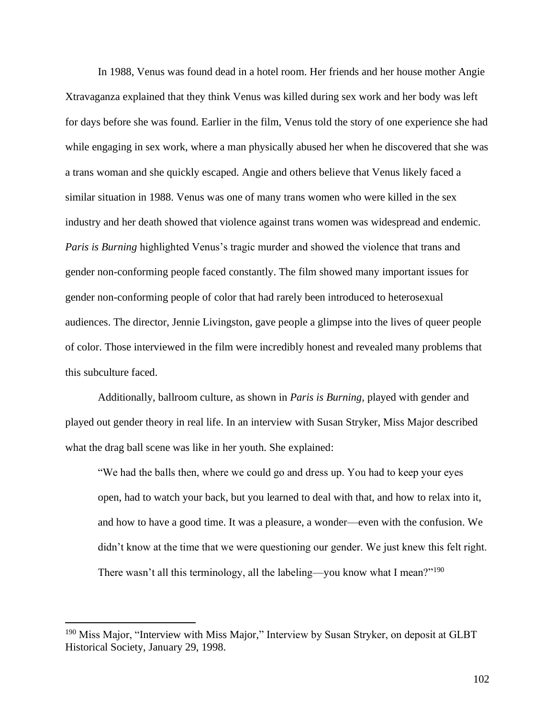In 1988, Venus was found dead in a hotel room. Her friends and her house mother Angie Xtravaganza explained that they think Venus was killed during sex work and her body was left for days before she was found. Earlier in the film, Venus told the story of one experience she had while engaging in sex work, where a man physically abused her when he discovered that she was a trans woman and she quickly escaped. Angie and others believe that Venus likely faced a similar situation in 1988. Venus was one of many trans women who were killed in the sex industry and her death showed that violence against trans women was widespread and endemic. *Paris is Burning* highlighted Venus's tragic murder and showed the violence that trans and gender non-conforming people faced constantly. The film showed many important issues for gender non-conforming people of color that had rarely been introduced to heterosexual audiences. The director, Jennie Livingston, gave people a glimpse into the lives of queer people of color. Those interviewed in the film were incredibly honest and revealed many problems that this subculture faced.

Additionally, ballroom culture, as shown in *Paris is Burning,* played with gender and played out gender theory in real life. In an interview with Susan Stryker, Miss Major described what the drag ball scene was like in her youth. She explained:

"We had the balls then, where we could go and dress up. You had to keep your eyes open, had to watch your back, but you learned to deal with that, and how to relax into it, and how to have a good time. It was a pleasure, a wonder—even with the confusion. We didn't know at the time that we were questioning our gender. We just knew this felt right. There wasn't all this terminology, all the labeling—you know what I mean?"<sup>190</sup>

<sup>&</sup>lt;sup>190</sup> Miss Major, "Interview with Miss Major," Interview by Susan Stryker, on deposit at GLBT Historical Society, January 29, 1998.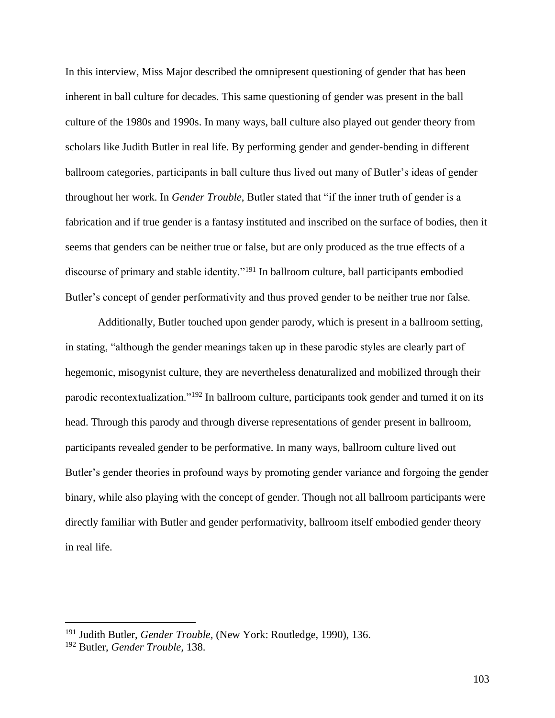In this interview, Miss Major described the omnipresent questioning of gender that has been inherent in ball culture for decades. This same questioning of gender was present in the ball culture of the 1980s and 1990s. In many ways, ball culture also played out gender theory from scholars like Judith Butler in real life. By performing gender and gender-bending in different ballroom categories, participants in ball culture thus lived out many of Butler's ideas of gender throughout her work. In *Gender Trouble*, Butler stated that "if the inner truth of gender is a fabrication and if true gender is a fantasy instituted and inscribed on the surface of bodies, then it seems that genders can be neither true or false, but are only produced as the true effects of a discourse of primary and stable identity."<sup>191</sup> In ballroom culture, ball participants embodied Butler's concept of gender performativity and thus proved gender to be neither true nor false.

Additionally, Butler touched upon gender parody, which is present in a ballroom setting, in stating, "although the gender meanings taken up in these parodic styles are clearly part of hegemonic, misogynist culture, they are nevertheless denaturalized and mobilized through their parodic recontextualization."<sup>192</sup> In ballroom culture, participants took gender and turned it on its head. Through this parody and through diverse representations of gender present in ballroom, participants revealed gender to be performative. In many ways, ballroom culture lived out Butler's gender theories in profound ways by promoting gender variance and forgoing the gender binary, while also playing with the concept of gender. Though not all ballroom participants were directly familiar with Butler and gender performativity, ballroom itself embodied gender theory in real life.

<sup>191</sup> Judith Butler, *Gender Trouble,* (New York: Routledge, 1990), 136.

<sup>192</sup> Butler, *Gender Trouble,* 138.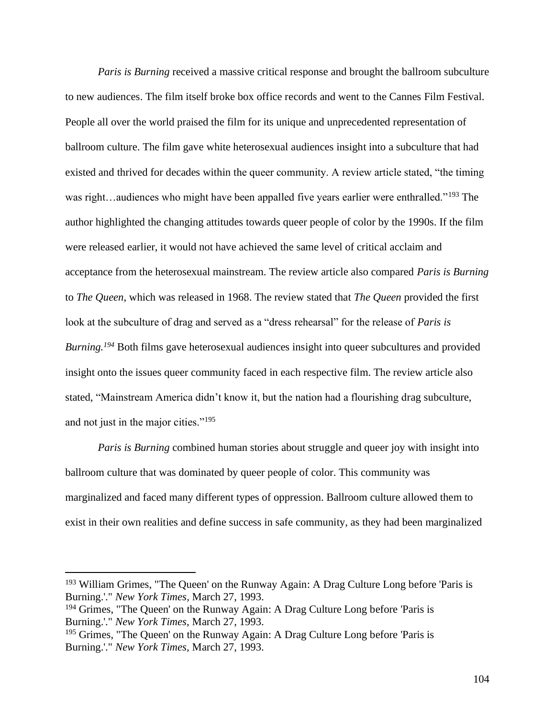*Paris is Burning* received a massive critical response and brought the ballroom subculture to new audiences. The film itself broke box office records and went to the Cannes Film Festival. People all over the world praised the film for its unique and unprecedented representation of ballroom culture. The film gave white heterosexual audiences insight into a subculture that had existed and thrived for decades within the queer community. A review article stated, "the timing was right...audiences who might have been appalled five years earlier were enthralled."<sup>193</sup> The author highlighted the changing attitudes towards queer people of color by the 1990s. If the film were released earlier, it would not have achieved the same level of critical acclaim and acceptance from the heterosexual mainstream. The review article also compared *Paris is Burning* to *The Queen*, which was released in 1968. The review stated that *The Queen* provided the first look at the subculture of drag and served as a "dress rehearsal" for the release of *Paris is Burning.<sup>194</sup>* Both films gave heterosexual audiences insight into queer subcultures and provided insight onto the issues queer community faced in each respective film. The review article also stated, "Mainstream America didn't know it, but the nation had a flourishing drag subculture, and not just in the major cities."<sup>195</sup>

*Paris is Burning* combined human stories about struggle and queer joy with insight into ballroom culture that was dominated by queer people of color. This community was marginalized and faced many different types of oppression. Ballroom culture allowed them to exist in their own realities and define success in safe community, as they had been marginalized

<sup>&</sup>lt;sup>193</sup> William Grimes, "The Queen' on the Runway Again: A Drag Culture Long before 'Paris is Burning.'." *New York Times,* March 27, 1993.

<sup>&</sup>lt;sup>194</sup> Grimes, "The Queen' on the Runway Again: A Drag Culture Long before 'Paris is Burning.'." *New York Times,* March 27, 1993.

<sup>195</sup> Grimes, "The Queen' on the Runway Again: A Drag Culture Long before 'Paris is Burning.'." *New York Times,* March 27, 1993.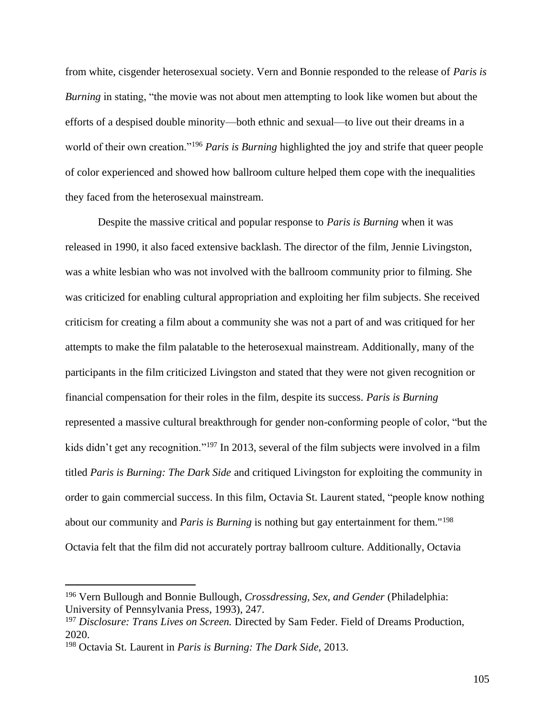from white, cisgender heterosexual society. Vern and Bonnie responded to the release of *Paris is Burning* in stating, "the movie was not about men attempting to look like women but about the efforts of a despised double minority—both ethnic and sexual—to live out their dreams in a world of their own creation."<sup>196</sup> *Paris is Burning* highlighted the joy and strife that queer people of color experienced and showed how ballroom culture helped them cope with the inequalities they faced from the heterosexual mainstream.

Despite the massive critical and popular response to *Paris is Burning* when it was released in 1990, it also faced extensive backlash. The director of the film, Jennie Livingston, was a white lesbian who was not involved with the ballroom community prior to filming. She was criticized for enabling cultural appropriation and exploiting her film subjects. She received criticism for creating a film about a community she was not a part of and was critiqued for her attempts to make the film palatable to the heterosexual mainstream. Additionally, many of the participants in the film criticized Livingston and stated that they were not given recognition or financial compensation for their roles in the film, despite its success. *Paris is Burning* represented a massive cultural breakthrough for gender non-conforming people of color, "but the kids didn't get any recognition."<sup>197</sup> In 2013, several of the film subjects were involved in a film titled *Paris is Burning: The Dark Side* and critiqued Livingston for exploiting the community in order to gain commercial success. In this film, Octavia St. Laurent stated, "people know nothing about our community and *Paris is Burning* is nothing but gay entertainment for them."<sup>198</sup> Octavia felt that the film did not accurately portray ballroom culture. Additionally, Octavia

<sup>196</sup> Vern Bullough and Bonnie Bullough, *Crossdressing, Sex, and Gender* (Philadelphia: University of Pennsylvania Press, 1993), 247.

<sup>197</sup> *Disclosure: Trans Lives on Screen.* Directed by Sam Feder. Field of Dreams Production, 2020.

<sup>198</sup> Octavia St. Laurent in *Paris is Burning: The Dark Side,* 2013.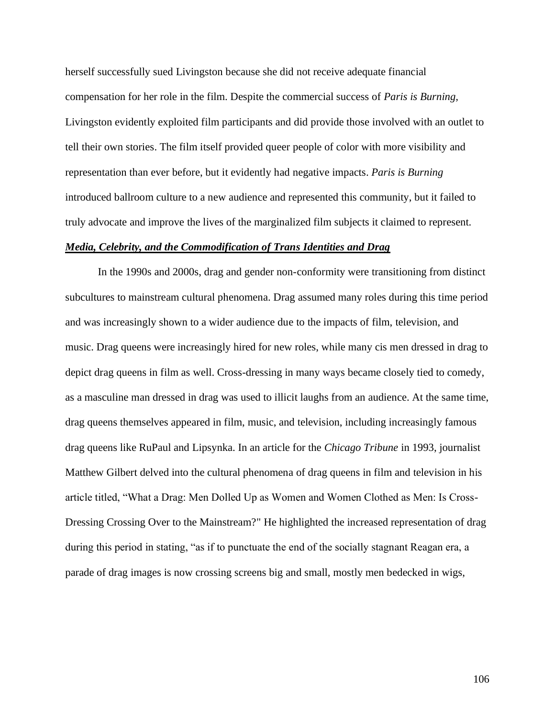herself successfully sued Livingston because she did not receive adequate financial compensation for her role in the film. Despite the commercial success of *Paris is Burning,*  Livingston evidently exploited film participants and did provide those involved with an outlet to tell their own stories. The film itself provided queer people of color with more visibility and representation than ever before, but it evidently had negative impacts. *Paris is Burning*  introduced ballroom culture to a new audience and represented this community, but it failed to truly advocate and improve the lives of the marginalized film subjects it claimed to represent.

# *Media, Celebrity, and the Commodification of Trans Identities and Drag*

In the 1990s and 2000s, drag and gender non-conformity were transitioning from distinct subcultures to mainstream cultural phenomena. Drag assumed many roles during this time period and was increasingly shown to a wider audience due to the impacts of film, television, and music. Drag queens were increasingly hired for new roles, while many cis men dressed in drag to depict drag queens in film as well. Cross-dressing in many ways became closely tied to comedy, as a masculine man dressed in drag was used to illicit laughs from an audience. At the same time, drag queens themselves appeared in film, music, and television, including increasingly famous drag queens like RuPaul and Lipsynka. In an article for the *Chicago Tribune* in 1993, journalist Matthew Gilbert delved into the cultural phenomena of drag queens in film and television in his article titled, "What a Drag: Men Dolled Up as Women and Women Clothed as Men: Is Cross-Dressing Crossing Over to the Mainstream?" He highlighted the increased representation of drag during this period in stating, "as if to punctuate the end of the socially stagnant Reagan era, a parade of drag images is now crossing screens big and small, mostly men bedecked in wigs,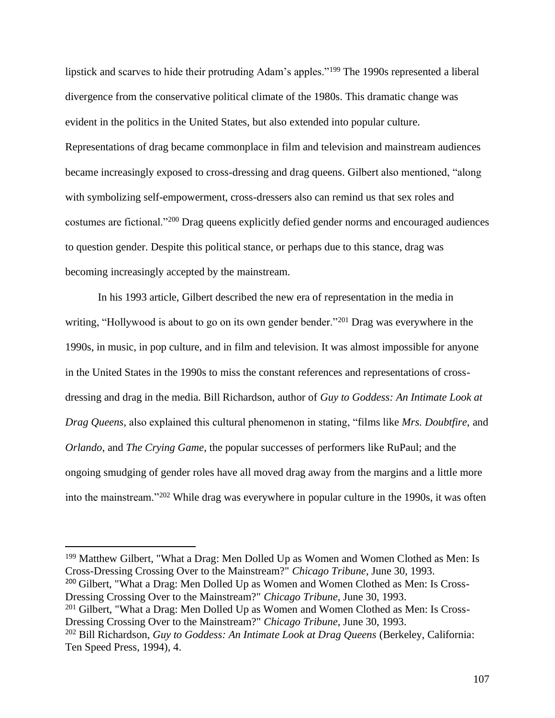lipstick and scarves to hide their protruding Adam's apples."<sup>199</sup> The 1990s represented a liberal divergence from the conservative political climate of the 1980s. This dramatic change was evident in the politics in the United States, but also extended into popular culture. Representations of drag became commonplace in film and television and mainstream audiences became increasingly exposed to cross-dressing and drag queens. Gilbert also mentioned, "along with symbolizing self-empowerment, cross-dressers also can remind us that sex roles and costumes are fictional."<sup>200</sup> Drag queens explicitly defied gender norms and encouraged audiences to question gender. Despite this political stance, or perhaps due to this stance, drag was becoming increasingly accepted by the mainstream.

In his 1993 article, Gilbert described the new era of representation in the media in writing, "Hollywood is about to go on its own gender bender."<sup>201</sup> Drag was everywhere in the 1990s, in music, in pop culture, and in film and television. It was almost impossible for anyone in the United States in the 1990s to miss the constant references and representations of crossdressing and drag in the media. Bill Richardson, author of *Guy to Goddess: An Intimate Look at Drag Queens,* also explained this cultural phenomenon in stating, "films like *Mrs. Doubtfire*, and *Orlando*, and *The Crying Game*, the popular successes of performers like RuPaul; and the ongoing smudging of gender roles have all moved drag away from the margins and a little more into the mainstream."<sup>202</sup> While drag was everywhere in popular culture in the 1990s, it was often

<sup>199</sup> Matthew Gilbert, "What a Drag: Men Dolled Up as Women and Women Clothed as Men: Is Cross-Dressing Crossing Over to the Mainstream?" *Chicago Tribune*, June 30, 1993.

<sup>200</sup> Gilbert, "What a Drag: Men Dolled Up as Women and Women Clothed as Men: Is Cross-Dressing Crossing Over to the Mainstream?" *Chicago Tribune*, June 30, 1993.

<sup>201</sup> Gilbert, "What a Drag: Men Dolled Up as Women and Women Clothed as Men: Is Cross-Dressing Crossing Over to the Mainstream?" *Chicago Tribune*, June 30, 1993.

<sup>202</sup> Bill Richardson, *Guy to Goddess: An Intimate Look at Drag Queens* (Berkeley, California: Ten Speed Press, 1994), 4.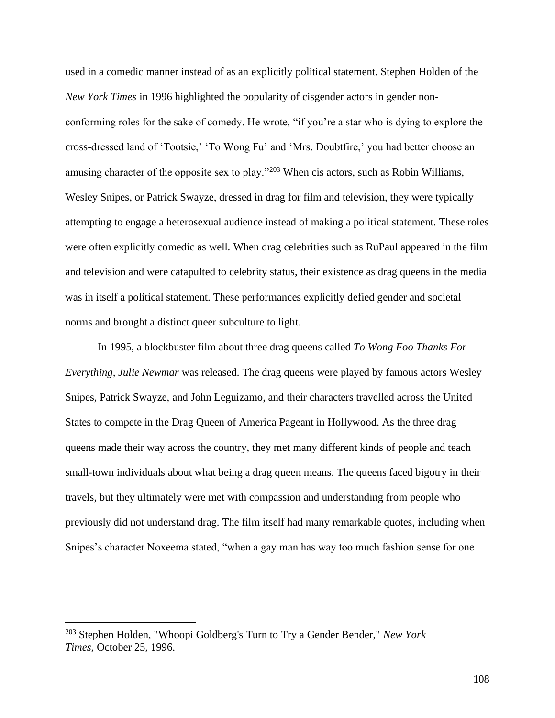used in a comedic manner instead of as an explicitly political statement. Stephen Holden of the *New York Times* in 1996 highlighted the popularity of cisgender actors in gender nonconforming roles for the sake of comedy. He wrote, "if you're a star who is dying to explore the cross-dressed land of 'Tootsie,' 'To Wong Fu' and 'Mrs. Doubtfire,' you had better choose an amusing character of the opposite sex to play."<sup>203</sup> When cis actors, such as Robin Williams, Wesley Snipes, or Patrick Swayze, dressed in drag for film and television, they were typically attempting to engage a heterosexual audience instead of making a political statement. These roles were often explicitly comedic as well. When drag celebrities such as RuPaul appeared in the film and television and were catapulted to celebrity status, their existence as drag queens in the media was in itself a political statement. These performances explicitly defied gender and societal norms and brought a distinct queer subculture to light.

In 1995, a blockbuster film about three drag queens called *To Wong Foo Thanks For Everything, Julie Newmar* was released. The drag queens were played by famous actors Wesley Snipes, Patrick Swayze, and John Leguizamo, and their characters travelled across the United States to compete in the Drag Queen of America Pageant in Hollywood. As the three drag queens made their way across the country, they met many different kinds of people and teach small-town individuals about what being a drag queen means. The queens faced bigotry in their travels, but they ultimately were met with compassion and understanding from people who previously did not understand drag. The film itself had many remarkable quotes, including when Snipes's character Noxeema stated, "when a gay man has way too much fashion sense for one

<sup>203</sup> Stephen Holden, "Whoopi Goldberg's Turn to Try a Gender Bender," *New York Times,* October 25, 1996.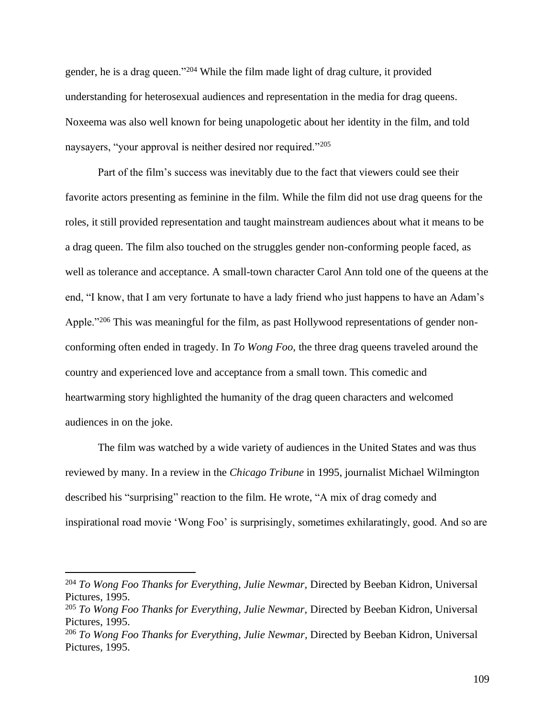gender, he is a drag queen."<sup>204</sup> While the film made light of drag culture, it provided understanding for heterosexual audiences and representation in the media for drag queens. Noxeema was also well known for being unapologetic about her identity in the film, and told naysayers, "your approval is neither desired nor required."<sup>205</sup>

Part of the film's success was inevitably due to the fact that viewers could see their favorite actors presenting as feminine in the film. While the film did not use drag queens for the roles, it still provided representation and taught mainstream audiences about what it means to be a drag queen. The film also touched on the struggles gender non-conforming people faced, as well as tolerance and acceptance. A small-town character Carol Ann told one of the queens at the end, "I know, that I am very fortunate to have a lady friend who just happens to have an Adam's Apple."<sup>206</sup> This was meaningful for the film, as past Hollywood representations of gender nonconforming often ended in tragedy. In *To Wong Foo,* the three drag queens traveled around the country and experienced love and acceptance from a small town. This comedic and heartwarming story highlighted the humanity of the drag queen characters and welcomed audiences in on the joke.

The film was watched by a wide variety of audiences in the United States and was thus reviewed by many. In a review in the *Chicago Tribune* in 1995, journalist Michael Wilmington described his "surprising" reaction to the film. He wrote, "A mix of drag comedy and inspirational road movie 'Wong Foo' is surprisingly, sometimes exhilaratingly, good. And so are

<sup>&</sup>lt;sup>204</sup> To Wong Foo Thanks for Everything, Julie Newmar, Directed by Beeban Kidron, Universal Pictures, 1995.

<sup>205</sup> *To Wong Foo Thanks for Everything, Julie Newmar,* Directed by Beeban Kidron, Universal Pictures, 1995.

<sup>206</sup> *To Wong Foo Thanks for Everything, Julie Newmar,* Directed by Beeban Kidron, Universal Pictures, 1995.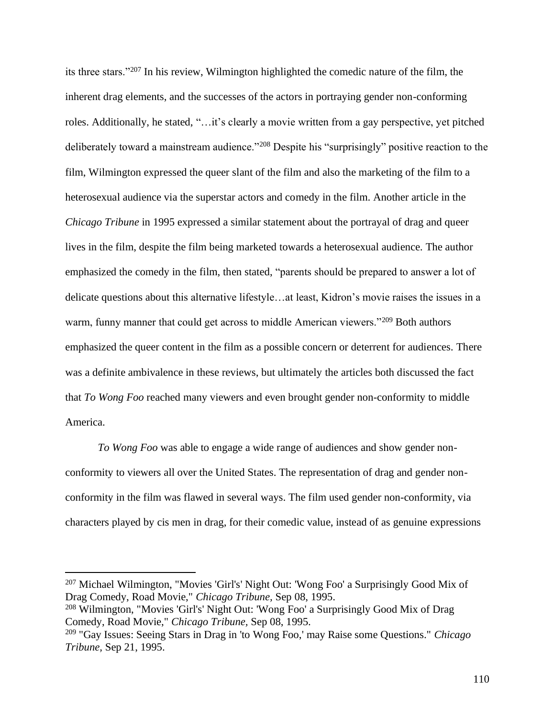its three stars."<sup>207</sup> In his review, Wilmington highlighted the comedic nature of the film, the inherent drag elements, and the successes of the actors in portraying gender non-conforming roles. Additionally, he stated, "…it's clearly a movie written from a gay perspective, yet pitched deliberately toward a mainstream audience."<sup>208</sup> Despite his "surprisingly" positive reaction to the film, Wilmington expressed the queer slant of the film and also the marketing of the film to a heterosexual audience via the superstar actors and comedy in the film. Another article in the *Chicago Tribune* in 1995 expressed a similar statement about the portrayal of drag and queer lives in the film, despite the film being marketed towards a heterosexual audience. The author emphasized the comedy in the film, then stated, "parents should be prepared to answer a lot of delicate questions about this alternative lifestyle…at least, Kidron's movie raises the issues in a warm, funny manner that could get across to middle American viewers."<sup>209</sup> Both authors emphasized the queer content in the film as a possible concern or deterrent for audiences. There was a definite ambivalence in these reviews, but ultimately the articles both discussed the fact that *To Wong Foo* reached many viewers and even brought gender non-conformity to middle America.

*To Wong Foo* was able to engage a wide range of audiences and show gender nonconformity to viewers all over the United States. The representation of drag and gender nonconformity in the film was flawed in several ways. The film used gender non-conformity, via characters played by cis men in drag, for their comedic value, instead of as genuine expressions

<sup>207</sup> Michael Wilmington, "Movies 'Girl's' Night Out: 'Wong Foo' a Surprisingly Good Mix of Drag Comedy, Road Movie," *Chicago Tribune,* Sep 08, 1995.

<sup>208</sup> Wilmington, "Movies 'Girl's' Night Out: 'Wong Foo' a Surprisingly Good Mix of Drag Comedy, Road Movie," *Chicago Tribune,* Sep 08, 1995.

<sup>209</sup> "Gay Issues: Seeing Stars in Drag in 'to Wong Foo,' may Raise some Questions." *Chicago Tribune,* Sep 21, 1995.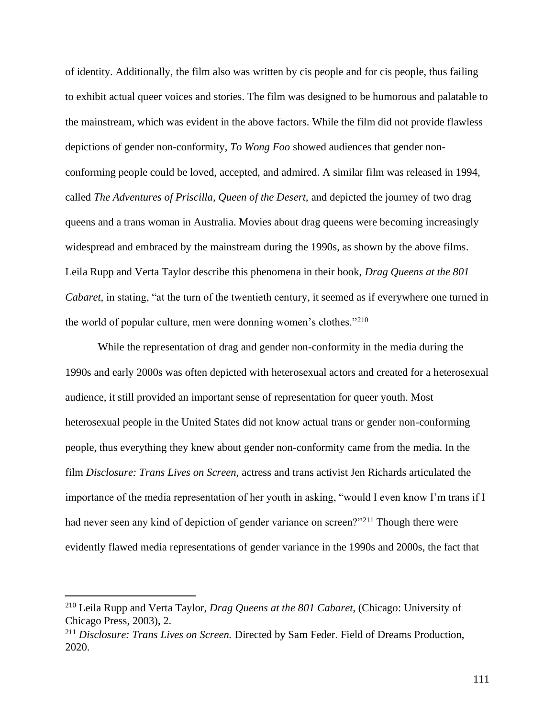of identity. Additionally, the film also was written by cis people and for cis people, thus failing to exhibit actual queer voices and stories. The film was designed to be humorous and palatable to the mainstream, which was evident in the above factors. While the film did not provide flawless depictions of gender non-conformity, *To Wong Foo* showed audiences that gender nonconforming people could be loved, accepted, and admired. A similar film was released in 1994, called *The Adventures of Priscilla, Queen of the Desert,* and depicted the journey of two drag queens and a trans woman in Australia. Movies about drag queens were becoming increasingly widespread and embraced by the mainstream during the 1990s, as shown by the above films. Leila Rupp and Verta Taylor describe this phenomena in their book, *Drag Queens at the 801 Cabaret*, in stating, "at the turn of the twentieth century, it seemed as if everywhere one turned in the world of popular culture, men were donning women's clothes."<sup>210</sup>

While the representation of drag and gender non-conformity in the media during the 1990s and early 2000s was often depicted with heterosexual actors and created for a heterosexual audience, it still provided an important sense of representation for queer youth. Most heterosexual people in the United States did not know actual trans or gender non-conforming people, thus everything they knew about gender non-conformity came from the media. In the film *Disclosure: Trans Lives on Screen,* actress and trans activist Jen Richards articulated the importance of the media representation of her youth in asking, "would I even know I'm trans if I had never seen any kind of depiction of gender variance on screen?"<sup>211</sup> Though there were evidently flawed media representations of gender variance in the 1990s and 2000s, the fact that

<sup>210</sup> Leila Rupp and Verta Taylor, *Drag Queens at the 801 Cabaret*, (Chicago: University of Chicago Press, 2003), 2.

<sup>211</sup> *Disclosure: Trans Lives on Screen.* Directed by Sam Feder. Field of Dreams Production, 2020.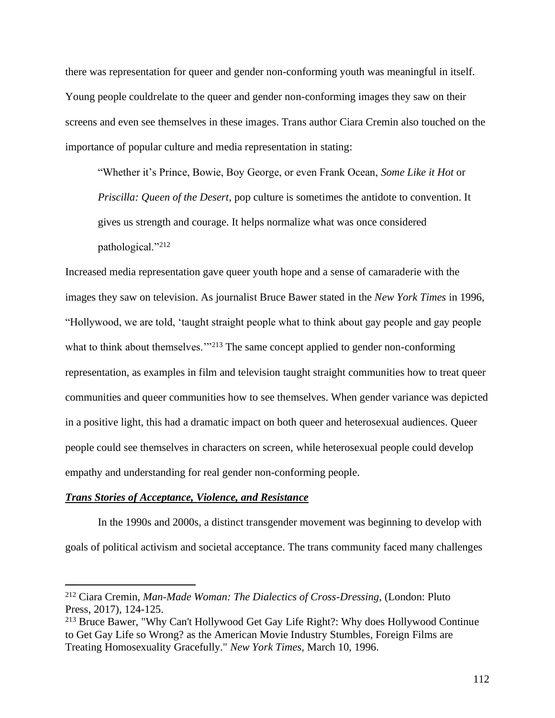there was representation for queer and gender non-conforming youth was meaningful in itself. Young people couldrelate to the queer and gender non-conforming images they saw on their screens and even see themselves in these images. Trans author Ciara Cremin also touched on the importance of popular culture and media representation in stating:

"Whether it's Prince, Bowie, Boy George, or even Frank Ocean, *Some Like it Hot* or *Priscilla: Queen of the Desert*, pop culture is sometimes the antidote to convention. It gives us strength and courage. It helps normalize what was once considered pathological."<sup>212</sup>

Increased media representation gave queer youth hope and a sense of camaraderie with the images they saw on television. As journalist Bruce Bawer stated in the *New York Times* in 1996, "Hollywood, we are told, 'taught straight people what to think about gay people and gay people what to think about themselves."<sup>213</sup> The same concept applied to gender non-conforming representation, as examples in film and television taught straight communities how to treat queer communities and queer communities how to see themselves. When gender variance was depicted in a positive light, this had a dramatic impact on both queer and heterosexual audiences. Queer people could see themselves in characters on screen, while heterosexual people could develop empathy and understanding for real gender non-conforming people.

# *Trans Stories of Acceptance, Violence, and Resistance*

In the 1990s and 2000s, a distinct transgender movement was beginning to develop with goals of political activism and societal acceptance. The trans community faced many challenges

<sup>212</sup> Ciara Cremin, *Man-Made Woman: The Dialectics of Cross-Dressing*, (London: Pluto Press, 2017), 124-125.

<sup>&</sup>lt;sup>213</sup> Bruce Bawer, "Why Can't Hollywood Get Gay Life Right?: Why does Hollywood Continue to Get Gay Life so Wrong? as the American Movie Industry Stumbles, Foreign Films are Treating Homosexuality Gracefully." *New York Times,* March 10, 1996.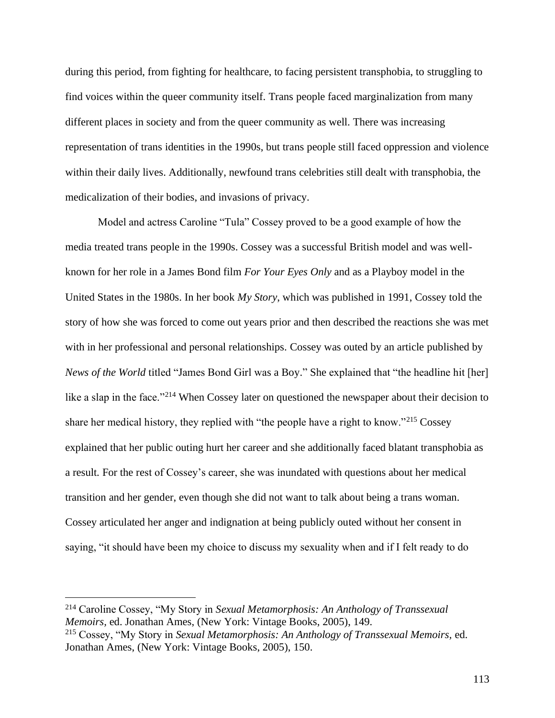during this period, from fighting for healthcare, to facing persistent transphobia, to struggling to find voices within the queer community itself. Trans people faced marginalization from many different places in society and from the queer community as well. There was increasing representation of trans identities in the 1990s, but trans people still faced oppression and violence within their daily lives. Additionally, newfound trans celebrities still dealt with transphobia, the medicalization of their bodies, and invasions of privacy.

Model and actress Caroline "Tula" Cossey proved to be a good example of how the media treated trans people in the 1990s. Cossey was a successful British model and was wellknown for her role in a James Bond film *For Your Eyes Only* and as a Playboy model in the United States in the 1980s. In her book *My Story*, which was published in 1991, Cossey told the story of how she was forced to come out years prior and then described the reactions she was met with in her professional and personal relationships. Cossey was outed by an article published by *News of the World* titled "James Bond Girl was a Boy." She explained that "the headline hit [her] like a slap in the face."<sup>214</sup> When Cossey later on questioned the newspaper about their decision to share her medical history, they replied with "the people have a right to know."<sup>215</sup> Cossey explained that her public outing hurt her career and she additionally faced blatant transphobia as a result. For the rest of Cossey's career, she was inundated with questions about her medical transition and her gender, even though she did not want to talk about being a trans woman. Cossey articulated her anger and indignation at being publicly outed without her consent in saying, "it should have been my choice to discuss my sexuality when and if I felt ready to do

<sup>214</sup> Caroline Cossey, "My Story in *Sexual Metamorphosis: An Anthology of Transsexual Memoirs,* ed. Jonathan Ames, (New York: Vintage Books, 2005), 149.

<sup>215</sup> Cossey, "My Story in *Sexual Metamorphosis: An Anthology of Transsexual Memoirs,* ed. Jonathan Ames, (New York: Vintage Books, 2005), 150.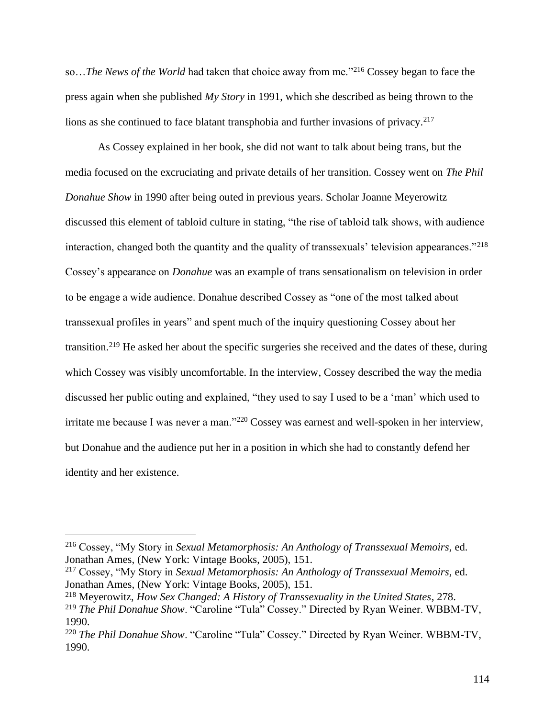so…*The News of the World* had taken that choice away from me."<sup>216</sup> Cossey began to face the press again when she published *My Story* in 1991, which she described as being thrown to the lions as she continued to face blatant transphobia and further invasions of privacy.<sup>217</sup>

As Cossey explained in her book, she did not want to talk about being trans, but the media focused on the excruciating and private details of her transition. Cossey went on *The Phil Donahue Show* in 1990 after being outed in previous years. Scholar Joanne Meyerowitz discussed this element of tabloid culture in stating, "the rise of tabloid talk shows, with audience interaction, changed both the quantity and the quality of transsexuals' television appearances."<sup>218</sup> Cossey's appearance on *Donahue* was an example of trans sensationalism on television in order to be engage a wide audience. Donahue described Cossey as "one of the most talked about transsexual profiles in years" and spent much of the inquiry questioning Cossey about her transition.<sup>219</sup> He asked her about the specific surgeries she received and the dates of these, during which Cossey was visibly uncomfortable. In the interview, Cossey described the way the media discussed her public outing and explained, "they used to say I used to be a 'man' which used to irritate me because I was never a man."<sup>220</sup> Cossey was earnest and well-spoken in her interview, but Donahue and the audience put her in a position in which she had to constantly defend her identity and her existence.

<sup>216</sup> Cossey, "My Story in *Sexual Metamorphosis: An Anthology of Transsexual Memoirs,* ed. Jonathan Ames, (New York: Vintage Books, 2005), 151.

<sup>217</sup> Cossey, "My Story in *Sexual Metamorphosis: An Anthology of Transsexual Memoirs,* ed. Jonathan Ames, (New York: Vintage Books, 2005), 151.

<sup>218</sup> Meyerowitz, *How Sex Changed: A History of Transsexuality in the United States*, 278.

<sup>219</sup> *The Phil Donahue Show*. "Caroline "Tula" Cossey." Directed by Ryan Weiner. WBBM-TV, 1990.

<sup>220</sup> *The Phil Donahue Show*. "Caroline "Tula" Cossey." Directed by Ryan Weiner. WBBM-TV, 1990.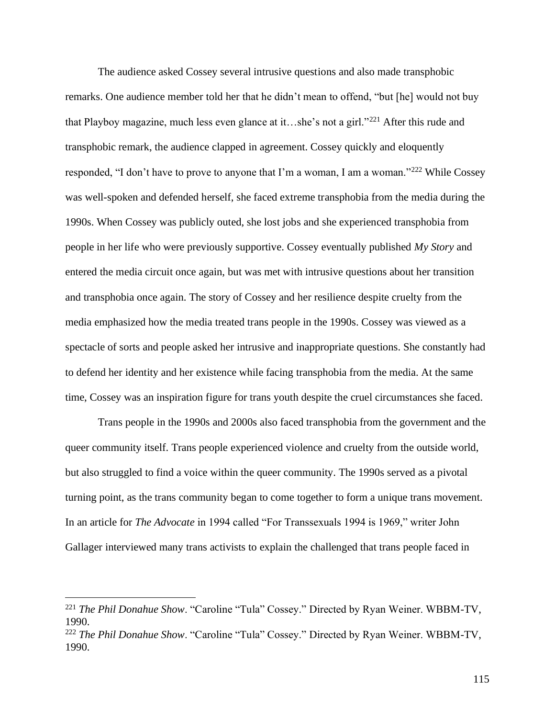The audience asked Cossey several intrusive questions and also made transphobic remarks. One audience member told her that he didn't mean to offend, "but [he] would not buy that Playboy magazine, much less even glance at it…she's not a girl."<sup>221</sup> After this rude and transphobic remark, the audience clapped in agreement. Cossey quickly and eloquently responded, "I don't have to prove to anyone that I'm a woman, I am a woman."<sup>222</sup> While Cossey was well-spoken and defended herself, she faced extreme transphobia from the media during the 1990s. When Cossey was publicly outed, she lost jobs and she experienced transphobia from people in her life who were previously supportive. Cossey eventually published *My Story* and entered the media circuit once again, but was met with intrusive questions about her transition and transphobia once again. The story of Cossey and her resilience despite cruelty from the media emphasized how the media treated trans people in the 1990s. Cossey was viewed as a spectacle of sorts and people asked her intrusive and inappropriate questions. She constantly had to defend her identity and her existence while facing transphobia from the media. At the same time, Cossey was an inspiration figure for trans youth despite the cruel circumstances she faced.

Trans people in the 1990s and 2000s also faced transphobia from the government and the queer community itself. Trans people experienced violence and cruelty from the outside world, but also struggled to find a voice within the queer community. The 1990s served as a pivotal turning point, as the trans community began to come together to form a unique trans movement. In an article for *The Advocate* in 1994 called "For Transsexuals 1994 is 1969," writer John Gallager interviewed many trans activists to explain the challenged that trans people faced in

<sup>221</sup> *The Phil Donahue Show*. "Caroline "Tula" Cossey." Directed by Ryan Weiner. WBBM-TV, 1990.

<sup>222</sup> *The Phil Donahue Show*. "Caroline "Tula" Cossey." Directed by Ryan Weiner. WBBM-TV, 1990.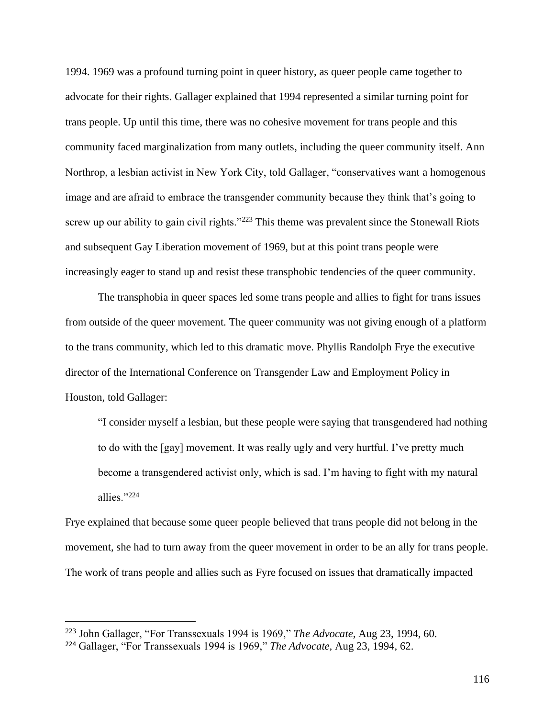1994. 1969 was a profound turning point in queer history, as queer people came together to advocate for their rights. Gallager explained that 1994 represented a similar turning point for trans people. Up until this time, there was no cohesive movement for trans people and this community faced marginalization from many outlets, including the queer community itself. Ann Northrop, a lesbian activist in New York City, told Gallager, "conservatives want a homogenous image and are afraid to embrace the transgender community because they think that's going to screw up our ability to gain civil rights."<sup>223</sup> This theme was prevalent since the Stonewall Riots and subsequent Gay Liberation movement of 1969, but at this point trans people were increasingly eager to stand up and resist these transphobic tendencies of the queer community.

The transphobia in queer spaces led some trans people and allies to fight for trans issues from outside of the queer movement. The queer community was not giving enough of a platform to the trans community, which led to this dramatic move. Phyllis Randolph Frye the executive director of the International Conference on Transgender Law and Employment Policy in Houston, told Gallager:

"I consider myself a lesbian, but these people were saying that transgendered had nothing to do with the [gay] movement. It was really ugly and very hurtful. I've pretty much become a transgendered activist only, which is sad. I'm having to fight with my natural allies."<sup>224</sup>

Frye explained that because some queer people believed that trans people did not belong in the movement, she had to turn away from the queer movement in order to be an ally for trans people. The work of trans people and allies such as Fyre focused on issues that dramatically impacted

<sup>223</sup> John Gallager, "For Transsexuals 1994 is 1969," *The Advocate,* Aug 23, 1994, 60.

<sup>224</sup> Gallager, "For Transsexuals 1994 is 1969," *The Advocate,* Aug 23, 1994, 62.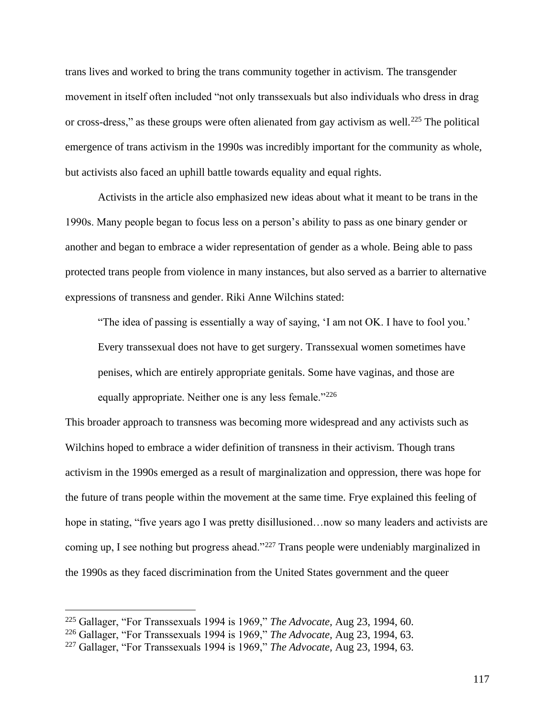trans lives and worked to bring the trans community together in activism. The transgender movement in itself often included "not only transsexuals but also individuals who dress in drag or cross-dress," as these groups were often alienated from gay activism as well.<sup>225</sup> The political emergence of trans activism in the 1990s was incredibly important for the community as whole, but activists also faced an uphill battle towards equality and equal rights.

Activists in the article also emphasized new ideas about what it meant to be trans in the 1990s. Many people began to focus less on a person's ability to pass as one binary gender or another and began to embrace a wider representation of gender as a whole. Being able to pass protected trans people from violence in many instances, but also served as a barrier to alternative expressions of transness and gender. Riki Anne Wilchins stated:

"The idea of passing is essentially a way of saying, 'I am not OK. I have to fool you.' Every transsexual does not have to get surgery. Transsexual women sometimes have penises, which are entirely appropriate genitals. Some have vaginas, and those are equally appropriate. Neither one is any less female."<sup>226</sup>

This broader approach to transness was becoming more widespread and any activists such as Wilchins hoped to embrace a wider definition of transness in their activism. Though trans activism in the 1990s emerged as a result of marginalization and oppression, there was hope for the future of trans people within the movement at the same time. Frye explained this feeling of hope in stating, "five years ago I was pretty disillusioned...now so many leaders and activists are coming up, I see nothing but progress ahead."<sup>227</sup> Trans people were undeniably marginalized in the 1990s as they faced discrimination from the United States government and the queer

<sup>225</sup> Gallager, "For Transsexuals 1994 is 1969," *The Advocate,* Aug 23, 1994, 60.

<sup>226</sup> Gallager, "For Transsexuals 1994 is 1969," *The Advocate,* Aug 23, 1994, 63.

<sup>227</sup> Gallager, "For Transsexuals 1994 is 1969," *The Advocate,* Aug 23, 1994, 63.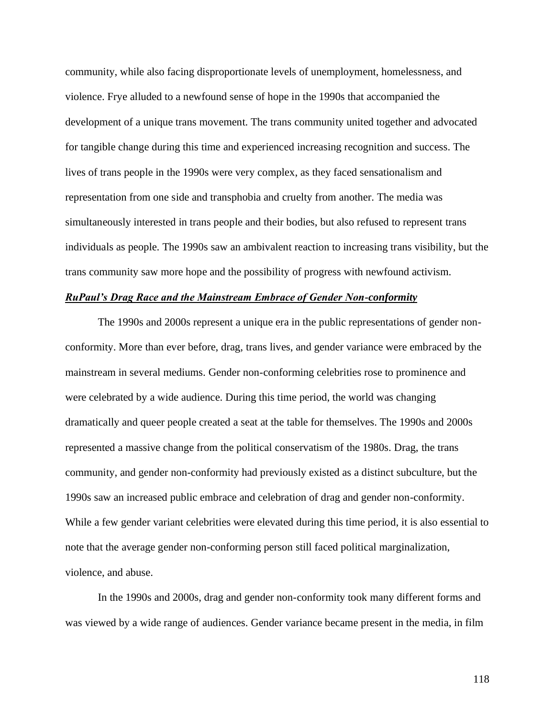community, while also facing disproportionate levels of unemployment, homelessness, and violence. Frye alluded to a newfound sense of hope in the 1990s that accompanied the development of a unique trans movement. The trans community united together and advocated for tangible change during this time and experienced increasing recognition and success. The lives of trans people in the 1990s were very complex, as they faced sensationalism and representation from one side and transphobia and cruelty from another. The media was simultaneously interested in trans people and their bodies, but also refused to represent trans individuals as people. The 1990s saw an ambivalent reaction to increasing trans visibility, but the trans community saw more hope and the possibility of progress with newfound activism.

#### *RuPaul's Drag Race and the Mainstream Embrace of Gender Non-conformity*

The 1990s and 2000s represent a unique era in the public representations of gender nonconformity. More than ever before, drag, trans lives, and gender variance were embraced by the mainstream in several mediums. Gender non-conforming celebrities rose to prominence and were celebrated by a wide audience. During this time period, the world was changing dramatically and queer people created a seat at the table for themselves. The 1990s and 2000s represented a massive change from the political conservatism of the 1980s. Drag, the trans community, and gender non-conformity had previously existed as a distinct subculture, but the 1990s saw an increased public embrace and celebration of drag and gender non-conformity. While a few gender variant celebrities were elevated during this time period, it is also essential to note that the average gender non-conforming person still faced political marginalization, violence, and abuse.

In the 1990s and 2000s, drag and gender non-conformity took many different forms and was viewed by a wide range of audiences. Gender variance became present in the media, in film

118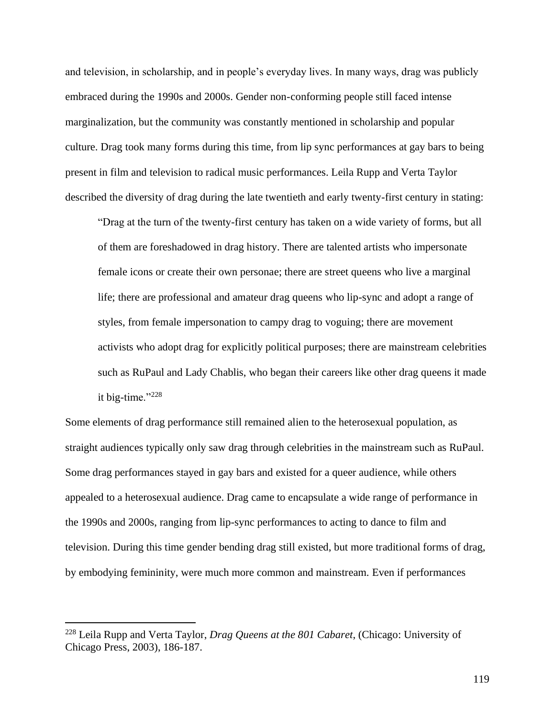and television, in scholarship, and in people's everyday lives. In many ways, drag was publicly embraced during the 1990s and 2000s. Gender non-conforming people still faced intense marginalization, but the community was constantly mentioned in scholarship and popular culture. Drag took many forms during this time, from lip sync performances at gay bars to being present in film and television to radical music performances. Leila Rupp and Verta Taylor described the diversity of drag during the late twentieth and early twenty-first century in stating:

"Drag at the turn of the twenty-first century has taken on a wide variety of forms, but all of them are foreshadowed in drag history. There are talented artists who impersonate female icons or create their own personae; there are street queens who live a marginal life; there are professional and amateur drag queens who lip-sync and adopt a range of styles, from female impersonation to campy drag to voguing; there are movement activists who adopt drag for explicitly political purposes; there are mainstream celebrities such as RuPaul and Lady Chablis, who began their careers like other drag queens it made it big-time."<sup>228</sup>

Some elements of drag performance still remained alien to the heterosexual population, as straight audiences typically only saw drag through celebrities in the mainstream such as RuPaul. Some drag performances stayed in gay bars and existed for a queer audience, while others appealed to a heterosexual audience. Drag came to encapsulate a wide range of performance in the 1990s and 2000s, ranging from lip-sync performances to acting to dance to film and television. During this time gender bending drag still existed, but more traditional forms of drag, by embodying femininity, were much more common and mainstream. Even if performances

<sup>228</sup> Leila Rupp and Verta Taylor, *Drag Queens at the 801 Cabaret*, (Chicago: University of Chicago Press, 2003), 186-187.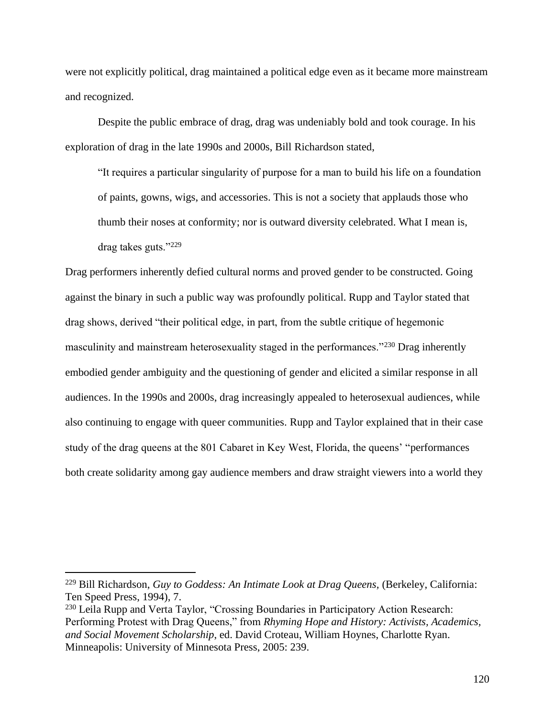were not explicitly political, drag maintained a political edge even as it became more mainstream and recognized.

Despite the public embrace of drag, drag was undeniably bold and took courage. In his exploration of drag in the late 1990s and 2000s, Bill Richardson stated,

"It requires a particular singularity of purpose for a man to build his life on a foundation of paints, gowns, wigs, and accessories. This is not a society that applauds those who thumb their noses at conformity; nor is outward diversity celebrated. What I mean is, drag takes guts."<sup>229</sup>

Drag performers inherently defied cultural norms and proved gender to be constructed. Going against the binary in such a public way was profoundly political. Rupp and Taylor stated that drag shows, derived "their political edge, in part, from the subtle critique of hegemonic masculinity and mainstream heterosexuality staged in the performances."<sup>230</sup> Drag inherently embodied gender ambiguity and the questioning of gender and elicited a similar response in all audiences. In the 1990s and 2000s, drag increasingly appealed to heterosexual audiences, while also continuing to engage with queer communities. Rupp and Taylor explained that in their case study of the drag queens at the 801 Cabaret in Key West, Florida, the queens' "performances both create solidarity among gay audience members and draw straight viewers into a world they

<sup>&</sup>lt;sup>229</sup> Bill Richardson, *Guy to Goddess: An Intimate Look at Drag Queens*, (Berkeley, California: Ten Speed Press, 1994), 7.

<sup>230</sup> Leila Rupp and Verta Taylor, "Crossing Boundaries in Participatory Action Research: Performing Protest with Drag Queens," from *Rhyming Hope and History: Activists, Academics, and Social Movement Scholarship*, ed. David Croteau, William Hoynes, Charlotte Ryan. Minneapolis: University of Minnesota Press, 2005: 239.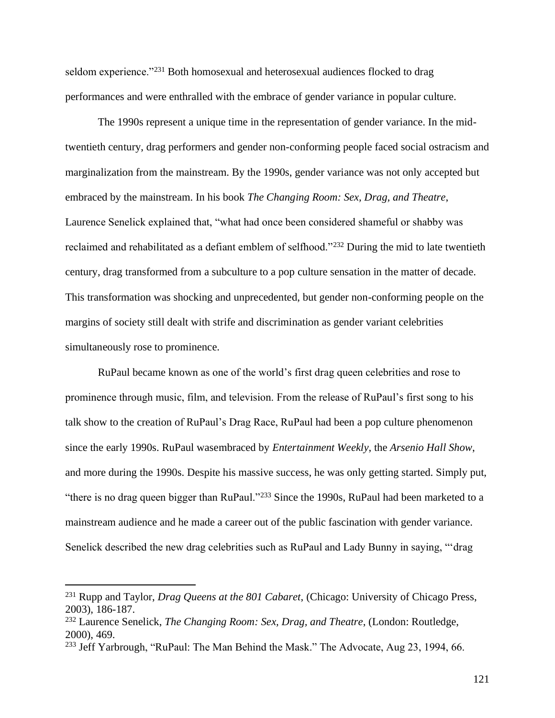seldom experience."<sup>231</sup> Both homosexual and heterosexual audiences flocked to drag performances and were enthralled with the embrace of gender variance in popular culture.

The 1990s represent a unique time in the representation of gender variance. In the midtwentieth century, drag performers and gender non-conforming people faced social ostracism and marginalization from the mainstream. By the 1990s, gender variance was not only accepted but embraced by the mainstream. In his book *The Changing Room: Sex, Drag, and Theatre*, Laurence Senelick explained that, "what had once been considered shameful or shabby was reclaimed and rehabilitated as a defiant emblem of selfhood."<sup>232</sup> During the mid to late twentieth century, drag transformed from a subculture to a pop culture sensation in the matter of decade. This transformation was shocking and unprecedented, but gender non-conforming people on the margins of society still dealt with strife and discrimination as gender variant celebrities simultaneously rose to prominence.

RuPaul became known as one of the world's first drag queen celebrities and rose to prominence through music, film, and television. From the release of RuPaul's first song to his talk show to the creation of RuPaul's Drag Race, RuPaul had been a pop culture phenomenon since the early 1990s. RuPaul wasembraced by *Entertainment Weekly*, the *Arsenio Hall Show*, and more during the 1990s. Despite his massive success, he was only getting started. Simply put, "there is no drag queen bigger than RuPaul."<sup>233</sup> Since the 1990s, RuPaul had been marketed to a mainstream audience and he made a career out of the public fascination with gender variance. Senelick described the new drag celebrities such as RuPaul and Lady Bunny in saying, "'drag

<sup>231</sup> Rupp and Taylor, *Drag Queens at the 801 Cabaret*, (Chicago: University of Chicago Press, 2003), 186-187.

<sup>232</sup> Laurence Senelick, *The Changing Room: Sex, Drag, and Theatre*, (London: Routledge, 2000), 469.

<sup>&</sup>lt;sup>233</sup> Jeff Yarbrough, "RuPaul: The Man Behind the Mask." The Advocate, Aug 23, 1994, 66.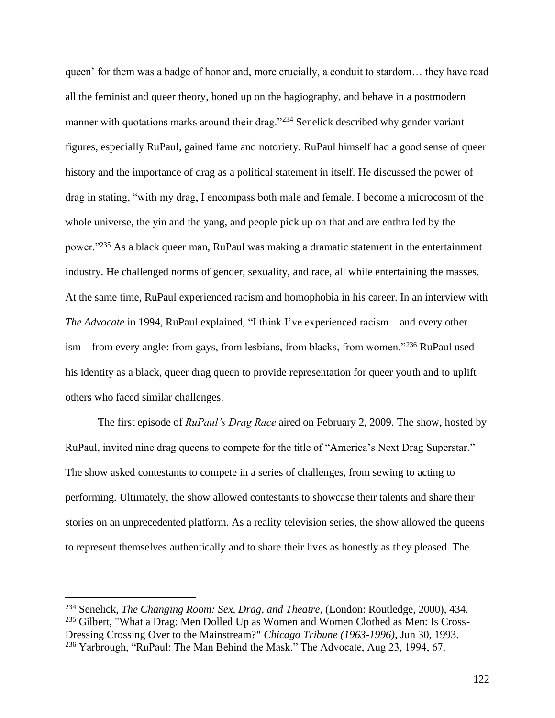queen' for them was a badge of honor and, more crucially, a conduit to stardom… they have read all the feminist and queer theory, boned up on the hagiography, and behave in a postmodern manner with quotations marks around their drag."<sup>234</sup> Senelick described why gender variant figures, especially RuPaul, gained fame and notoriety. RuPaul himself had a good sense of queer history and the importance of drag as a political statement in itself. He discussed the power of drag in stating, "with my drag, I encompass both male and female. I become a microcosm of the whole universe, the yin and the yang, and people pick up on that and are enthralled by the power."<sup>235</sup> As a black queer man, RuPaul was making a dramatic statement in the entertainment industry. He challenged norms of gender, sexuality, and race, all while entertaining the masses. At the same time, RuPaul experienced racism and homophobia in his career. In an interview with *The Advocate* in 1994, RuPaul explained, "I think I've experienced racism—and every other ism—from every angle: from gays, from lesbians, from blacks, from women."<sup>236</sup> RuPaul used his identity as a black, queer drag queen to provide representation for queer youth and to uplift others who faced similar challenges.

The first episode of *RuPaul's Drag Race* aired on February 2, 2009. The show, hosted by RuPaul, invited nine drag queens to compete for the title of "America's Next Drag Superstar." The show asked contestants to compete in a series of challenges, from sewing to acting to performing. Ultimately, the show allowed contestants to showcase their talents and share their stories on an unprecedented platform. As a reality television series, the show allowed the queens to represent themselves authentically and to share their lives as honestly as they pleased. The

<sup>234</sup> Senelick, *The Changing Room: Sex, Drag, and Theatre*, (London: Routledge, 2000), 434. <sup>235</sup> Gilbert, "What a Drag: Men Dolled Up as Women and Women Clothed as Men: Is Cross-Dressing Crossing Over to the Mainstream?" *Chicago Tribune (1963-1996),* Jun 30, 1993. <sup>236</sup> Yarbrough, "RuPaul: The Man Behind the Mask." The Advocate, Aug 23, 1994, 67.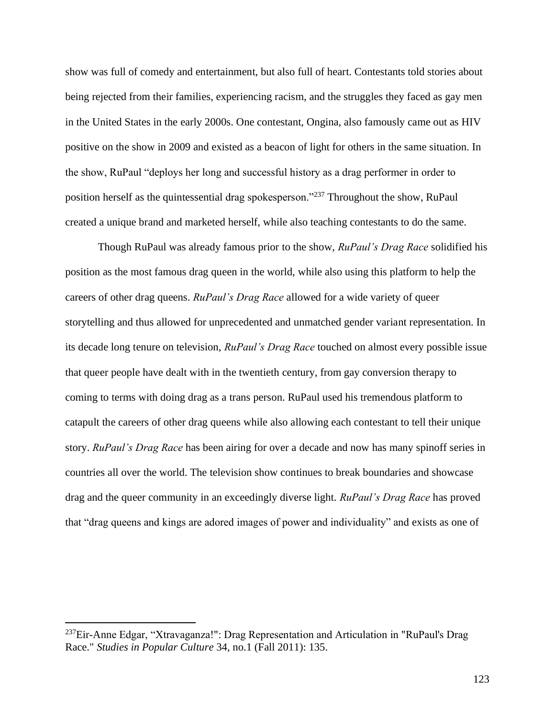show was full of comedy and entertainment, but also full of heart. Contestants told stories about being rejected from their families, experiencing racism, and the struggles they faced as gay men in the United States in the early 2000s. One contestant, Ongina, also famously came out as HIV positive on the show in 2009 and existed as a beacon of light for others in the same situation. In the show, RuPaul "deploys her long and successful history as a drag performer in order to position herself as the quintessential drag spokesperson."<sup>237</sup> Throughout the show, RuPaul created a unique brand and marketed herself, while also teaching contestants to do the same.

Though RuPaul was already famous prior to the show, *RuPaul's Drag Race* solidified his position as the most famous drag queen in the world, while also using this platform to help the careers of other drag queens. *RuPaul's Drag Race* allowed for a wide variety of queer storytelling and thus allowed for unprecedented and unmatched gender variant representation. In its decade long tenure on television, *RuPaul's Drag Race* touched on almost every possible issue that queer people have dealt with in the twentieth century, from gay conversion therapy to coming to terms with doing drag as a trans person. RuPaul used his tremendous platform to catapult the careers of other drag queens while also allowing each contestant to tell their unique story. *RuPaul's Drag Race* has been airing for over a decade and now has many spinoff series in countries all over the world. The television show continues to break boundaries and showcase drag and the queer community in an exceedingly diverse light. *RuPaul's Drag Race* has proved that "drag queens and kings are adored images of power and individuality" and exists as one of

<sup>&</sup>lt;sup>237</sup>Eir-Anne Edgar, "Xtravaganza!": Drag Representation and Articulation in "RuPaul's Drag Race." *Studies in Popular Culture* 34, no.1 (Fall 2011): 135.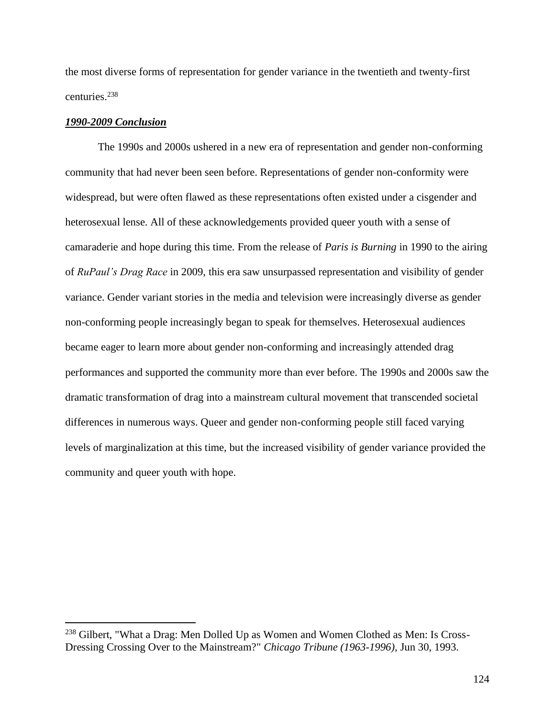the most diverse forms of representation for gender variance in the twentieth and twenty-first centuries.<sup>238</sup>

## *1990-2009 Conclusion*

The 1990s and 2000s ushered in a new era of representation and gender non-conforming community that had never been seen before. Representations of gender non-conformity were widespread, but were often flawed as these representations often existed under a cisgender and heterosexual lense. All of these acknowledgements provided queer youth with a sense of camaraderie and hope during this time. From the release of *Paris is Burning* in 1990 to the airing of *RuPaul's Drag Race* in 2009, this era saw unsurpassed representation and visibility of gender variance. Gender variant stories in the media and television were increasingly diverse as gender non-conforming people increasingly began to speak for themselves. Heterosexual audiences became eager to learn more about gender non-conforming and increasingly attended drag performances and supported the community more than ever before. The 1990s and 2000s saw the dramatic transformation of drag into a mainstream cultural movement that transcended societal differences in numerous ways. Queer and gender non-conforming people still faced varying levels of marginalization at this time, but the increased visibility of gender variance provided the community and queer youth with hope.

<sup>238</sup> Gilbert, "What a Drag: Men Dolled Up as Women and Women Clothed as Men: Is Cross-Dressing Crossing Over to the Mainstream?" *Chicago Tribune (1963-1996),* Jun 30, 1993.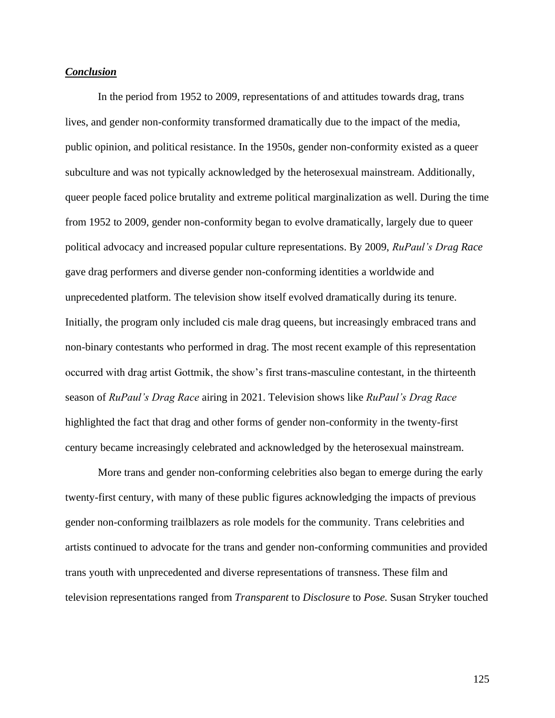## *Conclusion*

In the period from 1952 to 2009, representations of and attitudes towards drag, trans lives, and gender non-conformity transformed dramatically due to the impact of the media, public opinion, and political resistance. In the 1950s, gender non-conformity existed as a queer subculture and was not typically acknowledged by the heterosexual mainstream. Additionally, queer people faced police brutality and extreme political marginalization as well. During the time from 1952 to 2009, gender non-conformity began to evolve dramatically, largely due to queer political advocacy and increased popular culture representations. By 2009, *RuPaul's Drag Race* gave drag performers and diverse gender non-conforming identities a worldwide and unprecedented platform. The television show itself evolved dramatically during its tenure. Initially, the program only included cis male drag queens, but increasingly embraced trans and non-binary contestants who performed in drag. The most recent example of this representation occurred with drag artist Gottmik, the show's first trans-masculine contestant, in the thirteenth season of *RuPaul's Drag Race* airing in 2021. Television shows like *RuPaul's Drag Race*  highlighted the fact that drag and other forms of gender non-conformity in the twenty-first century became increasingly celebrated and acknowledged by the heterosexual mainstream.

More trans and gender non-conforming celebrities also began to emerge during the early twenty-first century, with many of these public figures acknowledging the impacts of previous gender non-conforming trailblazers as role models for the community. Trans celebrities and artists continued to advocate for the trans and gender non-conforming communities and provided trans youth with unprecedented and diverse representations of transness. These film and television representations ranged from *Transparent* to *Disclosure* to *Pose.* Susan Stryker touched

125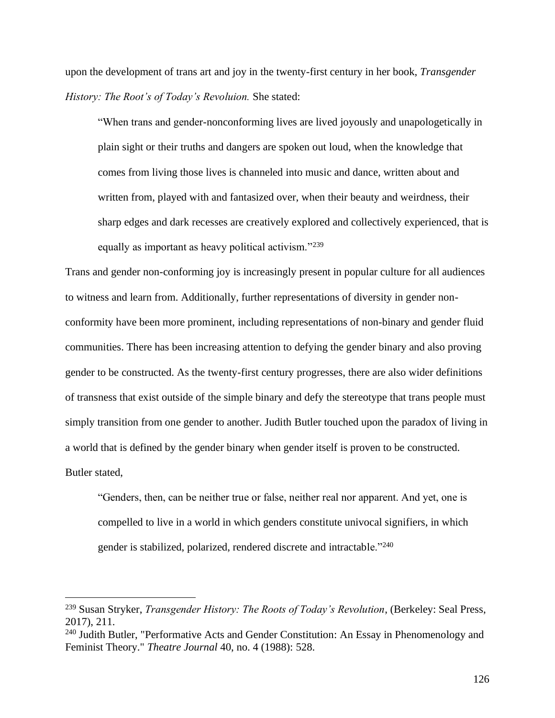upon the development of trans art and joy in the twenty-first century in her book, *Transgender History: The Root's of Today's Revoluion.* She stated:

"When trans and gender-nonconforming lives are lived joyously and unapologetically in plain sight or their truths and dangers are spoken out loud, when the knowledge that comes from living those lives is channeled into music and dance, written about and written from, played with and fantasized over, when their beauty and weirdness, their sharp edges and dark recesses are creatively explored and collectively experienced, that is equally as important as heavy political activism."<sup>239</sup>

Trans and gender non-conforming joy is increasingly present in popular culture for all audiences to witness and learn from. Additionally, further representations of diversity in gender nonconformity have been more prominent, including representations of non-binary and gender fluid communities. There has been increasing attention to defying the gender binary and also proving gender to be constructed. As the twenty-first century progresses, there are also wider definitions of transness that exist outside of the simple binary and defy the stereotype that trans people must simply transition from one gender to another. Judith Butler touched upon the paradox of living in a world that is defined by the gender binary when gender itself is proven to be constructed. Butler stated,

"Genders, then, can be neither true or false, neither real nor apparent. And yet, one is compelled to live in a world in which genders constitute univocal signifiers, in which gender is stabilized, polarized, rendered discrete and intractable."<sup>240</sup>

<sup>239</sup> Susan Stryker, *Transgender History: The Roots of Today's Revolution*, (Berkeley: Seal Press, 2017), 211.

<sup>&</sup>lt;sup>240</sup> Judith Butler, "Performative Acts and Gender Constitution: An Essay in Phenomenology and Feminist Theory." *Theatre Journal* 40, no. 4 (1988): 528.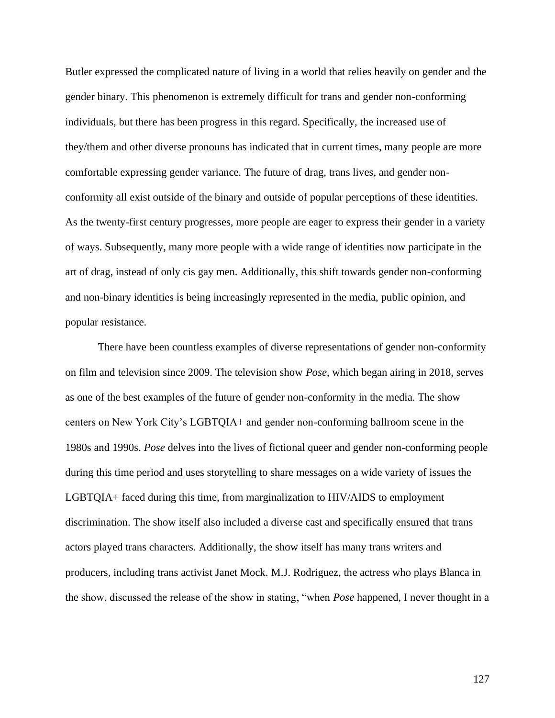Butler expressed the complicated nature of living in a world that relies heavily on gender and the gender binary. This phenomenon is extremely difficult for trans and gender non-conforming individuals, but there has been progress in this regard. Specifically, the increased use of they/them and other diverse pronouns has indicated that in current times, many people are more comfortable expressing gender variance. The future of drag, trans lives, and gender nonconformity all exist outside of the binary and outside of popular perceptions of these identities. As the twenty-first century progresses, more people are eager to express their gender in a variety of ways. Subsequently, many more people with a wide range of identities now participate in the art of drag, instead of only cis gay men. Additionally, this shift towards gender non-conforming and non-binary identities is being increasingly represented in the media, public opinion, and popular resistance.

There have been countless examples of diverse representations of gender non-conformity on film and television since 2009. The television show *Pose*, which began airing in 2018, serves as one of the best examples of the future of gender non-conformity in the media. The show centers on New York City's LGBTQIA+ and gender non-conforming ballroom scene in the 1980s and 1990s. *Pose* delves into the lives of fictional queer and gender non-conforming people during this time period and uses storytelling to share messages on a wide variety of issues the LGBTQIA+ faced during this time, from marginalization to HIV/AIDS to employment discrimination. The show itself also included a diverse cast and specifically ensured that trans actors played trans characters. Additionally, the show itself has many trans writers and producers, including trans activist Janet Mock. M.J. Rodriguez, the actress who plays Blanca in the show, discussed the release of the show in stating, "when *Pose* happened, I never thought in a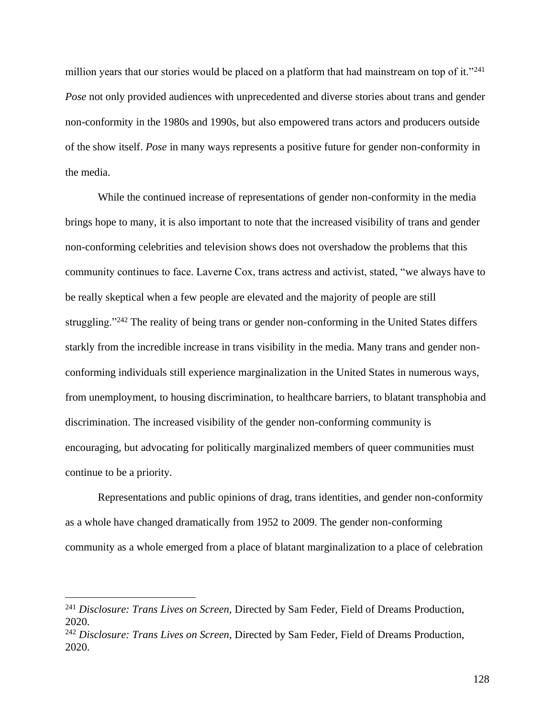million years that our stories would be placed on a platform that had mainstream on top of it."<sup>241</sup> *Pose* not only provided audiences with unprecedented and diverse stories about trans and gender non-conformity in the 1980s and 1990s, but also empowered trans actors and producers outside of the show itself. *Pose* in many ways represents a positive future for gender non-conformity in the media.

While the continued increase of representations of gender non-conformity in the media brings hope to many, it is also important to note that the increased visibility of trans and gender non-conforming celebrities and television shows does not overshadow the problems that this community continues to face. Laverne Cox, trans actress and activist, stated, "we always have to be really skeptical when a few people are elevated and the majority of people are still struggling."<sup>242</sup> The reality of being trans or gender non-conforming in the United States differs starkly from the incredible increase in trans visibility in the media. Many trans and gender nonconforming individuals still experience marginalization in the United States in numerous ways, from unemployment, to housing discrimination, to healthcare barriers, to blatant transphobia and discrimination. The increased visibility of the gender non-conforming community is encouraging, but advocating for politically marginalized members of queer communities must continue to be a priority.

Representations and public opinions of drag, trans identities, and gender non-conformity as a whole have changed dramatically from 1952 to 2009. The gender non-conforming community as a whole emerged from a place of blatant marginalization to a place of celebration

<sup>241</sup> *Disclosure: Trans Lives on Screen,* Directed by Sam Feder, Field of Dreams Production, 2020.

<sup>242</sup> *Disclosure: Trans Lives on Screen,* Directed by Sam Feder, Field of Dreams Production, 2020.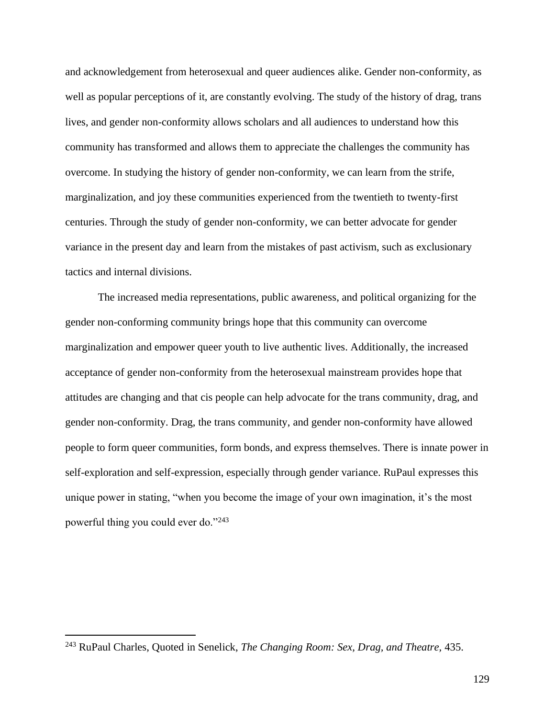and acknowledgement from heterosexual and queer audiences alike. Gender non-conformity, as well as popular perceptions of it, are constantly evolving. The study of the history of drag, trans lives, and gender non-conformity allows scholars and all audiences to understand how this community has transformed and allows them to appreciate the challenges the community has overcome. In studying the history of gender non-conformity, we can learn from the strife, marginalization, and joy these communities experienced from the twentieth to twenty-first centuries. Through the study of gender non-conformity, we can better advocate for gender variance in the present day and learn from the mistakes of past activism, such as exclusionary tactics and internal divisions.

The increased media representations, public awareness, and political organizing for the gender non-conforming community brings hope that this community can overcome marginalization and empower queer youth to live authentic lives. Additionally, the increased acceptance of gender non-conformity from the heterosexual mainstream provides hope that attitudes are changing and that cis people can help advocate for the trans community, drag, and gender non-conformity. Drag, the trans community, and gender non-conformity have allowed people to form queer communities, form bonds, and express themselves. There is innate power in self-exploration and self-expression, especially through gender variance. RuPaul expresses this unique power in stating, "when you become the image of your own imagination, it's the most powerful thing you could ever do."<sup>243</sup>

<sup>243</sup> RuPaul Charles, Quoted in Senelick, *The Changing Room: Sex, Drag, and Theatre,* 435.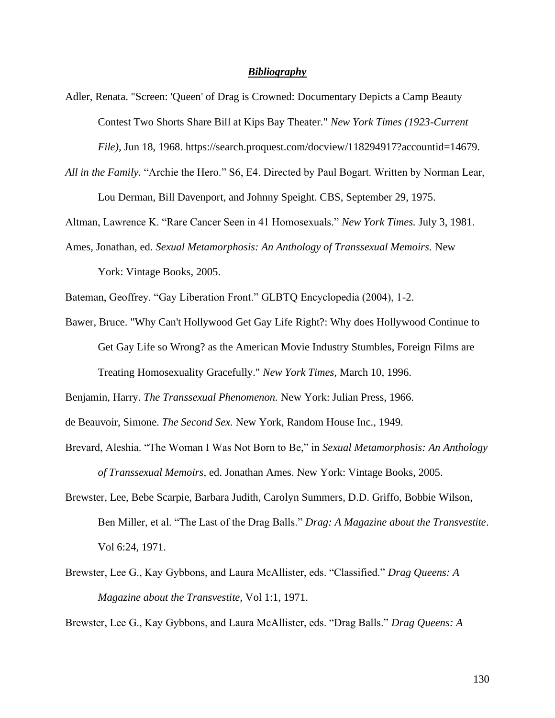## *Bibliography*

- Adler, Renata. "Screen: 'Queen' of Drag is Crowned: Documentary Depicts a Camp Beauty Contest Two Shorts Share Bill at Kips Bay Theater." *New York Times (1923-Current File),* Jun 18, 1968. https://search.proquest.com/docview/118294917?accountid=14679.
- *All in the Family.* "Archie the Hero." S6, E4. Directed by Paul Bogart. Written by Norman Lear, Lou Derman, Bill Davenport, and Johnny Speight. CBS, September 29, 1975.

Altman, Lawrence K. "Rare Cancer Seen in 41 Homosexuals." *New York Times.* July 3, 1981.

Ames, Jonathan, ed. *Sexual Metamorphosis: An Anthology of Transsexual Memoirs.* New York: Vintage Books, 2005.

Bateman, Geoffrey. "Gay Liberation Front." GLBTQ Encyclopedia (2004), 1-2.

Bawer, Bruce. "Why Can't Hollywood Get Gay Life Right?: Why does Hollywood Continue to Get Gay Life so Wrong? as the American Movie Industry Stumbles, Foreign Films are Treating Homosexuality Gracefully." *New York Times,* March 10, 1996.

Benjamin, Harry. *The Transsexual Phenomenon.* New York: Julian Press, 1966.

de Beauvoir, Simone. *The Second Sex.* New York, Random House Inc., 1949.

- Brevard, Aleshia. "The Woman I Was Not Born to Be," in *Sexual Metamorphosis: An Anthology of Transsexual Memoirs,* ed. Jonathan Ames. New York: Vintage Books, 2005.
- Brewster, Lee, Bebe Scarpie, Barbara Judith, Carolyn Summers, D.D. Griffo, Bobbie Wilson, Ben Miller, et al. "The Last of the Drag Balls." *Drag: A Magazine about the Transvestite*. Vol 6:24, 1971.
- Brewster, Lee G., Kay Gybbons, and Laura McAllister, eds. "Classified." *Drag Queens: A Magazine about the Transvestite,* Vol 1:1, 1971.

Brewster, Lee G., Kay Gybbons, and Laura McAllister, eds. "Drag Balls." *Drag Queens: A*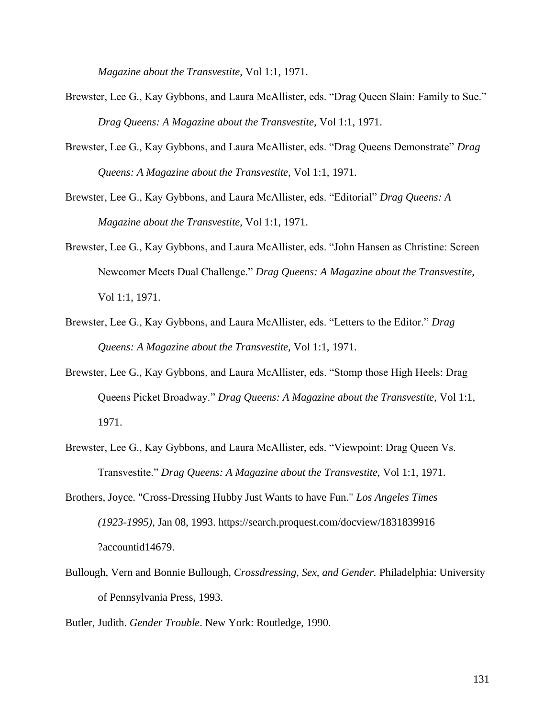*Magazine about the Transvestite,* Vol 1:1, 1971.

- Brewster, Lee G., Kay Gybbons, and Laura McAllister, eds. "Drag Queen Slain: Family to Sue." *Drag Queens: A Magazine about the Transvestite,* Vol 1:1, 1971.
- Brewster, Lee G., Kay Gybbons, and Laura McAllister, eds. "Drag Queens Demonstrate" *Drag Queens: A Magazine about the Transvestite,* Vol 1:1, 1971.
- Brewster, Lee G., Kay Gybbons, and Laura McAllister, eds. "Editorial" *Drag Queens: A Magazine about the Transvestite,* Vol 1:1, 1971.
- Brewster, Lee G., Kay Gybbons, and Laura McAllister, eds. "John Hansen as Christine: Screen Newcomer Meets Dual Challenge." *Drag Queens: A Magazine about the Transvestite,*  Vol 1:1, 1971.
- Brewster, Lee G., Kay Gybbons, and Laura McAllister, eds. "Letters to the Editor." *Drag Queens: A Magazine about the Transvestite,* Vol 1:1, 1971.
- Brewster, Lee G., Kay Gybbons, and Laura McAllister, eds. "Stomp those High Heels: Drag Queens Picket Broadway." *Drag Queens: A Magazine about the Transvestite,* Vol 1:1, 1971.
- Brewster, Lee G., Kay Gybbons, and Laura McAllister, eds. "Viewpoint: Drag Queen Vs. Transvestite." *Drag Queens: A Magazine about the Transvestite,* Vol 1:1, 1971.
- Brothers, Joyce. "Cross-Dressing Hubby Just Wants to have Fun." *Los Angeles Times (1923-1995),* Jan 08, 1993. https://search.proquest.com/docview/1831839916 ?accountid14679.
- Bullough, Vern and Bonnie Bullough, *Crossdressing, Sex, and Gender.* Philadelphia: University of Pennsylvania Press, 1993.
- Butler, Judith. *Gender Trouble*. New York: Routledge, 1990.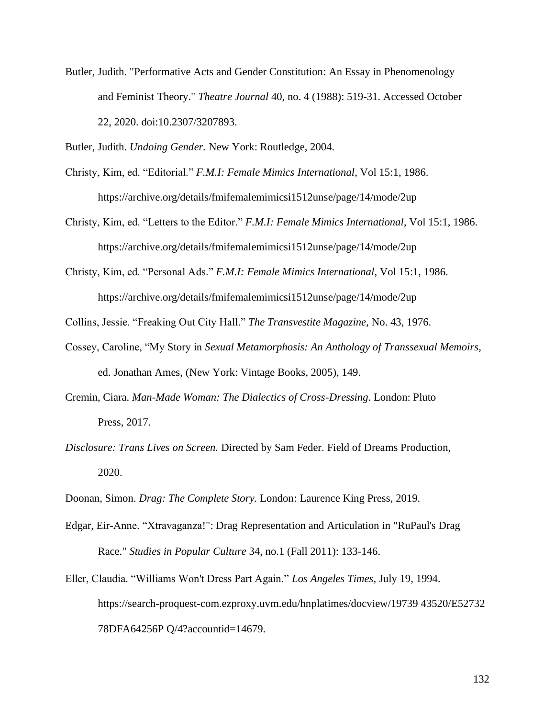Butler, Judith. "Performative Acts and Gender Constitution: An Essay in Phenomenology and Feminist Theory." *Theatre Journal* 40, no. 4 (1988): 519-31. Accessed October 22, 2020. doi:10.2307/3207893.

Butler, Judith. *Undoing Gender.* New York: Routledge, 2004.

Christy, Kim, ed. "Editorial." *F.M.I: Female Mimics International*, Vol 15:1, 1986. https://archive.org/details/fmifemalemimicsi1512unse/page/14/mode/2up

Christy, Kim, ed. "Letters to the Editor." *F.M.I: Female Mimics International*, Vol 15:1, 1986. https://archive.org/details/fmifemalemimicsi1512unse/page/14/mode/2up

Christy, Kim, ed. "Personal Ads." *F.M.I: Female Mimics International*, Vol 15:1, 1986. https://archive.org/details/fmifemalemimicsi1512unse/page/14/mode/2up

Collins, Jessie. "Freaking Out City Hall." *The Transvestite Magazine,* No. 43, 1976.

- Cossey, Caroline, "My Story in *Sexual Metamorphosis: An Anthology of Transsexual Memoirs,*  ed. Jonathan Ames, (New York: Vintage Books, 2005), 149.
- Cremin, Ciara. *Man-Made Woman: The Dialectics of Cross-Dressing*. London: Pluto Press, 2017.
- *Disclosure: Trans Lives on Screen.* Directed by Sam Feder. Field of Dreams Production, 2020.
- Doonan, Simon. *Drag: The Complete Story.* London: Laurence King Press, 2019.
- Edgar, Eir-Anne. "Xtravaganza!": Drag Representation and Articulation in "RuPaul's Drag Race." *Studies in Popular Culture* 34, no.1 (Fall 2011): 133-146.
- Eller, Claudia. "Williams Won't Dress Part Again." *Los Angeles Times,* July 19, 1994. https://search-proquest-com.ezproxy.uvm.edu/hnplatimes/docview/19739 43520/E52732 78DFA64256P Q/4?accountid=14679.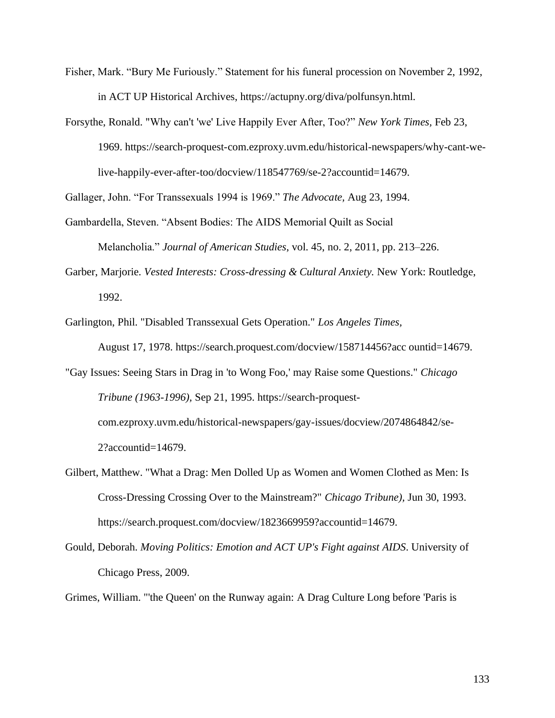- Fisher, Mark. "Bury Me Furiously." Statement for his funeral procession on November 2, 1992, in ACT UP Historical Archives, https://actupny.org/diva/polfunsyn.html.
- Forsythe, Ronald. "Why can't 'we' Live Happily Ever After, Too?" *New York Times,* Feb 23, 1969. https://search-proquest-com.ezproxy.uvm.edu/historical-newspapers/why-cant-welive-happily-ever-after-too/docview/118547769/se-2?accountid=14679.

Gallager, John. "For Transsexuals 1994 is 1969." *The Advocate,* Aug 23, 1994.

Gambardella, Steven. "Absent Bodies: The AIDS Memorial Quilt as Social

Melancholia." *Journal of American Studies*, vol. 45, no. 2, 2011, pp. 213–226.

- Garber, Marjorie. *Vested Interests: Cross-dressing & Cultural Anxiety.* New York: Routledge, 1992.
- Garlington, Phil. "Disabled Transsexual Gets Operation." *Los Angeles Times,* August 17, 1978. https://search.proquest.com/docview/158714456?acc ountid=14679.
- "Gay Issues: Seeing Stars in Drag in 'to Wong Foo,' may Raise some Questions." *Chicago Tribune (1963-1996),* Sep 21, 1995. https://search-proquestcom.ezproxy.uvm.edu/historical-newspapers/gay-issues/docview/2074864842/se-2?accountid=14679.
- Gilbert, Matthew. "What a Drag: Men Dolled Up as Women and Women Clothed as Men: Is Cross-Dressing Crossing Over to the Mainstream?" *Chicago Tribune),* Jun 30, 1993. https://search.proquest.com/docview/1823669959?accountid=14679.
- Gould, Deborah. *Moving Politics: Emotion and ACT UP's Fight against AIDS*. University of Chicago Press, 2009.

Grimes, William. "'the Queen' on the Runway again: A Drag Culture Long before 'Paris is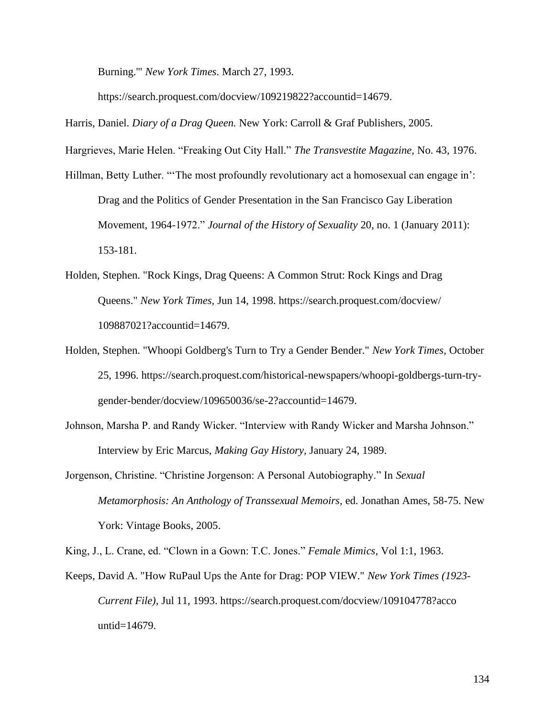Burning.'" *New York Times.* March 27, 1993.

https://search.proquest.com/docview/109219822?accountid=14679.

Harris, Daniel. *Diary of a Drag Queen.* New York: Carroll & Graf Publishers, 2005.

Hargrieves, Marie Helen. "Freaking Out City Hall." *The Transvestite Magazine,* No. 43, 1976.

- Hillman, Betty Luther. "The most profoundly revolutionary act a homosexual can engage in': Drag and the Politics of Gender Presentation in the San Francisco Gay Liberation Movement, 1964-1972." *Journal of the History of Sexuality* 20, no. 1 (January 2011): 153-181.
- Holden, Stephen. "Rock Kings, Drag Queens: A Common Strut: Rock Kings and Drag Queens." *New York Times,* Jun 14, 1998. https://search.proquest.com/docview/ 109887021?accountid=14679.
- Holden, Stephen. "Whoopi Goldberg's Turn to Try a Gender Bender." *New York Times,* October 25, 1996. https://search.proquest.com/historical-newspapers/whoopi-goldbergs-turn-trygender-bender/docview/109650036/se-2?accountid=14679.
- Johnson, Marsha P. and Randy Wicker. "Interview with Randy Wicker and Marsha Johnson." Interview by Eric Marcus, *Making Gay History,* January 24, 1989.
- Jorgenson, Christine. "Christine Jorgenson: A Personal Autobiography." In *Sexual Metamorphosis: An Anthology of Transsexual Memoirs,* ed. Jonathan Ames, 58-75. New York: Vintage Books, 2005.

King, J., L. Crane, ed. "Clown in a Gown: T.C. Jones." *Female Mimics,* Vol 1:1, 1963.

Keeps, David A. "How RuPaul Ups the Ante for Drag: POP VIEW." *New York Times (1923- Current File),* Jul 11, 1993. https://search.proquest.com/docview/109104778?acco untid=14679.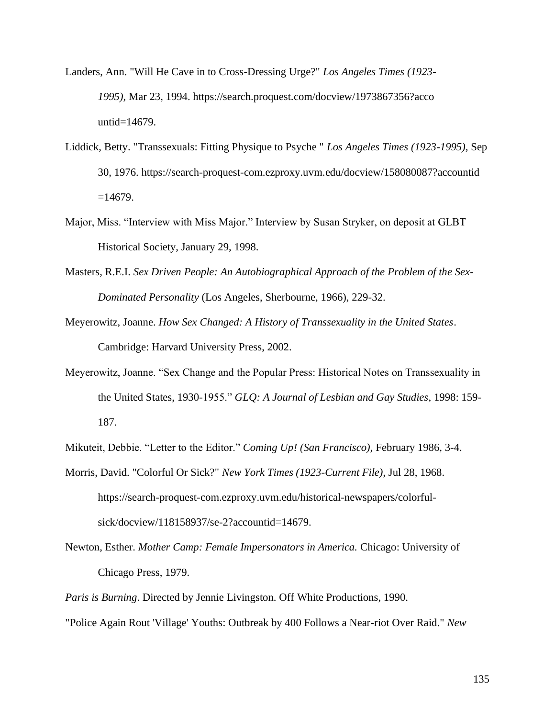- Landers, Ann. "Will He Cave in to Cross-Dressing Urge?" *Los Angeles Times (1923- 1995),* Mar 23, 1994. https://search.proquest.com/docview/1973867356?acco untid=14679.
- Liddick, Betty. "Transsexuals: Fitting Physique to Psyche " *Los Angeles Times (1923-1995),* Sep 30, 1976. https://search-proquest-com.ezproxy.uvm.edu/docview/158080087?accountid  $=14679.$
- Major, Miss. "Interview with Miss Major." Interview by Susan Stryker, on deposit at GLBT Historical Society, January 29, 1998.
- Masters, R.E.I. *Sex Driven People: An Autobiographical Approach of the Problem of the Sex-Dominated Personality* (Los Angeles, Sherbourne, 1966), 229-32.
- Meyerowitz, Joanne. *How Sex Changed: A History of Transsexuality in the United States*. Cambridge: Harvard University Press, 2002.
- Meyerowitz, Joanne. "Sex Change and the Popular Press: Historical Notes on Transsexuality in the United States, 1930-1955." *GLQ: A Journal of Lesbian and Gay Studies*, 1998: 159- 187.

Mikuteit, Debbie. "Letter to the Editor." *Coming Up! (San Francisco),* February 1986, 3-4.

- Morris, David. "Colorful Or Sick?" *New York Times (1923-Current File),* Jul 28, 1968. https://search-proquest-com.ezproxy.uvm.edu/historical-newspapers/colorfulsick/docview/118158937/se-2?accountid=14679.
- Newton, Esther. *Mother Camp: Female Impersonators in America.* Chicago: University of Chicago Press, 1979.

*Paris is Burning*. Directed by Jennie Livingston. Off White Productions, 1990. "Police Again Rout 'Village' Youths: Outbreak by 400 Follows a Near-riot Over Raid." *New*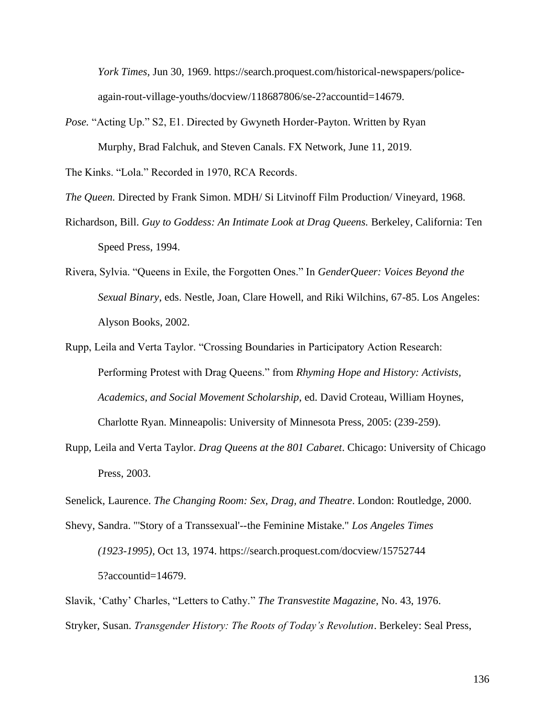*York Times,* Jun 30, 1969. https://search.proquest.com/historical-newspapers/policeagain-rout-village-youths/docview/118687806/se-2?accountid=14679.

*Pose.* "Acting Up." S2, E1. Directed by Gwyneth Horder-Payton. Written by Ryan Murphy, Brad Falchuk, and Steven Canals. FX Network, June 11, 2019.

The Kinks. "Lola." Recorded in 1970, RCA Records.

*The Queen.* Directed by Frank Simon. MDH/ Si Litvinoff Film Production/ Vineyard, 1968.

- Richardson, Bill. *Guy to Goddess: An Intimate Look at Drag Queens.* Berkeley, California: Ten Speed Press, 1994.
- Rivera, Sylvia. "Queens in Exile, the Forgotten Ones." In *GenderQueer: Voices Beyond the Sexual Binary*, eds. Nestle, Joan, Clare Howell, and Riki Wilchins, 67-85. Los Angeles: Alyson Books, 2002.
- Rupp, Leila and Verta Taylor. "Crossing Boundaries in Participatory Action Research: Performing Protest with Drag Queens." from *Rhyming Hope and History: Activists, Academics, and Social Movement Scholarship*, ed. David Croteau, William Hoynes, Charlotte Ryan. Minneapolis: University of Minnesota Press, 2005: (239-259).
- Rupp, Leila and Verta Taylor. *Drag Queens at the 801 Cabaret*. Chicago: University of Chicago Press, 2003.

Senelick, Laurence. *The Changing Room: Sex, Drag, and Theatre*. London: Routledge, 2000.

Shevy, Sandra. "'Story of a Transsexual'--the Feminine Mistake." *Los Angeles Times* 

*(1923-1995),* Oct 13, 1974. https://search.proquest.com/docview/15752744 5?accountid=14679.

Slavik, 'Cathy' Charles, "Letters to Cathy." *The Transvestite Magazine,* No. 43, 1976. Stryker, Susan. *Transgender History: The Roots of Today's Revolution*. Berkeley: Seal Press,